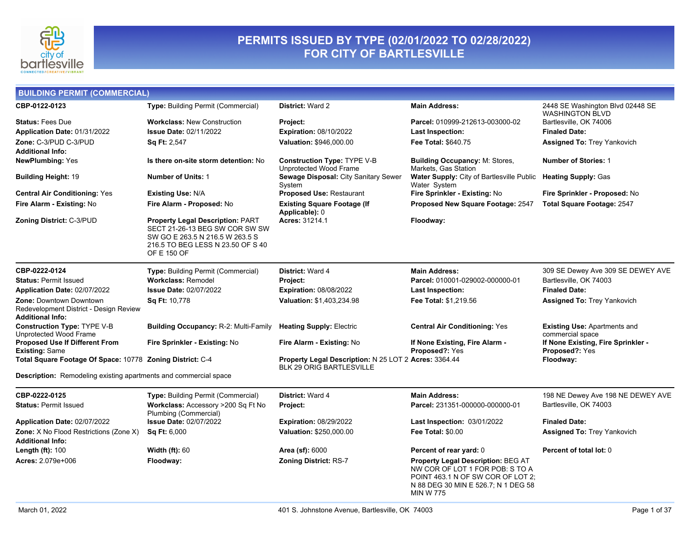

### **PERMITS ISSUED BY TYPE (02/01/2022 TO 02/28/2022) FOR CITY OF BARTLESVILLE**

| <b>BUILDING PERMIT (COMMERCIAL)</b>                                                                 |                                                                                                                                                                  |                                                                                          |                                                                                                                                                                       |                                                         |
|-----------------------------------------------------------------------------------------------------|------------------------------------------------------------------------------------------------------------------------------------------------------------------|------------------------------------------------------------------------------------------|-----------------------------------------------------------------------------------------------------------------------------------------------------------------------|---------------------------------------------------------|
| CBP-0122-0123                                                                                       | Type: Building Permit (Commercial)                                                                                                                               | District: Ward 2                                                                         | <b>Main Address:</b>                                                                                                                                                  | 2448 SE Washington Blvd 02448 SE                        |
| <b>Status: Fees Due</b>                                                                             | <b>Workclass: New Construction</b>                                                                                                                               | Project:                                                                                 | Parcel: 010999-212613-003000-02                                                                                                                                       | <b>WASHINGTON BLVD</b><br>Bartlesville, OK 74006        |
| Application Date: 01/31/2022                                                                        | <b>Issue Date: 02/11/2022</b>                                                                                                                                    | <b>Expiration: 08/10/2022</b>                                                            | <b>Last Inspection:</b>                                                                                                                                               | <b>Finaled Date:</b>                                    |
| Zone: C-3/PUD C-3/PUD                                                                               | Sq Ft: 2,547                                                                                                                                                     | Valuation: \$946,000.00                                                                  | Fee Total: \$640.75                                                                                                                                                   | <b>Assigned To: Trey Yankovich</b>                      |
| <b>Additional Info:</b>                                                                             |                                                                                                                                                                  |                                                                                          |                                                                                                                                                                       |                                                         |
| <b>NewPlumbing: Yes</b>                                                                             | Is there on-site storm detention: No                                                                                                                             | <b>Construction Type: TYPE V-B</b><br>Unprotected Wood Frame                             | <b>Building Occupancy: M: Stores.</b><br>Markets, Gas Station                                                                                                         | <b>Number of Stories: 1</b>                             |
| <b>Building Height: 19</b>                                                                          | <b>Number of Units: 1</b>                                                                                                                                        | Sewage Disposal: City Sanitary Sewer<br>System                                           | <b>Water Supply:</b> City of Bartlesville Public<br>Water System                                                                                                      | <b>Heating Supply: Gas</b>                              |
| <b>Central Air Conditioning: Yes</b>                                                                | <b>Existing Use: N/A</b>                                                                                                                                         | Proposed Use: Restaurant                                                                 | Fire Sprinkler - Existing: No                                                                                                                                         | Fire Sprinkler - Proposed: No                           |
| Fire Alarm - Existing: No                                                                           | Fire Alarm - Proposed: No                                                                                                                                        | <b>Existing Square Footage (If</b><br>Applicable): 0                                     | Proposed New Square Footage: 2547                                                                                                                                     | <b>Total Square Footage: 2547</b>                       |
| Zoning District: C-3/PUD                                                                            | <b>Property Legal Description: PART</b><br>SECT 21-26-13 BEG SW COR SW SW<br>SW GO E 263.5 N 216.5 W 263.5 S<br>216.5 TO BEG LESS N 23.50 OF S 40<br>OF E 150 OF | Acres: 31214.1                                                                           | Floodway:                                                                                                                                                             |                                                         |
| CBP-0222-0124                                                                                       | Type: Building Permit (Commercial)                                                                                                                               | District: Ward 4                                                                         | <b>Main Address:</b>                                                                                                                                                  | 309 SE Dewey Ave 309 SE DEWEY AVE                       |
| <b>Status: Permit Issued</b>                                                                        | <b>Workclass: Remodel</b>                                                                                                                                        | Project:                                                                                 | Parcel: 010001-029002-000000-01                                                                                                                                       | Bartlesville, OK 74003                                  |
| Application Date: 02/07/2022                                                                        | <b>Issue Date: 02/07/2022</b>                                                                                                                                    | <b>Expiration: 08/08/2022</b>                                                            | Last Inspection:                                                                                                                                                      | <b>Finaled Date:</b>                                    |
| <b>Zone: Downtown Downtown</b><br>Redevelopment District - Design Review<br><b>Additional Info:</b> | Sq Ft: 10,778                                                                                                                                                    | Valuation: \$1,403,234.98                                                                | Fee Total: \$1,219.56                                                                                                                                                 | <b>Assigned To: Trey Yankovich</b>                      |
| <b>Construction Type: TYPE V-B</b><br>Unprotected Wood Frame                                        | <b>Building Occupancy: R-2: Multi-Family</b>                                                                                                                     | <b>Heating Supply: Electric</b>                                                          | <b>Central Air Conditioning: Yes</b>                                                                                                                                  | <b>Existing Use: Apartments and</b><br>commercial space |
| <b>Proposed Use If Different From</b><br><b>Existing: Same</b>                                      | Fire Sprinkler - Existing: No                                                                                                                                    | Fire Alarm - Existing: No                                                                | If None Existing, Fire Alarm -<br><b>Proposed?: Yes</b>                                                                                                               | If None Existing, Fire Sprinkler -<br>Proposed?: Yes    |
| Total Square Footage Of Space: 10778 Zoning District: C-4                                           |                                                                                                                                                                  | Property Legal Description: N 25 LOT 2 Acres: 3364.44<br><b>BLK 29 ORIG BARTLESVILLE</b> |                                                                                                                                                                       | Floodway:                                               |
| Description: Remodeling existing apartments and commercial space                                    |                                                                                                                                                                  |                                                                                          |                                                                                                                                                                       |                                                         |
| CBP-0222-0125                                                                                       | <b>Type:</b> Building Permit (Commercial)                                                                                                                        | District: Ward 4                                                                         | <b>Main Address:</b>                                                                                                                                                  | 198 NE Dewey Ave 198 NE DEWEY AVE                       |
| <b>Status: Permit Issued</b>                                                                        | Workclass: Accessory >200 Sq Ft No<br>Plumbing (Commercial)                                                                                                      | Project:                                                                                 | Parcel: 231351-000000-000000-01                                                                                                                                       | Bartlesville, OK 74003                                  |
| Application Date: 02/07/2022                                                                        | <b>Issue Date: 02/07/2022</b>                                                                                                                                    | <b>Expiration: 08/29/2022</b>                                                            | <b>Last Inspection: 03/01/2022</b>                                                                                                                                    | <b>Finaled Date:</b>                                    |
| Zone: X No Flood Restrictions (Zone X)                                                              | <b>Sq Ft: 6,000</b>                                                                                                                                              | Valuation: \$250,000.00                                                                  | <b>Fee Total: \$0.00</b>                                                                                                                                              | <b>Assigned To: Trey Yankovich</b>                      |
| <b>Additional Info:</b>                                                                             |                                                                                                                                                                  |                                                                                          |                                                                                                                                                                       |                                                         |
| <b>Length (ft): 100</b>                                                                             | <b>Width (ft): 60</b>                                                                                                                                            | <b>Area (sf): 6000</b>                                                                   | Percent of rear yard: 0                                                                                                                                               | Percent of total lot: 0                                 |
| Acres: 2.079e+006                                                                                   | Floodway:                                                                                                                                                        | <b>Zoning District: RS-7</b>                                                             | Property Legal Description: BEG AT<br>NW COR OF LOT 1 FOR POB: S TO A<br>POINT 463.1 N OF SW COR OF LOT 2;<br>N 88 DEG 30 MIN E 526.7; N 1 DEG 58<br><b>MIN W 775</b> |                                                         |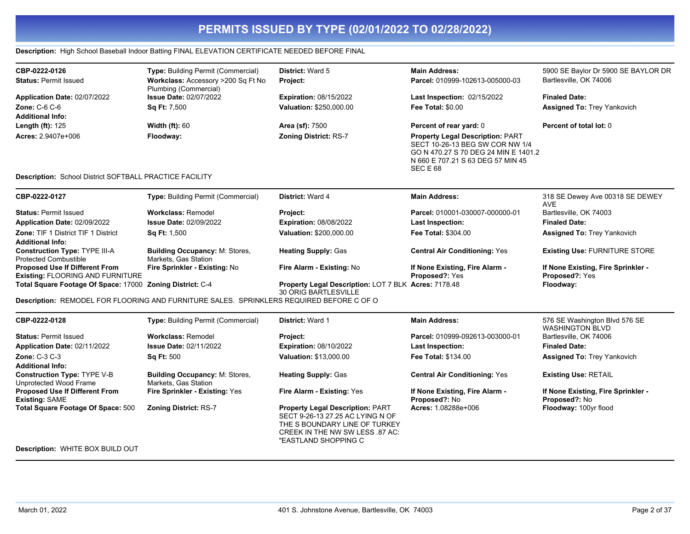### **Description:** High School Baseball Indoor Batting FINAL ELEVATION CERTIFICATE NEEDED BEFORE FINAL

| CBP-0222-0126                                                         | Type: Building Permit (Commercial)                                                       | District: Ward 5                                                                                                                                                        | <b>Main Address:</b>                                                                                                                                                | 5900 SE Baylor Dr 5900 SE BAYLOR DR                     |
|-----------------------------------------------------------------------|------------------------------------------------------------------------------------------|-------------------------------------------------------------------------------------------------------------------------------------------------------------------------|---------------------------------------------------------------------------------------------------------------------------------------------------------------------|---------------------------------------------------------|
| <b>Status: Permit Issued</b>                                          | Workclass: Accessory >200 Sq Ft No<br>Plumbing (Commercial)                              | Project:                                                                                                                                                                | Parcel: 010999-102613-005000-03                                                                                                                                     | Bartlesville, OK 74006                                  |
| Application Date: 02/07/2022                                          | <b>Issue Date: 02/07/2022</b>                                                            | <b>Expiration: 08/15/2022</b>                                                                                                                                           | Last Inspection: 02/15/2022                                                                                                                                         | <b>Finaled Date:</b>                                    |
| <b>Zone: C-6 C-6</b>                                                  | Sq Ft: 7,500                                                                             | Valuation: \$250,000.00                                                                                                                                                 | <b>Fee Total: \$0.00</b>                                                                                                                                            | <b>Assigned To: Trey Yankovich</b>                      |
| <b>Additional Info:</b>                                               |                                                                                          |                                                                                                                                                                         |                                                                                                                                                                     |                                                         |
| Length (ft): 125                                                      | <b>Width (ft): 60</b>                                                                    | Area (sf): 7500                                                                                                                                                         | Percent of rear yard: 0                                                                                                                                             | Percent of total lot: 0                                 |
| Acres: 2.9407e+006                                                    | Floodway:                                                                                | <b>Zoning District: RS-7</b>                                                                                                                                            | <b>Property Legal Description: PART</b><br>SECT 10-26-13 BEG SW COR NW 1/4<br>GO N 470.27 S 70 DEG 24 MIN E 1401.2<br>N 660 E 707.21 S 63 DEG 57 MIN 45<br>SEC E 68 |                                                         |
| <b>Description: School District SOFTBALL PRACTICE FACILITY</b>        |                                                                                          |                                                                                                                                                                         |                                                                                                                                                                     |                                                         |
| CBP-0222-0127                                                         | Type: Building Permit (Commercial)                                                       | District: Ward 4                                                                                                                                                        | <b>Main Address:</b>                                                                                                                                                | 318 SE Dewey Ave 00318 SE DEWEY<br><b>AVE</b>           |
| <b>Status: Permit Issued</b>                                          | <b>Workclass: Remodel</b>                                                                | <b>Project:</b>                                                                                                                                                         | Parcel: 010001-030007-000000-01                                                                                                                                     | Bartlesville, OK 74003                                  |
| Application Date: 02/09/2022                                          | <b>Issue Date: 02/09/2022</b>                                                            | <b>Expiration: 08/08/2022</b>                                                                                                                                           | <b>Last Inspection:</b>                                                                                                                                             | <b>Finaled Date:</b>                                    |
| <b>Zone: TIF 1 District TIF 1 District</b><br><b>Additional Info:</b> | Sq Ft: 1,500                                                                             | Valuation: \$200,000.00                                                                                                                                                 | <b>Fee Total: \$304.00</b>                                                                                                                                          | <b>Assigned To: Trey Yankovich</b>                      |
| <b>Construction Type: TYPE III-A</b><br><b>Protected Combustible</b>  | <b>Building Occupancy: M: Stores,</b><br>Markets, Gas Station                            | <b>Heating Supply: Gas</b>                                                                                                                                              | <b>Central Air Conditioning: Yes</b>                                                                                                                                | <b>Existing Use: FURNITURE STORE</b>                    |
| Proposed Use If Different From<br>Existing: FLOORING AND FURNITURE    | Fire Sprinkler - Existing: No                                                            | Fire Alarm - Existing: No                                                                                                                                               | If None Existing, Fire Alarm -<br>Proposed?: Yes                                                                                                                    | If None Existing, Fire Sprinkler -<br>Proposed?: Yes    |
| Total Square Footage Of Space: 17000 Zoning District: C-4             |                                                                                          | Property Legal Description: LOT 7 BLK Acres: 7178.48<br>30 ORIG BARTLESVILLE                                                                                            |                                                                                                                                                                     | Floodway:                                               |
|                                                                       | Description: REMODEL FOR FLOORING AND FURNITURE SALES. SPRINKLERS REQUIRED BEFORE C OF O |                                                                                                                                                                         |                                                                                                                                                                     |                                                         |
| CBP-0222-0128                                                         | Type: Building Permit (Commercial)                                                       | <b>District: Ward 1</b>                                                                                                                                                 | <b>Main Address:</b>                                                                                                                                                | 576 SE Washington Blvd 576 SE<br><b>WASHINGTON BLVD</b> |
| <b>Status: Permit Issued</b>                                          | <b>Workclass: Remodel</b>                                                                | Project:                                                                                                                                                                | Parcel: 010999-092613-003000-01                                                                                                                                     | Bartlesville, OK 74006                                  |
| Application Date: 02/11/2022                                          | <b>Issue Date: 02/11/2022</b>                                                            | <b>Expiration: 08/10/2022</b>                                                                                                                                           | <b>Last Inspection:</b>                                                                                                                                             | <b>Finaled Date:</b>                                    |
| <b>Zone: C-3 C-3</b>                                                  | <b>Sq Ft: 500</b>                                                                        | Valuation: \$13,000.00                                                                                                                                                  | Fee Total: \$134.00                                                                                                                                                 | <b>Assigned To: Trey Yankovich</b>                      |
| <b>Additional Info:</b>                                               |                                                                                          |                                                                                                                                                                         |                                                                                                                                                                     |                                                         |
| <b>Construction Type: TYPE V-B</b><br>Unprotected Wood Frame          | <b>Building Occupancy: M: Stores,</b><br>Markets, Gas Station                            | <b>Heating Supply: Gas</b>                                                                                                                                              | <b>Central Air Conditioning: Yes</b>                                                                                                                                | <b>Existing Use: RETAIL</b>                             |
| <b>Proposed Use If Different From</b><br><b>Existing: SAME</b>        | Fire Sprinkler - Existing: Yes                                                           | Fire Alarm - Existing: Yes                                                                                                                                              | If None Existing, Fire Alarm -<br>Proposed?: No                                                                                                                     | If None Existing, Fire Sprinkler -<br>Proposed?: No     |
| Total Square Footage Of Space: 500                                    | <b>Zoning District: RS-7</b>                                                             | <b>Property Legal Description: PART</b><br>SECT 9-26-13 27.25 AC LYING N OF<br>THE S BOUNDARY LINE OF TURKEY<br>CREEK IN THE NW SW LESS .87 AC:<br>"EASTLAND SHOPPING C | Acres: 1.08288e+006                                                                                                                                                 | Floodway: 100yr flood                                   |
| <b>Description: WHITE BOX BUILD OUT</b>                               |                                                                                          |                                                                                                                                                                         |                                                                                                                                                                     |                                                         |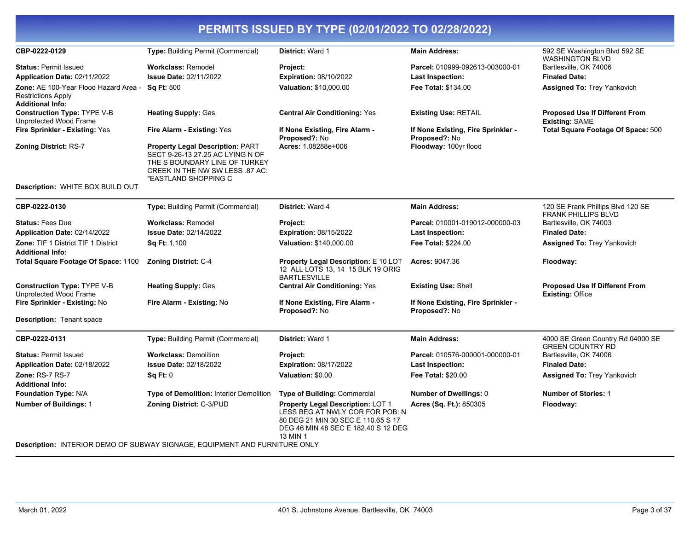| CBP-0222-0129                                                                                 | Type: Building Permit (Commercial)                                                                                                                                      | <b>District: Ward 1</b>                                                                                                                                       | <b>Main Address:</b>                                | 592 SE Washington Blvd 592 SE<br><b>WASHINGTON BLVD</b>          |
|-----------------------------------------------------------------------------------------------|-------------------------------------------------------------------------------------------------------------------------------------------------------------------------|---------------------------------------------------------------------------------------------------------------------------------------------------------------|-----------------------------------------------------|------------------------------------------------------------------|
| <b>Status: Permit Issued</b>                                                                  | <b>Workclass: Remodel</b>                                                                                                                                               | <b>Project:</b>                                                                                                                                               | Parcel: 010999-092613-003000-01                     | Bartlesville, OK 74006                                           |
| Application Date: 02/11/2022                                                                  | <b>Issue Date: 02/11/2022</b>                                                                                                                                           | <b>Expiration: 08/10/2022</b>                                                                                                                                 | <b>Last Inspection:</b>                             | <b>Finaled Date:</b>                                             |
| Zone: AE 100-Year Flood Hazard Area -<br><b>Restrictions Apply</b><br><b>Additional Info:</b> | <b>Sq Ft: 500</b>                                                                                                                                                       | <b>Valuation: \$10,000.00</b>                                                                                                                                 | <b>Fee Total: \$134.00</b>                          | <b>Assigned To: Trey Yankovich</b>                               |
| <b>Construction Type: TYPE V-B</b><br>Unprotected Wood Frame                                  | <b>Heating Supply: Gas</b>                                                                                                                                              | <b>Central Air Conditioning: Yes</b>                                                                                                                          | <b>Existing Use: RETAIL</b>                         | <b>Proposed Use If Different From</b><br><b>Existing: SAME</b>   |
| Fire Sprinkler - Existing: Yes                                                                | Fire Alarm - Existing: Yes                                                                                                                                              | If None Existing, Fire Alarm -<br>Proposed?: No                                                                                                               | If None Existing, Fire Sprinkler -<br>Proposed?: No | Total Square Footage Of Space: 500                               |
| <b>Zoning District: RS-7</b>                                                                  | <b>Property Legal Description: PART</b><br>SECT 9-26-13 27.25 AC LYING N OF<br>THE S BOUNDARY LINE OF TURKEY<br>CREEK IN THE NW SW LESS .87 AC:<br>"EASTLAND SHOPPING C | Acres: 1.08288e+006                                                                                                                                           | Floodway: 100yr flood                               |                                                                  |
| Description: WHITE BOX BUILD OUT                                                              |                                                                                                                                                                         |                                                                                                                                                               |                                                     |                                                                  |
| CBP-0222-0130                                                                                 | Type: Building Permit (Commercial)                                                                                                                                      | <b>District: Ward 4</b>                                                                                                                                       | <b>Main Address:</b>                                | 120 SE Frank Phillips Blvd 120 SE<br><b>FRANK PHILLIPS BLVD</b>  |
| <b>Status: Fees Due</b>                                                                       | <b>Workclass: Remodel</b>                                                                                                                                               | <b>Project:</b>                                                                                                                                               | Parcel: 010001-019012-000000-03                     | Bartlesville, OK 74003                                           |
| Application Date: 02/14/2022                                                                  | <b>Issue Date: 02/14/2022</b>                                                                                                                                           | <b>Expiration: 08/15/2022</b>                                                                                                                                 | <b>Last Inspection:</b>                             | <b>Finaled Date:</b>                                             |
| <b>Zone: TIF 1 District TIF 1 District</b><br><b>Additional Info:</b>                         | Sq Ft: 1,100                                                                                                                                                            | Valuation: \$140,000.00                                                                                                                                       | <b>Fee Total: \$224.00</b>                          | <b>Assigned To: Trey Yankovich</b>                               |
| Total Square Footage Of Space: 1100                                                           | <b>Zoning District: C-4</b>                                                                                                                                             | Property Legal Description: E 10 LOT<br>12 ALL LOTS 13, 14 15 BLK 19 ORIG<br><b>BARTLESVILLE</b>                                                              | <b>Acres: 9047.36</b>                               | Floodway:                                                        |
| <b>Construction Type: TYPE V-B</b><br>Unprotected Wood Frame                                  | <b>Heating Supply: Gas</b>                                                                                                                                              | <b>Central Air Conditioning: Yes</b>                                                                                                                          | <b>Existing Use: Shell</b>                          | <b>Proposed Use If Different From</b><br><b>Existing: Office</b> |
| Fire Sprinkler - Existing: No                                                                 | Fire Alarm - Existing: No                                                                                                                                               | If None Existing, Fire Alarm -<br>Proposed?: No                                                                                                               | If None Existing, Fire Sprinkler -<br>Proposed?: No |                                                                  |
| <b>Description:</b> Tenant space                                                              |                                                                                                                                                                         |                                                                                                                                                               |                                                     |                                                                  |
| CBP-0222-0131                                                                                 | <b>Type: Building Permit (Commercial)</b>                                                                                                                               | <b>District: Ward 1</b>                                                                                                                                       | <b>Main Address:</b>                                | 4000 SE Green Country Rd 04000 SE<br><b>GREEN COUNTRY RD</b>     |
| <b>Status: Permit Issued</b>                                                                  | <b>Workclass: Demolition</b>                                                                                                                                            | Project:                                                                                                                                                      | Parcel: 010576-000001-000000-01                     | Bartlesville, OK 74006                                           |
| Application Date: 02/18/2022                                                                  | <b>Issue Date: 02/18/2022</b>                                                                                                                                           | <b>Expiration: 08/17/2022</b>                                                                                                                                 | Last Inspection:                                    | <b>Finaled Date:</b>                                             |
| Zone: RS-7 RS-7                                                                               | <b>Sq Ft: 0</b>                                                                                                                                                         | Valuation: \$0.00                                                                                                                                             | <b>Fee Total: \$20.00</b>                           | <b>Assigned To: Trey Yankovich</b>                               |
| <b>Additional Info:</b>                                                                       |                                                                                                                                                                         |                                                                                                                                                               |                                                     |                                                                  |
| <b>Foundation Type: N/A</b>                                                                   | Type of Demolition: Interior Demolition                                                                                                                                 | Type of Building: Commercial                                                                                                                                  | Number of Dwellings: 0                              | <b>Number of Stories: 1</b>                                      |
| <b>Number of Buildings: 1</b>                                                                 | Zoning District: C-3/PUD                                                                                                                                                | Property Legal Description: LOT 1<br>LESS BEG AT NWLY COR FOR POB: N<br>80 DEG 21 MIN 30 SEC E 110.65 S 17<br>DEG 46 MIN 48 SEC E 182.40 S 12 DEG<br>13 MIN 1 | Acres (Sq. Ft.): 850305                             | Floodway:                                                        |
|                                                                                               | <b>Description: INTERIOR DEMO OF SUBWAY SIGNAGE, EQUIPMENT AND FURNITURE ONLY</b>                                                                                       |                                                                                                                                                               |                                                     |                                                                  |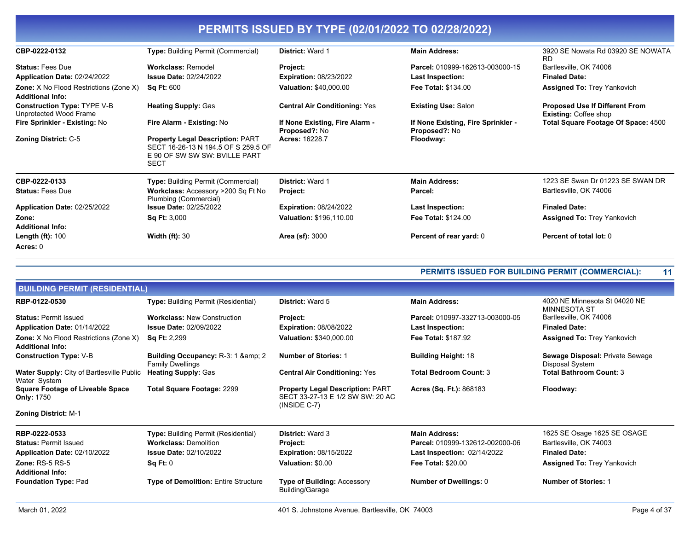| CBP-0222-0132                                                            | <b>Type: Building Permit (Commercial)</b>                                                                                      | <b>District: Ward 1</b>                         | <b>Main Address:</b>                                       | 3920 SE Nowata Rd 03920 SE NOWATA<br>RD.                              |
|--------------------------------------------------------------------------|--------------------------------------------------------------------------------------------------------------------------------|-------------------------------------------------|------------------------------------------------------------|-----------------------------------------------------------------------|
| <b>Status: Fees Due</b>                                                  | <b>Workclass: Remodel</b>                                                                                                      | Project:                                        | Parcel: 010999-162613-003000-15                            | Bartlesville, OK 74006                                                |
| Application Date: 02/24/2022                                             | <b>Issue Date: 02/24/2022</b>                                                                                                  | <b>Expiration: 08/23/2022</b>                   | Last Inspection:                                           | <b>Finaled Date:</b>                                                  |
| <b>Zone:</b> X No Flood Restrictions (Zone X)<br><b>Additional Info:</b> | <b>Sq Ft: 600</b>                                                                                                              | <b>Valuation: \$40,000.00</b>                   | <b>Fee Total: \$134.00</b>                                 | <b>Assigned To: Trey Yankovich</b>                                    |
| <b>Construction Type: TYPE V-B</b><br>Unprotected Wood Frame             | <b>Heating Supply: Gas</b>                                                                                                     | <b>Central Air Conditioning: Yes</b>            | <b>Existing Use: Salon</b>                                 | <b>Proposed Use If Different From</b><br><b>Existing: Coffee shop</b> |
| Fire Sprinkler - Existing: No                                            | Fire Alarm - Existing: No                                                                                                      | If None Existing, Fire Alarm -<br>Proposed?: No | If None Existing, Fire Sprinkler -<br><b>Proposed?: No</b> | Total Square Footage Of Space: 4500                                   |
| <b>Zoning District: C-5</b>                                              | <b>Property Legal Description: PART</b><br>SECT 16-26-13 N 194.5 OF S 259.5 OF<br>E 90 OF SW SW SW: BVILLE PART<br><b>SECT</b> | <b>Acres: 16228.7</b>                           | Floodway:                                                  |                                                                       |
| CBP-0222-0133                                                            | <b>Type:</b> Building Permit (Commercial)                                                                                      | District: Ward 1                                | <b>Main Address:</b>                                       | 1223 SE Swan Dr 01223 SE SWAN DR                                      |
| <b>Status: Fees Due</b>                                                  | Workclass: Accessory >200 Sq Ft No<br>Plumbing (Commercial)                                                                    | Project:                                        | Parcel:                                                    | Bartlesville, OK 74006                                                |
| Application Date: 02/25/2022                                             | <b>Issue Date: 02/25/2022</b>                                                                                                  | <b>Expiration: 08/24/2022</b>                   | Last Inspection:                                           | <b>Finaled Date:</b>                                                  |
| Zone:<br><b>Additional Info:</b>                                         | <b>Sq Ft: 3,000</b>                                                                                                            | Valuation: \$196,110.00                         | <b>Fee Total: \$124.00</b>                                 | <b>Assigned To: Trey Yankovich</b>                                    |
| Length $(ft)$ : 100<br>Acres: 0                                          | <b>Width (ft): 30</b>                                                                                                          | <b>Area (sf): 3000</b>                          | Percent of rear yard: 0                                    | Percent of total lot: 0                                               |

### **PERMITS ISSUED FOR BUILDING PERMIT (COMMERCIAL): 11**

| <b>BUILDING PERMIT (RESIDENTIAL)</b>                                     |                                                                      |                                                                                               |                                    |                                                    |
|--------------------------------------------------------------------------|----------------------------------------------------------------------|-----------------------------------------------------------------------------------------------|------------------------------------|----------------------------------------------------|
| RBP-0122-0530                                                            | <b>Type: Building Permit (Residential)</b>                           | <b>District: Ward 5</b>                                                                       | <b>Main Address:</b>               | 4020 NE Minnesota St 04020 NE<br>MINNESOTA ST      |
| <b>Status: Permit Issued</b>                                             | <b>Workclass: New Construction</b>                                   | Project:                                                                                      | Parcel: 010997-332713-003000-05    | Bartlesville, OK 74006                             |
| Application Date: 01/14/2022                                             | <b>Issue Date: 02/09/2022</b>                                        | <b>Expiration: 08/08/2022</b>                                                                 | Last Inspection:                   | <b>Finaled Date:</b>                               |
| <b>Zone:</b> X No Flood Restrictions (Zone X)<br><b>Additional Info:</b> | <b>Sq Ft: 2,299</b>                                                  | Valuation: \$340,000.00                                                                       | <b>Fee Total: \$187.92</b>         | <b>Assigned To: Trey Yankovich</b>                 |
| <b>Construction Type: V-B</b>                                            | <b>Building Occupancy: R-3: 1 &amp; 2</b><br><b>Family Dwellings</b> | <b>Number of Stories: 1</b>                                                                   | <b>Building Height: 18</b>         | Sewage Disposal: Private Sewage<br>Disposal System |
| <b>Water Supply:</b> City of Bartlesville Public<br>Water System         | <b>Heating Supply: Gas</b>                                           | <b>Central Air Conditioning: Yes</b>                                                          | <b>Total Bedroom Count: 3</b>      | <b>Total Bathroom Count: 3</b>                     |
| <b>Square Footage of Liveable Space</b><br><b>Only: 1750</b>             | <b>Total Square Footage: 2299</b>                                    | <b>Property Legal Description: PART</b><br>SECT 33-27-13 E 1/2 SW SW: 20 AC<br>$(INSIDE C-7)$ | Acres (Sq. Ft.): 868183            | Floodway:                                          |
| <b>Zoning District: M-1</b>                                              |                                                                      |                                                                                               |                                    |                                                    |
| RBP-0222-0533                                                            | <b>Type: Building Permit (Residential)</b>                           | <b>District: Ward 3</b>                                                                       | <b>Main Address:</b>               | 1625 SE Osage 1625 SE OSAGE                        |
| <b>Status: Permit Issued</b>                                             | <b>Workclass: Demolition</b>                                         | Project:                                                                                      | Parcel: 010999-132612-002000-06    | Bartlesville, OK 74003                             |
| Application Date: 02/10/2022                                             | <b>Issue Date: 02/10/2022</b>                                        | <b>Expiration: 08/15/2022</b>                                                                 | <b>Last Inspection: 02/14/2022</b> | <b>Finaled Date:</b>                               |
| <b>Zone: RS-5 RS-5</b><br><b>Additional Info:</b>                        | Sq Ft: 0                                                             | Valuation: \$0.00                                                                             | <b>Fee Total: \$20.00</b>          | <b>Assigned To: Trey Yankovich</b>                 |
| <b>Foundation Type: Pad</b>                                              | <b>Type of Demolition: Entire Structure</b>                          | <b>Type of Building: Accessory</b><br>Building/Garage                                         | <b>Number of Dwellings: 0</b>      | <b>Number of Stories: 1</b>                        |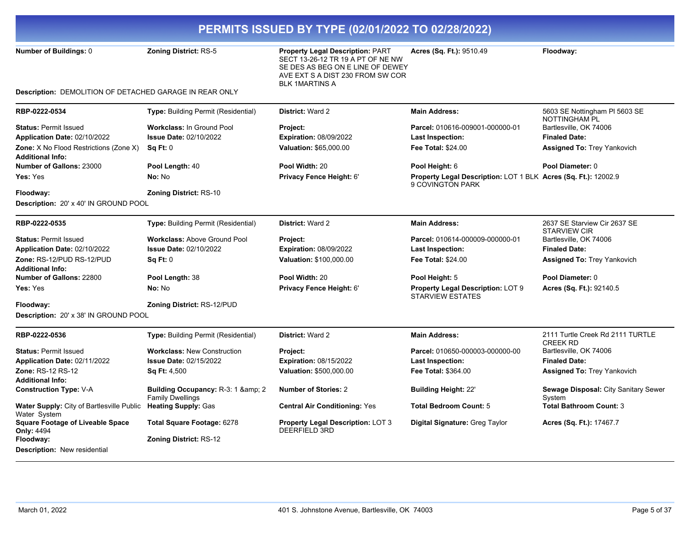| PERMITS ISSUED BY TYPE (02/01/2022 TO 02/28/2022)                 |                                                                |                                                                                                                                                                               |                                                                                    |                                                       |  |
|-------------------------------------------------------------------|----------------------------------------------------------------|-------------------------------------------------------------------------------------------------------------------------------------------------------------------------------|------------------------------------------------------------------------------------|-------------------------------------------------------|--|
| Number of Buildings: 0                                            | <b>Zoning District: RS-5</b>                                   | <b>Property Legal Description: PART</b><br>SECT 13-26-12 TR 19 A PT OF NE NW<br>SE DES AS BEG ON E LINE OF DEWEY<br>AVE EXT S A DIST 230 FROM SW COR<br><b>BLK 1MARTINS A</b> | Acres (Sq. Ft.): 9510.49                                                           | Floodway:                                             |  |
| Description: DEMOLITION OF DETACHED GARAGE IN REAR ONLY           |                                                                |                                                                                                                                                                               |                                                                                    |                                                       |  |
| RBP-0222-0534                                                     | <b>Type: Building Permit (Residential)</b>                     | <b>District: Ward 2</b>                                                                                                                                                       | <b>Main Address:</b>                                                               | 5603 SE Nottingham PI 5603 SE<br><b>NOTTINGHAM PL</b> |  |
| <b>Status: Permit Issued</b>                                      | <b>Workclass: In Ground Pool</b>                               | <b>Project:</b>                                                                                                                                                               | Parcel: 010616-009001-000000-01                                                    | Bartlesville, OK 74006                                |  |
| Application Date: 02/10/2022                                      | <b>Issue Date: 02/10/2022</b>                                  | <b>Expiration: 08/09/2022</b>                                                                                                                                                 | Last Inspection:                                                                   | <b>Finaled Date:</b>                                  |  |
| Zone: X No Flood Restrictions (Zone X)<br><b>Additional Info:</b> | Sq Ft: 0                                                       | Valuation: \$65,000.00                                                                                                                                                        | <b>Fee Total: \$24.00</b>                                                          | <b>Assigned To: Trey Yankovich</b>                    |  |
| <b>Number of Gallons: 23000</b>                                   | Pool Length: 40                                                | Pool Width: 20                                                                                                                                                                | Pool Height: 6                                                                     | Pool Diameter: 0                                      |  |
| Yes: Yes                                                          | No: No                                                         | Privacy Fence Height: 6'                                                                                                                                                      | Property Legal Description: LOT 1 BLK Acres (Sq. Ft.): 12002.9<br>9 COVINGTON PARK |                                                       |  |
| Floodway:                                                         | Zoning District: RS-10                                         |                                                                                                                                                                               |                                                                                    |                                                       |  |
| Description: 20' x 40' IN GROUND POOL                             |                                                                |                                                                                                                                                                               |                                                                                    |                                                       |  |
| RBP-0222-0535                                                     | Type: Building Permit (Residential)                            | District: Ward 2                                                                                                                                                              | <b>Main Address:</b>                                                               | 2637 SE Starview Cir 2637 SE<br><b>STARVIEW CIR</b>   |  |
| <b>Status: Permit Issued</b>                                      | <b>Workclass: Above Ground Pool</b>                            | <b>Project:</b>                                                                                                                                                               | Parcel: 010614-000009-000000-01                                                    | Bartlesville, OK 74006                                |  |
| Application Date: 02/10/2022                                      | <b>Issue Date: 02/10/2022</b>                                  | <b>Expiration: 08/09/2022</b>                                                                                                                                                 | Last Inspection:                                                                   | <b>Finaled Date:</b>                                  |  |
| Zone: RS-12/PUD RS-12/PUD                                         | Sq Ft: 0                                                       | Valuation: \$100,000.00                                                                                                                                                       | <b>Fee Total: \$24.00</b>                                                          | <b>Assigned To: Trey Yankovich</b>                    |  |
| <b>Additional Info:</b>                                           |                                                                |                                                                                                                                                                               |                                                                                    |                                                       |  |
| Number of Gallons: 22800                                          | Pool Length: 38                                                | Pool Width: 20                                                                                                                                                                | Pool Height: 5                                                                     | Pool Diameter: 0                                      |  |
| <b>Yes:</b> Yes                                                   | No: No                                                         | Privacy Fence Height: 6'                                                                                                                                                      | Property Legal Description: LOT 9<br><b>STARVIEW ESTATES</b>                       | Acres (Sq. Ft.): 92140.5                              |  |
| Floodway:                                                         | <b>Zoning District: RS-12/PUD</b>                              |                                                                                                                                                                               |                                                                                    |                                                       |  |
| Description: 20' x 38' IN GROUND POOL                             |                                                                |                                                                                                                                                                               |                                                                                    |                                                       |  |
| RBP-0222-0536                                                     | <b>Type: Building Permit (Residential)</b>                     | <b>District: Ward 2</b>                                                                                                                                                       | <b>Main Address:</b>                                                               | 2111 Turtle Creek Rd 2111 TURTLE<br><b>CREEK RD</b>   |  |
| <b>Status: Permit Issued</b>                                      | <b>Workclass: New Construction</b>                             | <b>Project:</b>                                                                                                                                                               | Parcel: 010650-000003-000000-00                                                    | Bartlesville, OK 74006                                |  |
| Application Date: 02/11/2022                                      | <b>Issue Date: 02/15/2022</b>                                  | <b>Expiration: 08/15/2022</b>                                                                                                                                                 | <b>Last Inspection:</b>                                                            | <b>Finaled Date:</b>                                  |  |
| Zone: RS-12 RS-12                                                 | <b>Sq Ft: 4,500</b>                                            | Valuation: \$500,000.00                                                                                                                                                       | Fee Total: \$364.00                                                                | <b>Assigned To: Trey Yankovich</b>                    |  |
| Additional Info:                                                  |                                                                |                                                                                                                                                                               |                                                                                    |                                                       |  |
| <b>Construction Type: V-A</b>                                     | Building Occupancy: R-3: 1 & amp; 2<br><b>Family Dwellings</b> | <b>Number of Stories: 2</b>                                                                                                                                                   | <b>Building Height: 22'</b>                                                        | Sewage Disposal: City Sanitary Sewer<br>System        |  |
| Water Supply: City of Bartlesville Public<br>Water System         | <b>Heating Supply: Gas</b>                                     | <b>Central Air Conditioning: Yes</b>                                                                                                                                          | <b>Total Bedroom Count: 5</b>                                                      | <b>Total Bathroom Count: 3</b>                        |  |
| <b>Square Footage of Liveable Space</b><br><b>Only: 4494</b>      | Total Square Footage: 6278                                     | <b>Property Legal Description: LOT 3</b><br><b>DEERFIELD 3RD</b>                                                                                                              | Digital Signature: Greg Taylor                                                     | Acres (Sq. Ft.): 17467.7                              |  |
| Floodway:                                                         | <b>Zoning District: RS-12</b>                                  |                                                                                                                                                                               |                                                                                    |                                                       |  |
| <b>Description: New residential</b>                               |                                                                |                                                                                                                                                                               |                                                                                    |                                                       |  |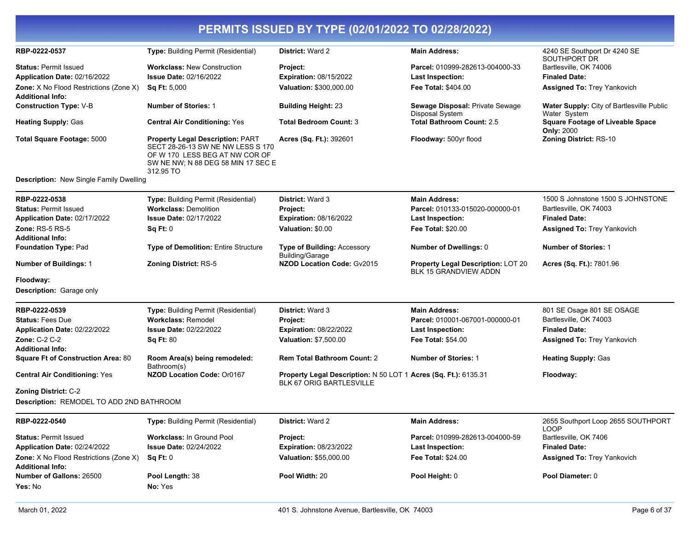| RBP-0222-0537                                                              | Type: Building Permit (Residential)                                                                                                                               | District: Ward 2                                                                                   | <b>Main Address:</b>                                                      | 4240 SE Southport Dr 4240 SE<br>SOUTHPORT DR                     |
|----------------------------------------------------------------------------|-------------------------------------------------------------------------------------------------------------------------------------------------------------------|----------------------------------------------------------------------------------------------------|---------------------------------------------------------------------------|------------------------------------------------------------------|
| <b>Status: Permit Issued</b><br>Application Date: 02/16/2022               | <b>Workclass: New Construction</b><br><b>Issue Date: 02/16/2022</b>                                                                                               | Project:<br><b>Expiration: 08/15/2022</b>                                                          | Parcel: 010999-282613-004000-33<br><b>Last Inspection:</b>                | Bartlesville, OK 74006<br><b>Finaled Date:</b>                   |
| <b>Zone:</b> X No Flood Restrictions (Zone X)<br><b>Additional Info:</b>   | <b>Sq Ft: 5,000</b>                                                                                                                                               | Valuation: \$300,000.00                                                                            | <b>Fee Total: \$404.00</b>                                                | <b>Assigned To: Trey Yankovich</b>                               |
| <b>Construction Type: V-B</b>                                              | <b>Number of Stories: 1</b>                                                                                                                                       | <b>Building Height: 23</b>                                                                         | Sewage Disposal: Private Sewage<br>Disposal System                        | <b>Water Supply: City of Bartlesville Public</b><br>Water System |
| <b>Heating Supply: Gas</b>                                                 | <b>Central Air Conditioning: Yes</b>                                                                                                                              | <b>Total Bedroom Count: 3</b>                                                                      | <b>Total Bathroom Count: 2.5</b>                                          | <b>Square Footage of Liveable Space</b><br><b>Only: 2000</b>     |
| Total Square Footage: 5000                                                 | <b>Property Legal Description: PART</b><br>SECT 28-26-13 SW NE NW LESS S 170<br>OF W 170 LESS BEG AT NW COR OF<br>SW NE NW; N 88 DEG 58 MIN 17 SEC E<br>312.95 TO | Acres (Sq. Ft.): 392601                                                                            | Floodway: 500yr flood                                                     | Zoning District: RS-10                                           |
| Description: New Single Family Dwelling                                    |                                                                                                                                                                   |                                                                                                    |                                                                           |                                                                  |
| RBP-0222-0538<br><b>Status: Permit Issued</b>                              | <b>Type:</b> Building Permit (Residential)<br><b>Workclass: Demolition</b>                                                                                        | <b>District: Ward 3</b><br>Project:                                                                | <b>Main Address:</b><br>Parcel: 010133-015020-000000-01                   | 1500 S Johnstone 1500 S JOHNSTONE<br>Bartlesville, OK 74003      |
| Application Date: 02/17/2022<br>Zone: RS-5 RS-5<br><b>Additional Info:</b> | <b>Issue Date: 02/17/2022</b><br>Sq Ft: 0                                                                                                                         | <b>Expiration: 08/16/2022</b><br>Valuation: \$0.00                                                 | Last Inspection:<br>Fee Total: \$20.00                                    | <b>Finaled Date:</b><br><b>Assigned To: Trey Yankovich</b>       |
| <b>Foundation Type: Pad</b>                                                | <b>Type of Demolition: Entire Structure</b>                                                                                                                       | <b>Type of Building: Accessory</b><br><b>Building/Garage</b>                                       | <b>Number of Dwellings: 0</b>                                             | <b>Number of Stories: 1</b>                                      |
| <b>Number of Buildings: 1</b>                                              | <b>Zoning District: RS-5</b>                                                                                                                                      | NZOD Location Code: Gv2015                                                                         | <b>Property Legal Description: LOT 20</b><br><b>BLK 15 GRANDVIEW ADDN</b> | Acres (Sq. Ft.): 7801.96                                         |
| Floodway:                                                                  |                                                                                                                                                                   |                                                                                                    |                                                                           |                                                                  |
| <b>Description: Garage only</b>                                            |                                                                                                                                                                   |                                                                                                    |                                                                           |                                                                  |
| RBP-0222-0539                                                              | Type: Building Permit (Residential)                                                                                                                               | District: Ward 3                                                                                   | <b>Main Address:</b>                                                      | 801 SE Osage 801 SE OSAGE                                        |
| <b>Status: Fees Due</b>                                                    | <b>Workclass: Remodel</b>                                                                                                                                         | Project:                                                                                           | Parcel: 010001-067001-000000-01                                           | Bartlesville, OK 74003                                           |
| Application Date: 02/22/2022                                               | <b>Issue Date: 02/22/2022</b>                                                                                                                                     | <b>Expiration: 08/22/2022</b>                                                                      | <b>Last Inspection:</b>                                                   | <b>Finaled Date:</b>                                             |
| <b>Zone: C-2 C-2</b>                                                       | <b>Sq Ft: 80</b>                                                                                                                                                  | <b>Valuation: \$7,500.00</b>                                                                       | <b>Fee Total: \$54.00</b>                                                 | <b>Assigned To: Trey Yankovich</b>                               |
| <b>Additional Info:</b><br><b>Square Ft of Construction Area: 80</b>       | Room Area(s) being remodeled:<br>Bathroom(s)                                                                                                                      | <b>Rem Total Bathroom Count: 2</b>                                                                 | <b>Number of Stories: 1</b>                                               | <b>Heating Supply: Gas</b>                                       |
| <b>Central Air Conditioning: Yes</b>                                       | NZOD Location Code: Or0167                                                                                                                                        | <b>Property Legal Description: N 50 LOT 1 Acres (Sq. Ft.): 6135.31</b><br>BLK 67 ORIG BARTLESVILLE |                                                                           | Floodway:                                                        |
| Zoning District: C-2                                                       |                                                                                                                                                                   |                                                                                                    |                                                                           |                                                                  |
| Description: REMODEL TO ADD 2ND BATHROOM                                   |                                                                                                                                                                   |                                                                                                    |                                                                           |                                                                  |
| RBP-0222-0540                                                              | <b>Type:</b> Building Permit (Residential)                                                                                                                        | <b>District: Ward 2</b>                                                                            | <b>Main Address:</b>                                                      | 2655 Southport Loop 2655 SOUTHPORT<br>LOOP                       |
| <b>Status: Permit Issued</b>                                               | <b>Workclass: In Ground Pool</b><br><b>Issue Date: 02/24/2022</b>                                                                                                 | Project:                                                                                           | Parcel: 010999-282613-004000-59                                           | Bartlesville, OK 7406                                            |
| Application Date: 02/24/2022<br>Zone: X No Flood Restrictions (Zone X)     | Sq Ft: 0                                                                                                                                                          | <b>Expiration: 08/23/2022</b><br>Valuation: \$55,000.00                                            | <b>Last Inspection:</b><br><b>Fee Total: \$24.00</b>                      | <b>Finaled Date:</b><br><b>Assigned To: Trey Yankovich</b>       |
| Additional Info:<br>Number of Gallons: 26500<br>Yes: No                    | Pool Length: 38<br>No: Yes                                                                                                                                        | Pool Width: 20                                                                                     | Pool Height: 0                                                            | Pool Diameter: 0                                                 |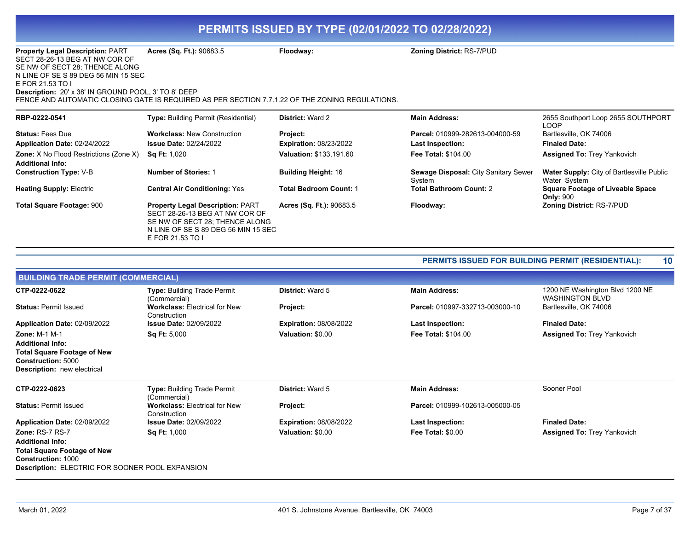| <b>Property Legal Description: PART</b><br>SECT 28-26-13 BEG AT NW COR OF<br>SE NW OF SECT 28; THENCE ALONG<br>N LINE OF SE S 89 DEG 56 MIN 15 SEC<br>E FOR 21.53 TO I<br><b>Description: 20' x 38' IN GROUND POOL, 3' TO 8' DEEP</b> | Acres (Sq. Ft.): 90683.5<br>FENCE AND AUTOMATIC CLOSING GATE IS REQUIRED AS PER SECTION 7.7.1.22 OF THE ZONING REGULATIONS.                                            | Floodway:                       | <b>Zoning District: RS-7/PUD</b>               |                                                                  |
|---------------------------------------------------------------------------------------------------------------------------------------------------------------------------------------------------------------------------------------|------------------------------------------------------------------------------------------------------------------------------------------------------------------------|---------------------------------|------------------------------------------------|------------------------------------------------------------------|
| RBP-0222-0541                                                                                                                                                                                                                         | <b>Type:</b> Building Permit (Residential)                                                                                                                             | <b>District: Ward 2</b>         | <b>Main Address:</b>                           | 2655 Southport Loop 2655 SOUTHPORT<br>LOOP                       |
| <b>Status: Fees Due</b>                                                                                                                                                                                                               | <b>Workclass: New Construction</b>                                                                                                                                     | Project:                        | Parcel: 010999-282613-004000-59                | Bartlesville, OK 74006                                           |
| Application Date: 02/24/2022                                                                                                                                                                                                          | <b>Issue Date: 02/24/2022</b>                                                                                                                                          | <b>Expiration: 08/23/2022</b>   | Last Inspection:                               | <b>Finaled Date:</b>                                             |
| <b>Zone:</b> X No Flood Restrictions (Zone X)<br><b>Additional Info:</b>                                                                                                                                                              | <b>Sq Ft: 1,020</b>                                                                                                                                                    | <b>Valuation: \$133,191.60</b>  | <b>Fee Total: \$104.00</b>                     | <b>Assigned To: Trey Yankovich</b>                               |
| <b>Construction Type: V-B</b>                                                                                                                                                                                                         | <b>Number of Stories: 1</b>                                                                                                                                            | <b>Building Height: 16</b>      | Sewage Disposal: City Sanitary Sewer<br>System | <b>Water Supply: City of Bartlesville Public</b><br>Water System |
| <b>Heating Supply: Electric</b>                                                                                                                                                                                                       | <b>Central Air Conditioning: Yes</b>                                                                                                                                   | <b>Total Bedroom Count: 1</b>   | <b>Total Bathroom Count: 2</b>                 | <b>Square Footage of Liveable Space</b><br><b>Only: 900</b>      |
| <b>Total Square Footage: 900</b>                                                                                                                                                                                                      | <b>Property Legal Description: PART</b><br>SECT 28-26-13 BEG AT NW COR OF<br>SE NW OF SECT 28: THENCE ALONG<br>N LINE OF SE S 89 DEG 56 MIN 15 SEC<br>E FOR 21.53 TO I | <b>Acres (Sq. Ft.): 90683.5</b> | Floodway:                                      | <b>Zoning District: RS-7/PUD</b>                                 |

### **PERMITS ISSUED FOR BUILDING PERMIT (RESIDENTIAL): 10**

| <b>BUILDING TRADE PERMIT (COMMERCIAL)</b>                                                                                                                                      |                                                      |                               |                                 |                                                           |
|--------------------------------------------------------------------------------------------------------------------------------------------------------------------------------|------------------------------------------------------|-------------------------------|---------------------------------|-----------------------------------------------------------|
| CTP-0222-0622                                                                                                                                                                  | <b>Type: Building Trade Permit</b><br>(Commercial)   | <b>District: Ward 5</b>       | <b>Main Address:</b>            | 1200 NE Washington Blvd 1200 NE<br><b>WASHINGTON BLVD</b> |
| <b>Status: Permit Issued</b>                                                                                                                                                   | <b>Workclass: Electrical for New</b><br>Construction | Project:                      | Parcel: 010997-332713-003000-10 | Bartlesville, OK 74006                                    |
| Application Date: 02/09/2022                                                                                                                                                   | <b>Issue Date: 02/09/2022</b>                        | <b>Expiration: 08/08/2022</b> | <b>Last Inspection:</b>         | <b>Finaled Date:</b>                                      |
| <b>Zone: M-1 M-1</b>                                                                                                                                                           | <b>Sq Ft: 5,000</b>                                  | Valuation: \$0.00             | <b>Fee Total: \$104.00</b>      | <b>Assigned To: Trey Yankovich</b>                        |
| <b>Additional Info:</b>                                                                                                                                                        |                                                      |                               |                                 |                                                           |
| <b>Total Square Footage of New</b><br>Construction: 5000<br><b>Description:</b> new electrical                                                                                 |                                                      |                               |                                 |                                                           |
| CTP-0222-0623                                                                                                                                                                  | <b>Type: Building Trade Permit</b><br>(Commercial)   | <b>District: Ward 5</b>       | <b>Main Address:</b>            | Sooner Pool                                               |
| <b>Status: Permit Issued</b>                                                                                                                                                   | <b>Workclass: Electrical for New</b><br>Construction | Project:                      | Parcel: 010999-102613-005000-05 |                                                           |
| Application Date: 02/09/2022                                                                                                                                                   | <b>Issue Date: 02/09/2022</b>                        | <b>Expiration: 08/08/2022</b> | <b>Last Inspection:</b>         | <b>Finaled Date:</b>                                      |
| <b>Zone: RS-7 RS-7</b><br><b>Additional Info:</b><br><b>Total Square Footage of New</b><br><b>Construction: 1000</b><br><b>Description: ELECTRIC FOR SOONER POOL EXPANSION</b> | <b>Sq Ft: 1,000</b>                                  | Valuation: \$0.00             | <b>Fee Total: \$0.00</b>        | <b>Assigned To: Trey Yankovich</b>                        |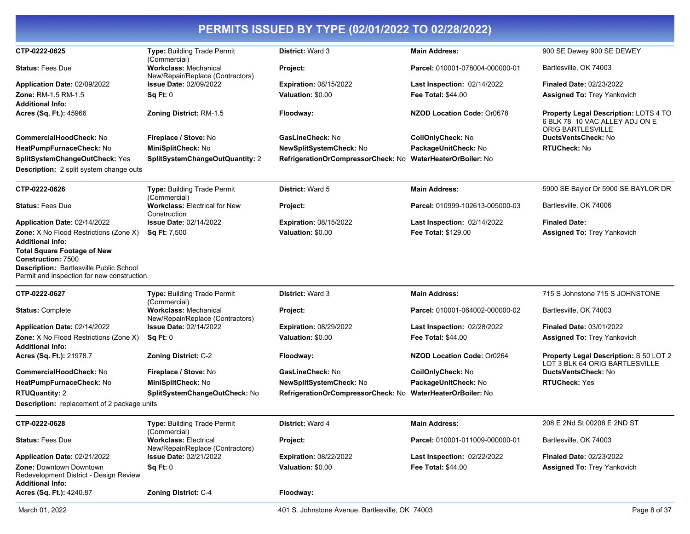| CTP-0222-0625                                                                                                                                                                                                                                                  | Type: Building Trade Permit                                                      | District: Ward 3                                                                  | <b>Main Address:</b>                                                        | 900 SE Dewey 900 SE DEWEY                                                |
|----------------------------------------------------------------------------------------------------------------------------------------------------------------------------------------------------------------------------------------------------------------|----------------------------------------------------------------------------------|-----------------------------------------------------------------------------------|-----------------------------------------------------------------------------|--------------------------------------------------------------------------|
| <b>Status: Fees Due</b>                                                                                                                                                                                                                                        | (Commercial)<br><b>Workclass: Mechanical</b>                                     | Project:                                                                          | Parcel: 010001-078004-000000-01                                             | Bartlesville, OK 74003                                                   |
| Application Date: 02/09/2022<br>Zone: RM-1.5 RM-1.5                                                                                                                                                                                                            | New/Repair/Replace (Contractors)<br><b>Issue Date: 02/09/2022</b><br>Sq Ft: 0    | <b>Expiration: 08/15/2022</b><br>Valuation: \$0.00                                | <b>Last Inspection: 02/14/2022</b><br><b>Fee Total: \$44.00</b>             | <b>Finaled Date: 02/23/2022</b><br><b>Assigned To: Trey Yankovich</b>    |
| <b>Additional Info:</b><br>Acres (Sq. Ft.): 45966                                                                                                                                                                                                              | Zoning District: RM-1.5                                                          | Floodway:                                                                         | <b>NZOD Location Code: Or0678</b>                                           | Property Legal Description: LOTS 4 TO<br>6 BLK 78 10 VAC ALLEY ADJ ON E  |
| <b>CommercialHoodCheck: No</b><br>HeatPumpFurnaceCheck: No<br>SplitSystemChangeOutCheck: Yes<br><b>Description:</b> 2 split system change outs                                                                                                                 | Fireplace / Stove: No<br>MiniSplitCheck: No<br>SplitSystemChangeOutQuantity: 2   | GasLineCheck: No<br>NewSplitSystemCheck: No<br>RefrigerationOrCompressorCheck: No | CoilOnlyCheck: No<br>PackageUnitCheck: No<br><b>WaterHeaterOrBoiler: No</b> | <b>ORIG BARTLESVILLE</b><br>DuctsVentsCheck: No<br><b>RTUCheck: No</b>   |
| CTP-0222-0626                                                                                                                                                                                                                                                  | Type: Building Trade Permit                                                      | <b>District: Ward 5</b>                                                           | <b>Main Address:</b>                                                        | 5900 SE Baylor Dr 5900 SE BAYLOR DR                                      |
| <b>Status: Fees Due</b>                                                                                                                                                                                                                                        | (Commercial)<br><b>Workclass: Electrical for New</b><br>Construction             | Project:                                                                          | Parcel: 010999-102613-005000-03                                             | Bartlesville, OK 74006                                                   |
| Application Date: 02/14/2022<br>Zone: X No Flood Restrictions (Zone X)<br><b>Additional Info:</b><br><b>Total Square Footage of New</b><br><b>Construction: 7500</b><br>Description: Bartlesville Public School<br>Permit and inspection for new construction. | <b>Issue Date: 02/14/2022</b><br><b>Sq Ft: 7,500</b>                             | <b>Expiration: 08/15/2022</b><br>Valuation: \$0.00                                | <b>Last Inspection: 02/14/2022</b><br><b>Fee Total: \$129.00</b>            | <b>Finaled Date:</b><br>Assigned To: Trey Yankovich                      |
| CTP-0222-0627                                                                                                                                                                                                                                                  | <b>Type: Building Trade Permit</b>                                               | <b>District: Ward 3</b>                                                           | <b>Main Address:</b>                                                        | 715 S Johnstone 715 S JOHNSTONE                                          |
| <b>Status: Complete</b>                                                                                                                                                                                                                                        | (Commercial)<br><b>Workclass: Mechanical</b><br>New/Repair/Replace (Contractors) | Project:                                                                          | Parcel: 010001-064002-000000-02                                             | Bartlesville, OK 74003                                                   |
| Application Date: 02/14/2022                                                                                                                                                                                                                                   | <b>Issue Date: 02/14/2022</b>                                                    | <b>Expiration: 08/29/2022</b>                                                     | <b>Last Inspection: 02/28/2022</b>                                          | <b>Finaled Date: 03/01/2022</b>                                          |
| Zone: X No Flood Restrictions (Zone X)<br>Additional Info:                                                                                                                                                                                                     | Sq Ft: 0                                                                         | Valuation: \$0.00                                                                 | Fee Total: \$44.00                                                          | <b>Assigned To: Trey Yankovich</b>                                       |
| Acres (Sq. Ft.): 21978.7                                                                                                                                                                                                                                       | <b>Zoning District: C-2</b>                                                      | Floodway:                                                                         | <b>NZOD Location Code: Or0264</b>                                           | Property Legal Description: S 50 LOT 2<br>LOT 3 BLK 64 ORIG BARTLESVILLE |
| <b>CommercialHoodCheck: No</b><br>HeatPumpFurnaceCheck: No                                                                                                                                                                                                     | Fireplace / Stove: No<br>MiniSplitCheck: No                                      | GasLineCheck: No<br>NewSplitSystemCheck: No                                       | CoilOnlyCheck: No<br>PackageUnitCheck: No                                   | <b>DuctsVentsCheck: No</b><br><b>RTUCheck: Yes</b>                       |
| <b>RTUQuantity: 2</b><br>Description: replacement of 2 package units                                                                                                                                                                                           | SplitSystemChangeOutCheck: No                                                    | RefrigerationOrCompressorCheck: No                                                | WaterHeaterOrBoiler: No                                                     |                                                                          |
| CTP-0222-0628                                                                                                                                                                                                                                                  |                                                                                  |                                                                                   | <b>Main Address:</b>                                                        | 208 E 2Nd St 00208 E 2ND ST                                              |
| <b>Status: Fees Due</b>                                                                                                                                                                                                                                        | Type: Building Trade Permit<br>(Commercial)<br><b>Workclass: Electrical</b>      | District: Ward 4<br>Project:                                                      | Parcel: 010001-011009-000000-01                                             | Bartlesville, OK 74003                                                   |
| Application Date: 02/21/2022                                                                                                                                                                                                                                   | New/Repair/Replace (Contractors)<br><b>Issue Date: 02/21/2022</b>                | <b>Expiration: 08/22/2022</b>                                                     | Last Inspection: 02/22/2022                                                 | <b>Finaled Date: 02/23/2022</b>                                          |
| Zone: Downtown Downtown<br>Redevelopment District - Design Review<br>Additional Info:                                                                                                                                                                          | Sq Ft: 0                                                                         | Valuation: \$0.00                                                                 | Fee Total: \$44.00                                                          | <b>Assigned To: Trey Yankovich</b>                                       |
| Acres (Sq. Ft.): 4240.87                                                                                                                                                                                                                                       | Zoning District: C-4                                                             | Floodway:                                                                         |                                                                             |                                                                          |
|                                                                                                                                                                                                                                                                |                                                                                  |                                                                                   |                                                                             |                                                                          |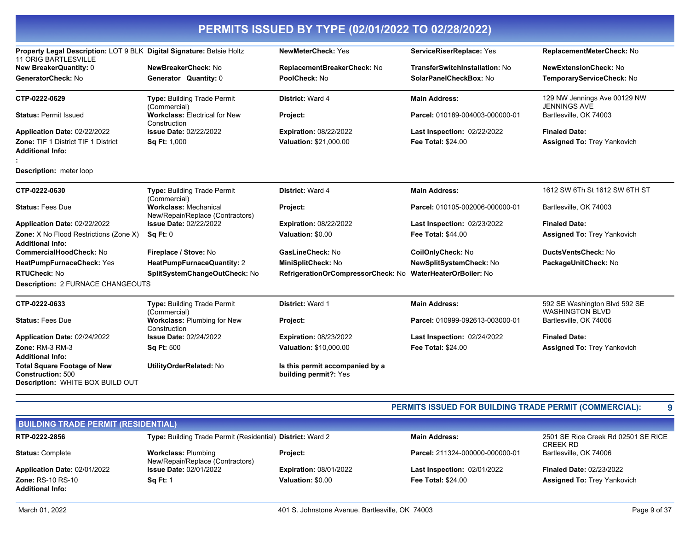| Property Legal Description: LOT 9 BLK Digital Signature: Betsie Holtz<br><b>11 ORIG BARTLESVILLE</b> |                                                                  | <b>NewMeterCheck: Yes</b>                                  | ServiceRiserReplace: Yes              | ReplacementMeterCheck: No                               |
|------------------------------------------------------------------------------------------------------|------------------------------------------------------------------|------------------------------------------------------------|---------------------------------------|---------------------------------------------------------|
| New BreakerQuantity: 0                                                                               | NewBreakerCheck: No                                              | ReplacementBreakerCheck: No                                | <b>TransferSwitchInstallation: No</b> | <b>NewExtensionCheck: No</b>                            |
| GeneratorCheck: No                                                                                   | Generator Quantity: 0                                            | PoolCheck: No                                              | SolarPanelCheckBox: No                | TemporaryServiceCheck: No                               |
| CTP-0222-0629                                                                                        | <b>Type: Building Trade Permit</b><br>(Commercial)               | District: Ward 4                                           | <b>Main Address:</b>                  | 129 NW Jennings Ave 00129 NW<br><b>JENNINGS AVE</b>     |
| <b>Status: Permit Issued</b>                                                                         | <b>Workclass: Electrical for New</b><br>Construction             | Project:                                                   | Parcel: 010189-004003-000000-01       | Bartlesville, OK 74003                                  |
| Application Date: 02/22/2022                                                                         | <b>Issue Date: 02/22/2022</b>                                    | <b>Expiration: 08/22/2022</b>                              | <b>Last Inspection: 02/22/2022</b>    | <b>Finaled Date:</b>                                    |
| Zone: TIF 1 District TIF 1 District<br>Additional Info:                                              | Sq Ft: 1,000                                                     | Valuation: \$21,000.00                                     | <b>Fee Total: \$24.00</b>             | <b>Assigned To: Trey Yankovich</b>                      |
| Description: meter loop                                                                              |                                                                  |                                                            |                                       |                                                         |
| CTP-0222-0630                                                                                        | <b>Type: Building Trade Permit</b><br>(Commercial)               | District: Ward 4                                           | <b>Main Address:</b>                  | 1612 SW 6Th St 1612 SW 6TH ST                           |
| <b>Status: Fees Due</b>                                                                              | <b>Workclass: Mechanical</b><br>New/Repair/Replace (Contractors) | Project:                                                   | Parcel: 010105-002006-000000-01       | Bartlesville, OK 74003                                  |
| Application Date: 02/22/2022                                                                         | <b>Issue Date: 02/22/2022</b>                                    | <b>Expiration: 08/22/2022</b>                              | Last Inspection: 02/23/2022           | <b>Finaled Date:</b>                                    |
| Zone: X No Flood Restrictions (Zone X)<br><b>Additional Info:</b>                                    | Sq Ft: 0                                                         | Valuation: \$0.00                                          | <b>Fee Total: \$44.00</b>             | <b>Assigned To: Trey Yankovich</b>                      |
| <b>CommercialHoodCheck: No</b>                                                                       | Fireplace / Stove: No                                            | GasLineCheck: No                                           | CoilOnlyCheck: No                     | <b>DuctsVentsCheck: No</b>                              |
| HeatPumpFurnaceCheck: Yes                                                                            | HeatPumpFurnaceQuantity: 2                                       | MiniSplitCheck: No                                         | NewSplitSystemCheck: No               | PackageUnitCheck: No                                    |
| RTUCheck: No                                                                                         | SplitSystemChangeOutCheck: No                                    | RefrigerationOrCompressorCheck: No WaterHeaterOrBoiler: No |                                       |                                                         |
| Description: 2 FURNACE CHANGEOUTS                                                                    |                                                                  |                                                            |                                       |                                                         |
| CTP-0222-0633                                                                                        | <b>Type: Building Trade Permit</b><br>(Commercial)               | <b>District: Ward 1</b>                                    | <b>Main Address:</b>                  | 592 SE Washington Blvd 592 SE<br><b>WASHINGTON BLVD</b> |
| <b>Status: Fees Due</b>                                                                              | <b>Workclass: Plumbing for New</b><br>Construction               | Project:                                                   | Parcel: 010999-092613-003000-01       | Bartlesville, OK 74006                                  |
| Application Date: 02/24/2022                                                                         | <b>Issue Date: 02/24/2022</b>                                    | <b>Expiration: 08/23/2022</b>                              | <b>Last Inspection: 02/24/2022</b>    | <b>Finaled Date:</b>                                    |
| Zone: RM-3 RM-3<br><b>Additional Info:</b>                                                           | <b>Sq Ft: 500</b>                                                | Valuation: \$10,000.00                                     | <b>Fee Total: \$24.00</b>             | <b>Assigned To: Trey Yankovich</b>                      |
| <b>Total Square Footage of New</b><br><b>Construction: 500</b><br>Description: WHITE BOX BUILD OUT   | UtilityOrderRelated: No                                          | Is this permit accompanied by a<br>building permit?: Yes   |                                       |                                                         |

### **PERMITS ISSUED FOR BUILDING TRADE PERMIT (COMMERCIAL): 9**

| <b>BUILDING TRADE PERMIT (RESIDENTIAL)</b> |                                                                          |                               |                                    |                                                 |  |
|--------------------------------------------|--------------------------------------------------------------------------|-------------------------------|------------------------------------|-------------------------------------------------|--|
| RTP-0222-2856                              | <b>Type:</b> Building Trade Permit (Residential) <b>District:</b> Ward 2 |                               | <b>Main Address:</b>               | 2501 SE Rice Creek Rd 02501 SE RICE<br>CREEK RD |  |
| <b>Status: Complete</b>                    | <b>Workclass: Plumbing</b><br>New/Repair/Replace (Contractors)           | Project:                      | Parcel: 211324-000000-000000-01    | Bartlesville, OK 74006                          |  |
| Application Date: 02/01/2022               | <b>Issue Date: 02/01/2022</b>                                            | <b>Expiration: 08/01/2022</b> | <b>Last Inspection: 02/01/2022</b> | <b>Finaled Date: 02/23/2022</b>                 |  |
| <b>Zone: RS-10 RS-10</b>                   | <b>Sq Ft: 1</b>                                                          | Valuation: \$0.00             | <b>Fee Total: \$24.00</b>          | <b>Assigned To: Trey Yankovich</b>              |  |
| <b>Additional Info:</b>                    |                                                                          |                               |                                    |                                                 |  |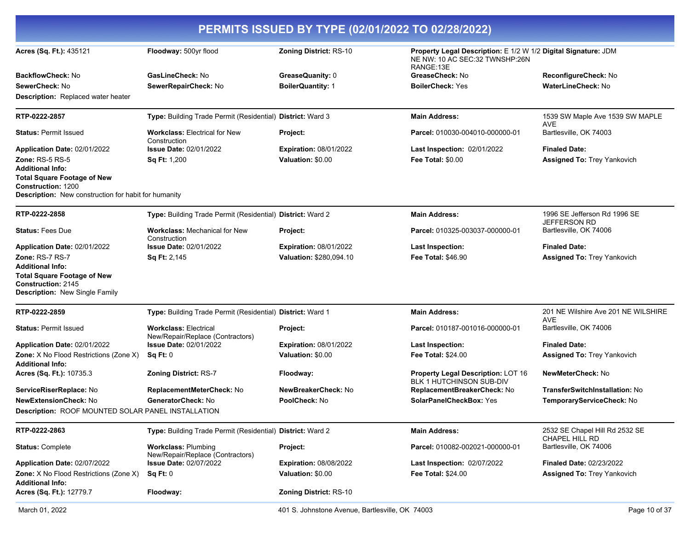| PERMITS ISSUED BY TYPE (02/01/2022 TO 02/28/2022)                                                                            |                                                                  |                                                 |                                                                                                               |                                                     |
|------------------------------------------------------------------------------------------------------------------------------|------------------------------------------------------------------|-------------------------------------------------|---------------------------------------------------------------------------------------------------------------|-----------------------------------------------------|
| Acres (Sq. Ft.): 435121                                                                                                      | Floodway: 500yr flood                                            | Zoning District: RS-10                          | Property Legal Description: E 1/2 W 1/2 Digital Signature: JDM<br>NE NW: 10 AC SEC:32 TWNSHP:26N<br>RANGE:13E |                                                     |
| BackflowCheck: No                                                                                                            | GasLineCheck: No                                                 | GreaseQuanity: 0                                | GreaseCheck: No                                                                                               | <b>ReconfigureCheck: No</b>                         |
| SewerCheck: No                                                                                                               | SewerRepairCheck: No                                             | <b>BoilerQuantity: 1</b>                        | <b>BoilerCheck: Yes</b>                                                                                       | <b>WaterLineCheck: No</b>                           |
| <b>Description:</b> Replaced water heater                                                                                    |                                                                  |                                                 |                                                                                                               |                                                     |
| RTP-0222-2857                                                                                                                | Type: Building Trade Permit (Residential) District: Ward 3       |                                                 | <b>Main Address:</b>                                                                                          | 1539 SW Maple Ave 1539 SW MAPLE<br><b>AVE</b>       |
| <b>Status: Permit Issued</b>                                                                                                 | <b>Workclass: Electrical for New</b><br>Construction             | Project:                                        | Parcel: 010030-004010-000000-01                                                                               | Bartlesville, OK 74003                              |
| Application Date: 02/01/2022                                                                                                 | <b>Issue Date: 02/01/2022</b>                                    | <b>Expiration: 08/01/2022</b>                   | Last Inspection: 02/01/2022                                                                                   | <b>Finaled Date:</b>                                |
| <b>Zone: RS-5 RS-5</b>                                                                                                       | Sq Ft: 1,200                                                     | Valuation: \$0.00                               | <b>Fee Total: \$0.00</b>                                                                                      | <b>Assigned To: Trey Yankovich</b>                  |
| <b>Additional Info:</b>                                                                                                      |                                                                  |                                                 |                                                                                                               |                                                     |
| <b>Total Square Footage of New</b><br><b>Construction: 1200</b>                                                              |                                                                  |                                                 |                                                                                                               |                                                     |
| Description: New construction for habit for humanity                                                                         |                                                                  |                                                 |                                                                                                               |                                                     |
| RTP-0222-2858                                                                                                                | Type: Building Trade Permit (Residential) District: Ward 2       |                                                 | <b>Main Address:</b>                                                                                          | 1996 SE Jefferson Rd 1996 SE<br><b>JEFFERSON RD</b> |
| <b>Status: Fees Due</b>                                                                                                      | <b>Workclass:</b> Mechanical for New<br>Construction             | Project:                                        | Parcel: 010325-003037-000000-01                                                                               | Bartlesville, OK 74006                              |
| Application Date: 02/01/2022                                                                                                 | <b>Issue Date: 02/01/2022</b>                                    | <b>Expiration: 08/01/2022</b>                   | <b>Last Inspection:</b>                                                                                       | <b>Finaled Date:</b>                                |
| Zone: RS-7 RS-7                                                                                                              | Sq Ft: 2,145                                                     | Valuation: \$280.094.10                         | <b>Fee Total: \$46.90</b>                                                                                     | <b>Assigned To: Trey Yankovich</b>                  |
| <b>Additional Info:</b><br><b>Total Square Footage of New</b><br>Construction: 2145<br><b>Description: New Single Family</b> |                                                                  |                                                 |                                                                                                               |                                                     |
| RTP-0222-2859                                                                                                                | Type: Building Trade Permit (Residential) District: Ward 1       |                                                 | <b>Main Address:</b>                                                                                          | 201 NE Wilshire Ave 201 NE WILSHIRE<br><b>AVE</b>   |
| <b>Status: Permit Issued</b>                                                                                                 | <b>Workclass: Electrical</b><br>New/Repair/Replace (Contractors) | Project:                                        | Parcel: 010187-001016-000000-01                                                                               | Bartlesville, OK 74006                              |
| Application Date: 02/01/2022                                                                                                 | <b>Issue Date: 02/01/2022</b>                                    | <b>Expiration: 08/01/2022</b>                   | <b>Last Inspection:</b>                                                                                       | <b>Finaled Date:</b>                                |
| <b>Zone:</b> X No Flood Restrictions (Zone X)<br><b>Additional Info:</b>                                                     | Sq Ft: 0                                                         | Valuation: \$0.00                               | <b>Fee Total: \$24.00</b>                                                                                     | <b>Assigned To: Trey Yankovich</b>                  |
| Acres (Sq. Ft.): 10735.3                                                                                                     | <b>Zoning District: RS-7</b>                                     | Floodway:                                       | Property Legal Description: LOT 16<br><b>BLK 1 HUTCHINSON SUB-DIV</b>                                         | <b>NewMeterCheck: No</b>                            |
| ServiceRiserReplace: No                                                                                                      | ReplacementMeterCheck: No                                        | NewBreakerCheck: No                             | ReplacementBreakerCheck: No                                                                                   | <b>TransferSwitchInstallation: No</b>               |
| <b>NewExtensionCheck: No</b>                                                                                                 | GeneratorCheck: No                                               | <b>PoolCheck:</b> No                            | SolarPanelCheckBox: Yes                                                                                       | TemporaryServiceCheck: No                           |
| <b>Description: ROOF MOUNTED SOLAR PANEL INSTALLATION</b>                                                                    |                                                                  |                                                 |                                                                                                               |                                                     |
| RTP-0222-2863                                                                                                                | Type: Building Trade Permit (Residential) District: Ward 2       |                                                 | <b>Main Address:</b>                                                                                          | 2532 SE Chapel Hill Rd 2532 SE<br>CHAPEL HILL RD    |
| <b>Status: Complete</b>                                                                                                      | <b>Workclass: Plumbing</b><br>New/Repair/Replace (Contractors)   | Project:                                        | Parcel: 010082-002021-000000-01                                                                               | Bartlesville, OK 74006                              |
| Application Date: 02/07/2022                                                                                                 | <b>Issue Date: 02/07/2022</b>                                    | <b>Expiration: 08/08/2022</b>                   | Last Inspection: 02/07/2022                                                                                   | <b>Finaled Date: 02/23/2022</b>                     |
| Zone: X No Flood Restrictions (Zone X)<br><b>Additional Info:</b>                                                            | Sq Ft: 0                                                         | Valuation: \$0.00                               | <b>Fee Total: \$24.00</b>                                                                                     | Assigned To: Trey Yankovich                         |
| Acres (Sq. Ft.): 12779.7                                                                                                     | Floodway:                                                        | <b>Zoning District: RS-10</b>                   |                                                                                                               |                                                     |
| March 01, 2022                                                                                                               |                                                                  | 401 S. Johnstone Avenue, Bartlesville, OK 74003 |                                                                                                               | Page 10 of 37                                       |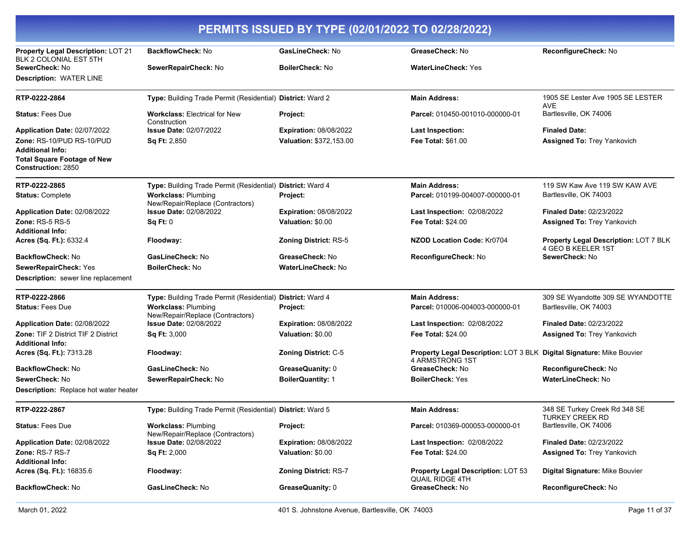| PERMITS ISSUED BY TYPE (02/01/2022 TO 02/28/2022)                                          |                                                                |                               |                                                                                          |                                                             |
|--------------------------------------------------------------------------------------------|----------------------------------------------------------------|-------------------------------|------------------------------------------------------------------------------------------|-------------------------------------------------------------|
| Property Legal Description: LOT 21<br>BLK 2 COLONIAL EST 5TH                               | <b>BackflowCheck: No</b>                                       | GasLineCheck: No              | GreaseCheck: No                                                                          | ReconfigureCheck: No                                        |
| SewerCheck: No                                                                             | SewerRepairCheck: No                                           | <b>BoilerCheck: No</b>        | <b>WaterLineCheck: Yes</b>                                                               |                                                             |
| <b>Description: WATER LINE</b>                                                             |                                                                |                               |                                                                                          |                                                             |
| RTP-0222-2864                                                                              | Type: Building Trade Permit (Residential) District: Ward 2     |                               | <b>Main Address:</b>                                                                     | 1905 SE Lester Ave 1905 SE LESTER<br><b>AVE</b>             |
| <b>Status: Fees Due</b>                                                                    | <b>Workclass: Electrical for New</b><br>Construction           | Project:                      | Parcel: 010450-001010-000000-01                                                          | Bartlesville, OK 74006                                      |
| Application Date: 02/07/2022                                                               | <b>Issue Date: 02/07/2022</b>                                  | <b>Expiration: 08/08/2022</b> | <b>Last Inspection:</b>                                                                  | <b>Finaled Date:</b>                                        |
| Zone: RS-10/PUD RS-10/PUD                                                                  | Sq Ft: 2,850                                                   | Valuation: \$372,153.00       | Fee Total: \$61.00                                                                       | <b>Assigned To: Trey Yankovich</b>                          |
| <b>Additional Info:</b><br><b>Total Square Footage of New</b><br><b>Construction: 2850</b> |                                                                |                               |                                                                                          |                                                             |
| RTP-0222-2865                                                                              | Type: Building Trade Permit (Residential) District: Ward 4     |                               | <b>Main Address:</b>                                                                     | 119 SW Kaw Ave 119 SW KAW AVE                               |
| <b>Status: Complete</b>                                                                    | <b>Workclass: Plumbing</b><br>New/Repair/Replace (Contractors) | Project:                      | Parcel: 010199-004007-000000-01                                                          | Bartlesville, OK 74003                                      |
| Application Date: 02/08/2022                                                               | <b>Issue Date: 02/08/2022</b>                                  | <b>Expiration: 08/08/2022</b> | <b>Last Inspection: 02/08/2022</b>                                                       | <b>Finaled Date: 02/23/2022</b>                             |
| Zone: RS-5 RS-5                                                                            | Sq Ft: 0                                                       | Valuation: \$0.00             | <b>Fee Total: \$24.00</b>                                                                | <b>Assigned To: Trey Yankovich</b>                          |
| <b>Additional Info:</b>                                                                    |                                                                |                               |                                                                                          |                                                             |
| Acres (Sq. Ft.): 6332.4                                                                    | Floodway:                                                      | <b>Zoning District: RS-5</b>  | <b>NZOD Location Code: Kr0704</b>                                                        | Property Legal Description: LOT 7 BLK<br>4 GEO B KEELER 1ST |
| <b>BackflowCheck: No</b>                                                                   | <b>GasLineCheck:</b> No                                        | GreaseCheck: No               | ReconfigureCheck: No                                                                     | SewerCheck: No                                              |
| SewerRepairCheck: Yes                                                                      | <b>BoilerCheck:</b> No                                         | <b>WaterLineCheck: No</b>     |                                                                                          |                                                             |
| <b>Description:</b> sewer line replacement                                                 |                                                                |                               |                                                                                          |                                                             |
| RTP-0222-2866                                                                              | Type: Building Trade Permit (Residential) District: Ward 4     |                               | <b>Main Address:</b>                                                                     | 309 SE Wyandotte 309 SE WYANDOTTE                           |
| <b>Status: Fees Due</b>                                                                    | <b>Workclass: Plumbing</b><br>New/Repair/Replace (Contractors) | Project:                      | Parcel: 010006-004003-000000-01                                                          | Bartlesville, OK 74003                                      |
| Application Date: 02/08/2022                                                               | <b>Issue Date: 02/08/2022</b>                                  | <b>Expiration: 08/08/2022</b> | Last Inspection: 02/08/2022                                                              | <b>Finaled Date: 02/23/2022</b>                             |
| <b>Zone: TIF 2 District TIF 2 District</b><br><b>Additional Info:</b>                      | <b>Sq Ft: 3,000</b>                                            | Valuation: \$0.00             | <b>Fee Total: \$24.00</b>                                                                | <b>Assigned To: Trey Yankovich</b>                          |
| Acres (Sq. Ft.): 7313.28                                                                   | Floodway:                                                      | Zoning District: C-5          | Property Legal Description: LOT 3 BLK Digital Signature: Mike Bouvier<br>4 ARMSTRONG 1ST |                                                             |
| BackflowCheck: No                                                                          | GasLineCheck: No                                               | GreaseQuanity: 0              | GreaseCheck: No                                                                          | <b>ReconfigureCheck: No</b>                                 |
| SewerCheck: No                                                                             | SewerRepairCheck: No                                           | <b>BoilerQuantity: 1</b>      | <b>BoilerCheck: Yes</b>                                                                  | <b>WaterLineCheck: No</b>                                   |
| <b>Description:</b> Replace hot water heater                                               |                                                                |                               |                                                                                          |                                                             |
| RTP-0222-2867                                                                              | Type: Building Trade Permit (Residential) District: Ward 5     |                               | <b>Main Address:</b>                                                                     | 348 SE Turkey Creek Rd 348 SE<br><b>TURKEY CREEK RD</b>     |
| <b>Status: Fees Due</b>                                                                    | <b>Workclass: Plumbing</b><br>New/Repair/Replace (Contractors) | Project:                      | Parcel: 010369-000053-000000-01                                                          | Bartlesville, OK 74006                                      |
| Application Date: 02/08/2022                                                               | <b>Issue Date: 02/08/2022</b>                                  | <b>Expiration: 08/08/2022</b> | <b>Last Inspection: 02/08/2022</b>                                                       | Finaled Date: 02/23/2022                                    |
| <b>Zone: RS-7 RS-7</b>                                                                     | <b>Sq Ft: 2,000</b>                                            | Valuation: \$0.00             | <b>Fee Total: \$24.00</b>                                                                | Assigned To: Trey Yankovich                                 |
| <b>Additional Info:</b>                                                                    |                                                                |                               |                                                                                          |                                                             |
| Acres (Sq. Ft.): 16835.6                                                                   | Floodway:                                                      | <b>Zoning District: RS-7</b>  | <b>Property Legal Description: LOT 53</b><br><b>QUAIL RIDGE 4TH</b>                      | Digital Signature: Mike Bouvier                             |
| <b>BackflowCheck: No</b>                                                                   | GasLineCheck: No                                               | GreaseQuanity: 0              | GreaseCheck: No                                                                          | ReconfigureCheck: No                                        |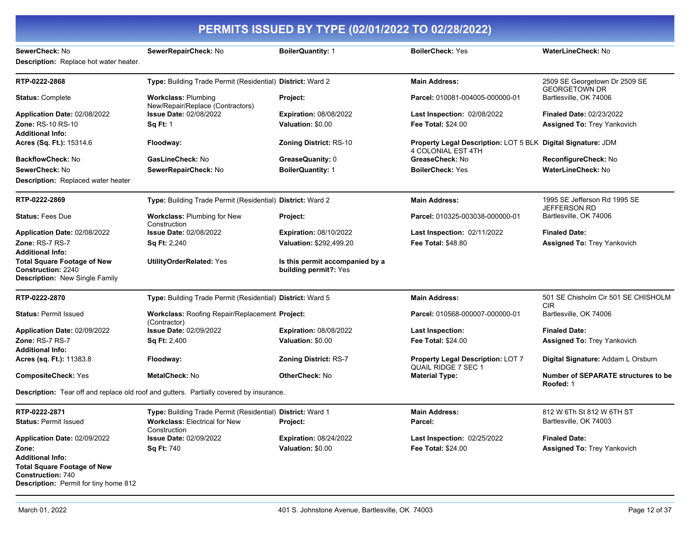#### **PERMITS ISSUED BY TYPE (02/01/2022 TO 02/28/2022) SewerCheck:** No **SewerRepairCheck:** No **BoilerQuantity:** 1 **BoilerCheck:** Yes **WaterLineCheck:** No **Description:** Replace hot water heater. **RTP-0222-2868 Type:** Building Trade Permit (Residential) **District:** Ward 2 **Main Address:** 2509 SE Georgetown Dr 2509 SE GEORGETOWN DR **Status:** Complete **Workclass:** Plumbing New/Repair/Replace (Contractors) **Project: Parcel:** 010081-004005-000000-01 Bartlesville, OK 74006 **Application Date:** 02/08/2022 **Zone:** RS-10 RS-10 **Issue Date:** 02/08/2022 **Sq Ft:** 1 **Expiration:** 08/08/2022 **Valuation:** \$0.00 **Last Inspection:** 02/08/2022 **Fee Total:** \$24.00 **Finaled Date:** 02/23/2022 **Assigned To:** Trey Yankovich **Additional Info: Acres (Sq. Ft.):** 15314.6 **Floodway: Zoning District:** RS-10 **Property Legal Description:** LOT 5 BLK **Digital Signature:** JDM 4 COLONIAL EST 4TH **BackflowCheck:** No **GasLineCheck:** No **GreaseQuanity:** 0 **GreaseCheck:** No **ReconfigureCheck:** No **SewerCheck:** No **SewerRepairCheck:** No **BoilerQuantity:** 1 **BoilerCheck:** Yes **WaterLineCheck:** No **Description:** Replaced water heater **RTP-0222-2869 Type:** Building Trade Permit (Residential) **District:** Ward 2 **Main Address:** 1995 SE Jefferson Rd 1995 SE JEFFERSON RD **Status:** Fees Due **Workclass:** Plumbing for New Construction **Project: Parcel:** 010325-003038-000000-01 Bartlesville, OK 74006 **Application Date:** 02/08/2022 **Zone:** RS-7 RS-7 **Issue Date:** 02/08/2022 **Sq Ft:** 2,240 **Expiration:** 08/10/2022 **Valuation:** \$292,499.20 **Last Inspection:** 02/11/2022 **Fee Total:** \$48.80 **Finaled Date: Assigned To:** Trey Yankovich **Additional Info: Total Square Footage of New Construction:** 2240 **UtilityOrderRelated:** Yes **Is this permit accompanied by a building permit?:** Yes **Description:** New Single Family **RTP-0222-2870 Type:** Building Trade Permit (Residential) **District:** Ward 5 **Main Address:** 501 SE Chisholm Cir 501 SE CHISHOLM CIR **Status: Permit Issued <b>Workclass: Roofing Repair/Replacement Project:** (Contractor) **Parcel: 010568-000007-000000-01 Bartlesville, OK 74006 Application Date:** 02/09/2022 **Zone:** RS-7 RS-7 **Issue Date:** 02/09/2022 **Sq Ft:** 2,400 **Expiration:** 08/08/2022 **Valuation:** \$0.00 **Last Inspection: Fee Total:** \$24.00 **Finaled Date: Assigned To:** Trey Yankovich **Additional Info: Acres (sq. Ft.):** 11383.8 **Floodway: Zoning District:** RS-7 **Property Legal Description:** LOT 7 QUAIL RIDGE 7 SEC 1 **Digital Signature:** Addam L Orsburn **CompositeCheck: Yes <b>MetalCheck: No OtherCheck: No OtherCheck: No Material Type:** Number of SEPARATE structures to be **Roofed:** 1 **Description:** Tear off and replace old roof and gutters. Partially covered by insurance. **RTP-0222-2871 Type:** Building Trade Permit (Residential) **District:** Ward 1 **Main Address:** 812 W 6Th St 812 W 6TH ST **Status:** Permit Issued **Workclass:** Electrical for New Construction Project: **Parcel:** Parcel: **Parcel:** Bartlesville, OK 74003 **Application Date:** 02/09/2022 **Zone: Issue Date:** 02/09/2022 **Sq Ft:** 740 **Expiration:** 08/24/2022 **Valuation:** \$0.00 **Last Inspection:** 02/25/2022 **Fee Total:** \$24.00 **Finaled Date: Assigned To:** Trey Yankovich **Additional Info: Total Square Footage of New Construction:** 740 **Description:** Permit for tiny home 812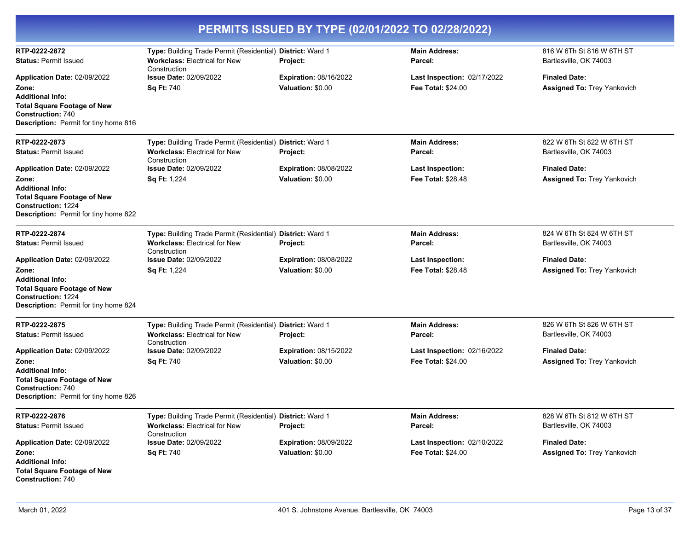| PERMITS ISSUED BY TYPE (02/01/2022 TO 02/28/2022)                                                                                                                                   |                                                                                                                    |                                                    |                                                                 |                                                            |
|-------------------------------------------------------------------------------------------------------------------------------------------------------------------------------------|--------------------------------------------------------------------------------------------------------------------|----------------------------------------------------|-----------------------------------------------------------------|------------------------------------------------------------|
| RTP-0222-2872<br><b>Status: Permit Issued</b>                                                                                                                                       | Type: Building Trade Permit (Residential) District: Ward 1<br><b>Workclass: Electrical for New</b><br>Construction | <b>Project:</b>                                    | <b>Main Address:</b><br>Parcel:                                 | 816 W 6Th St 816 W 6TH ST<br>Bartlesville, OK 74003        |
| Application Date: 02/09/2022<br>Zone:<br><b>Additional Info:</b><br><b>Total Square Footage of New</b><br><b>Construction: 740</b>                                                  | <b>Issue Date: 02/09/2022</b><br><b>Sq Ft: 740</b>                                                                 | <b>Expiration: 08/16/2022</b><br>Valuation: \$0.00 | Last Inspection: 02/17/2022<br><b>Fee Total: \$24.00</b>        | <b>Finaled Date:</b><br><b>Assigned To: Trey Yankovich</b> |
| <b>Description:</b> Permit for tiny home 816                                                                                                                                        |                                                                                                                    |                                                    |                                                                 |                                                            |
| RTP-0222-2873<br><b>Status: Permit Issued</b>                                                                                                                                       | Type: Building Trade Permit (Residential) District: Ward 1<br><b>Workclass: Electrical for New</b><br>Construction | Project:                                           | <b>Main Address:</b><br>Parcel:                                 | 822 W 6Th St 822 W 6TH ST<br>Bartlesville, OK 74003        |
| Application Date: 02/09/2022<br>Zone:<br><b>Additional Info:</b><br><b>Total Square Footage of New</b><br><b>Construction: 1224</b><br><b>Description:</b> Permit for tiny home 822 | <b>Issue Date: 02/09/2022</b><br>Sq Ft: 1,224                                                                      | <b>Expiration: 08/08/2022</b><br>Valuation: \$0.00 | <b>Last Inspection:</b><br><b>Fee Total: \$28.48</b>            | <b>Finaled Date:</b><br><b>Assigned To: Trey Yankovich</b> |
| RTP-0222-2874<br><b>Status: Permit Issued</b>                                                                                                                                       | Type: Building Trade Permit (Residential)<br><b>Workclass: Electrical for New</b><br>Construction                  | <b>District: Ward 1</b><br>Project:                | <b>Main Address:</b><br>Parcel:                                 | 824 W 6Th St 824 W 6TH ST<br>Bartlesville, OK 74003        |
| Application Date: 02/09/2022<br>Zone:<br><b>Additional Info:</b><br><b>Total Square Footage of New</b><br><b>Construction: 1224</b><br><b>Description:</b> Permit for tiny home 824 | <b>Issue Date: 02/09/2022</b><br><b>Sq Ft: 1,224</b>                                                               | <b>Expiration: 08/08/2022</b><br>Valuation: \$0.00 | <b>Last Inspection:</b><br><b>Fee Total: \$28.48</b>            | <b>Finaled Date:</b><br><b>Assigned To: Trey Yankovich</b> |
| RTP-0222-2875<br><b>Status: Permit Issued</b>                                                                                                                                       | Type: Building Trade Permit (Residential) District: Ward 1<br><b>Workclass: Electrical for New</b><br>Construction | Project:                                           | <b>Main Address:</b><br>Parcel:                                 | 826 W 6Th St 826 W 6TH ST<br>Bartlesville, OK 74003        |
| Application Date: 02/09/2022<br>Zone:<br><b>Additional Info:</b><br><b>Total Square Footage of New</b><br><b>Construction: 740</b><br><b>Description:</b> Permit for tiny home 826  | <b>Issue Date: 02/09/2022</b><br><b>Sq Ft: 740</b>                                                                 | <b>Expiration: 08/15/2022</b><br>Valuation: \$0.00 | <b>Last Inspection: 02/16/2022</b><br><b>Fee Total: \$24.00</b> | <b>Finaled Date:</b><br>Assigned To: Trey Yankovich        |
| RTP-0222-2876<br><b>Status: Permit Issued</b>                                                                                                                                       | Type: Building Trade Permit (Residential) District: Ward 1<br><b>Workclass: Electrical for New</b><br>Construction | Project:                                           | <b>Main Address:</b><br>Parcel:                                 | 828 W 6Th St 812 W 6TH ST<br>Bartlesville, OK 74003        |
| Application Date: 02/09/2022<br>Zone:<br><b>Additional Info:</b><br><b>Total Square Footage of New</b><br><b>Construction: 740</b>                                                  | <b>Issue Date: 02/09/2022</b><br><b>Sq Ft: 740</b>                                                                 | <b>Expiration: 08/09/2022</b><br>Valuation: \$0.00 | Last Inspection: 02/10/2022<br><b>Fee Total: \$24.00</b>        | <b>Finaled Date:</b><br><b>Assigned To: Trey Yankovich</b> |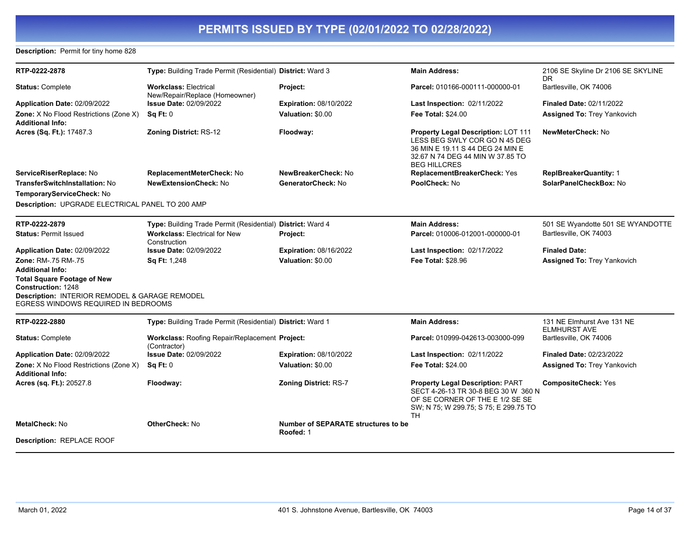### **Description:** Permit for tiny home 828

| RTP-0222-2878                                                                                                                                            | Type: Building Trade Permit (Residential) District: Ward 3     |                                                         | <b>Main Address:</b>                                                                                                                                                    | 2106 SE Skyline Dr 2106 SE SKYLINE            |
|----------------------------------------------------------------------------------------------------------------------------------------------------------|----------------------------------------------------------------|---------------------------------------------------------|-------------------------------------------------------------------------------------------------------------------------------------------------------------------------|-----------------------------------------------|
| <b>Status: Complete</b>                                                                                                                                  | <b>Workclass: Electrical</b><br>New/Repair/Replace (Homeowner) | Project:                                                | Parcel: 010166-000111-000000-01                                                                                                                                         | DR<br>Bartlesville, OK 74006                  |
| Application Date: 02/09/2022                                                                                                                             | <b>Issue Date: 02/09/2022</b>                                  | <b>Expiration: 08/10/2022</b>                           | Last Inspection: 02/11/2022                                                                                                                                             | <b>Finaled Date: 02/11/2022</b>               |
| Zone: X No Flood Restrictions (Zone X)<br><b>Additional Info:</b>                                                                                        | Sq Ft: 0                                                       | Valuation: \$0.00                                       | Fee Total: \$24.00                                                                                                                                                      | <b>Assigned To: Trey Yankovich</b>            |
| Acres (Sq. Ft.): 17487.3                                                                                                                                 | <b>Zoning District: RS-12</b>                                  | Floodway:                                               | Property Legal Description: LOT 111<br>LESS BEG SWLY COR GO N 45 DEG<br>36 MIN E 19.11 S 44 DEG 24 MIN E<br>32.67 N 74 DEG 44 MIN W 37.85 TO<br><b>BEG HILLCRES</b>     | NewMeterCheck: No                             |
| ServiceRiserReplace: No                                                                                                                                  | ReplacementMeterCheck: No                                      | NewBreakerCheck: No                                     | ReplacementBreakerCheck: Yes                                                                                                                                            | <b>ReplBreakerQuantity: 1</b>                 |
| TransferSwitchInstallation: No                                                                                                                           | NewExtensionCheck: No                                          | GeneratorCheck: No                                      | PoolCheck: No                                                                                                                                                           | SolarPanelCheckBox: No                        |
| TemporaryServiceCheck: No                                                                                                                                |                                                                |                                                         |                                                                                                                                                                         |                                               |
| Description: UPGRADE ELECTRICAL PANEL TO 200 AMP                                                                                                         |                                                                |                                                         |                                                                                                                                                                         |                                               |
| RTP-0222-2879                                                                                                                                            | Type: Building Trade Permit (Residential) District: Ward 4     |                                                         | <b>Main Address:</b>                                                                                                                                                    | 501 SE Wyandotte 501 SE WYANDOTTE             |
| <b>Status: Permit Issued</b>                                                                                                                             | <b>Workclass: Electrical for New</b><br>Construction           | Project:                                                | Parcel: 010006-012001-000000-01                                                                                                                                         | Bartlesville, OK 74003                        |
| Application Date: 02/09/2022                                                                                                                             | <b>Issue Date: 02/09/2022</b>                                  | <b>Expiration: 08/16/2022</b>                           | Last Inspection: 02/17/2022                                                                                                                                             | <b>Finaled Date:</b>                          |
| Zone: RM-.75 RM-.75                                                                                                                                      | Sq Ft: 1,248                                                   | Valuation: \$0.00                                       | <b>Fee Total: \$28.96</b>                                                                                                                                               | <b>Assigned To: Trey Yankovich</b>            |
| <b>Additional Info:</b>                                                                                                                                  |                                                                |                                                         |                                                                                                                                                                         |                                               |
| <b>Total Square Footage of New</b><br><b>Construction: 1248</b><br>Description: INTERIOR REMODEL & GARAGE REMODEL<br>EGRESS WINDOWS REQUIRED IN BEDROOMS |                                                                |                                                         |                                                                                                                                                                         |                                               |
| RTP-0222-2880                                                                                                                                            | Type: Building Trade Permit (Residential) District: Ward 1     |                                                         | <b>Main Address:</b>                                                                                                                                                    | 131 NE Elmhurst Ave 131 NE                    |
| <b>Status: Complete</b>                                                                                                                                  | Workclass: Roofing Repair/Replacement Project:<br>(Contractor) |                                                         | Parcel: 010999-042613-003000-099                                                                                                                                        | <b>ELMHURST AVE</b><br>Bartlesville, OK 74006 |
| Application Date: 02/09/2022                                                                                                                             | <b>Issue Date: 02/09/2022</b>                                  | <b>Expiration: 08/10/2022</b>                           | Last Inspection: 02/11/2022                                                                                                                                             | Finaled Date: 02/23/2022                      |
| Zone: X No Flood Restrictions (Zone X)<br><b>Additional Info:</b>                                                                                        | <b>Sq Ft: 0</b>                                                | Valuation: \$0.00                                       | <b>Fee Total: \$24.00</b>                                                                                                                                               | <b>Assigned To: Trey Yankovich</b>            |
| Acres (sq. Ft.): 20527.8                                                                                                                                 | Floodway:                                                      | <b>Zoning District: RS-7</b>                            | <b>Property Legal Description: PART</b><br>SECT 4-26-13 TR 30-8 BEG 30 W 360 N<br>OF SE CORNER OF THE E 1/2 SE SE<br>SW; N 75; W 299.75; S 75; E 299.75 TO<br><b>TH</b> | <b>CompositeCheck: Yes</b>                    |
| <b>MetalCheck: No</b>                                                                                                                                    | <b>OtherCheck: No</b>                                          | <b>Number of SEPARATE structures to be</b><br>Roofed: 1 |                                                                                                                                                                         |                                               |
| Description: REPLACE ROOF                                                                                                                                |                                                                |                                                         |                                                                                                                                                                         |                                               |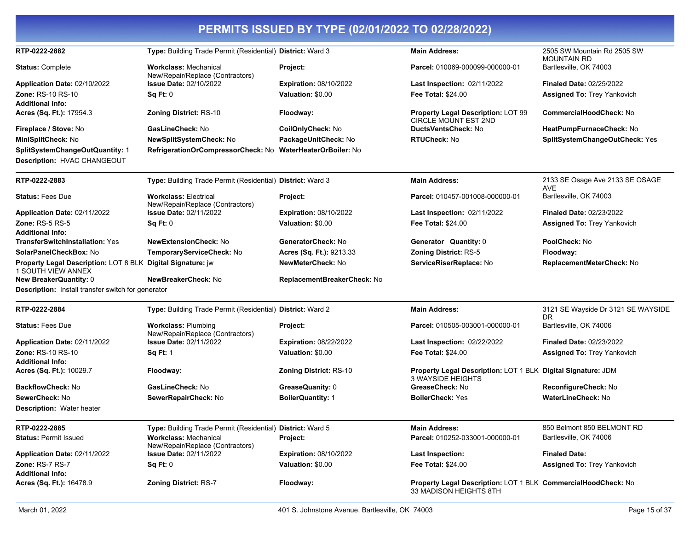| PERMITS ISSUED BY TYPE (02/01/2022 TO 02/28/2022)                                        |                                                                  |                                |                                                                                         |                                                   |
|------------------------------------------------------------------------------------------|------------------------------------------------------------------|--------------------------------|-----------------------------------------------------------------------------------------|---------------------------------------------------|
| RTP-0222-2882                                                                            | Type: Building Trade Permit (Residential) District: Ward 3       |                                | <b>Main Address:</b>                                                                    | 2505 SW Mountain Rd 2505 SW<br><b>MOUNTAIN RD</b> |
| <b>Status: Complete</b>                                                                  | <b>Workclass: Mechanical</b><br>New/Repair/Replace (Contractors) | Project:                       | Parcel: 010069-000099-000000-01                                                         | Bartlesville, OK 74003                            |
| Application Date: 02/10/2022                                                             | <b>Issue Date: 02/10/2022</b>                                    | <b>Expiration: 08/10/2022</b>  | Last Inspection: 02/11/2022                                                             | <b>Finaled Date: 02/25/2022</b>                   |
| <b>Zone: RS-10 RS-10</b>                                                                 | Sq Ft: 0                                                         | Valuation: \$0.00              | <b>Fee Total: \$24.00</b>                                                               | <b>Assigned To: Trey Yankovich</b>                |
| <b>Additional Info:</b>                                                                  |                                                                  |                                |                                                                                         |                                                   |
| Acres (Sq. Ft.): 17954.3                                                                 | Zoning District: RS-10                                           | Floodway:                      | <b>Property Legal Description: LOT 99</b><br><b>CIRCLE MOUNT EST 2ND</b>                | <b>CommercialHoodCheck: No</b>                    |
| Fireplace / Stove: No                                                                    | GasLineCheck: No                                                 | CoilOnlyCheck: No              | DuctsVentsCheck: No                                                                     | HeatPumpFurnaceCheck: No                          |
| MiniSplitCheck: No                                                                       | <b>NewSplitSystemCheck: No</b>                                   | PackageUnitCheck: No           | <b>RTUCheck: No</b>                                                                     | SplitSystemChangeOutCheck: Yes                    |
| SplitSystemChangeOutQuantity: 1<br>Description: HVAC CHANGEOUT                           | RefrigerationOrCompressorCheck: No                               | <b>WaterHeaterOrBoiler: No</b> |                                                                                         |                                                   |
| RTP-0222-2883                                                                            | Type: Building Trade Permit (Residential) District: Ward 3       |                                | <b>Main Address:</b>                                                                    | 2133 SE Osage Ave 2133 SE OSAGE                   |
|                                                                                          |                                                                  |                                |                                                                                         | AVE                                               |
| <b>Status: Fees Due</b>                                                                  | <b>Workclass: Electrical</b><br>New/Repair/Replace (Contractors) | Project:                       | Parcel: 010457-001008-000000-01                                                         | Bartlesville, OK 74003                            |
| Application Date: 02/11/2022                                                             | <b>Issue Date: 02/11/2022</b>                                    | <b>Expiration: 08/10/2022</b>  | <b>Last Inspection: 02/11/2022</b>                                                      | <b>Finaled Date: 02/23/2022</b>                   |
| <b>Zone: RS-5 RS-5</b><br><b>Additional Info:</b>                                        | Sq Ft: 0                                                         | Valuation: \$0.00              | <b>Fee Total: \$24.00</b>                                                               | <b>Assigned To: Trey Yankovich</b>                |
| <b>TransferSwitchInstallation: Yes</b>                                                   | <b>NewExtensionCheck: No</b>                                     | GeneratorCheck: No             | Generator Quantity: 0                                                                   | PoolCheck: No                                     |
| SolarPanelCheckBox: No                                                                   | TemporaryServiceCheck: No                                        | Acres (Sq. Ft.): 9213.33       | <b>Zoning District: RS-5</b>                                                            | Floodway:                                         |
| Property Legal Description: LOT 8 BLK Digital Signature: jw<br><b>1 SOUTH VIEW ANNEX</b> |                                                                  | <b>NewMeterCheck: No</b>       | ServiceRiserReplace: No                                                                 | ReplacementMeterCheck: No                         |
| <b>New BreakerQuantity: 0</b>                                                            | NewBreakerCheck: No                                              | ReplacementBreakerCheck: No    |                                                                                         |                                                   |
| <b>Description:</b> Install transfer switch for generator                                |                                                                  |                                |                                                                                         |                                                   |
| RTP-0222-2884                                                                            | Type: Building Trade Permit (Residential) District: Ward 2       |                                | <b>Main Address:</b>                                                                    | 3121 SE Wayside Dr 3121 SE WAYSIDE<br>DR          |
| <b>Status: Fees Due</b>                                                                  | <b>Workclass: Plumbing</b><br>New/Repair/Replace (Contractors)   | Project:                       | Parcel: 010505-003001-000000-01                                                         | Bartlesville, OK 74006                            |
| Application Date: 02/11/2022                                                             | <b>Issue Date: 02/11/2022</b>                                    | <b>Expiration: 08/22/2022</b>  | Last Inspection: 02/22/2022                                                             | <b>Finaled Date: 02/23/2022</b>                   |
| Zone: RS-10 RS-10<br><b>Additional Info:</b>                                             | <b>Sq Ft: 1</b>                                                  | Valuation: \$0.00              | <b>Fee Total: \$24.00</b>                                                               | <b>Assigned To: Trey Yankovich</b>                |
| Acres (Sq. Ft.): 10029.7                                                                 | Floodway:                                                        | <b>Zoning District: RS-10</b>  | Property Legal Description: LOT 1 BLK Digital Signature: JDM<br>3 WAYSIDE HEIGHTS       |                                                   |
| <b>BackflowCheck: No</b>                                                                 | GasLineCheck: No                                                 | GreaseQuanity: 0               | GreaseCheck: No                                                                         | ReconfigureCheck: No                              |
| SewerCheck: No                                                                           | SewerRepairCheck: No                                             | <b>BoilerQuantity: 1</b>       | <b>BoilerCheck: Yes</b>                                                                 | <b>WaterLineCheck: No</b>                         |
| <b>Description: Water heater</b>                                                         |                                                                  |                                |                                                                                         |                                                   |
| RTP-0222-2885                                                                            | Type: Building Trade Permit (Residential) District: Ward 5       |                                | <b>Main Address:</b>                                                                    | 850 Belmont 850 BELMONT RD                        |
| <b>Status: Permit Issued</b>                                                             | <b>Workclass: Mechanical</b><br>New/Repair/Replace (Contractors) | Project:                       | Parcel: 010252-033001-000000-01                                                         | Bartlesville, OK 74006                            |
| Application Date: 02/11/2022                                                             | <b>Issue Date: 02/11/2022</b>                                    | Expiration: 08/10/2022         | <b>Last Inspection:</b>                                                                 | <b>Finaled Date:</b>                              |
| Zone: RS-7 RS-7<br><b>Additional Info:</b>                                               | Sq Ft: 0                                                         | Valuation: \$0.00              | Fee Total: \$24.00                                                                      | <b>Assigned To: Trey Yankovich</b>                |
| Acres (Sq. Ft.): 16478.9                                                                 | Zoning District: RS-7                                            | Floodway:                      | Property Legal Description: LOT 1 BLK CommercialHoodCheck: No<br>33 MADISON HEIGHTS 8TH |                                                   |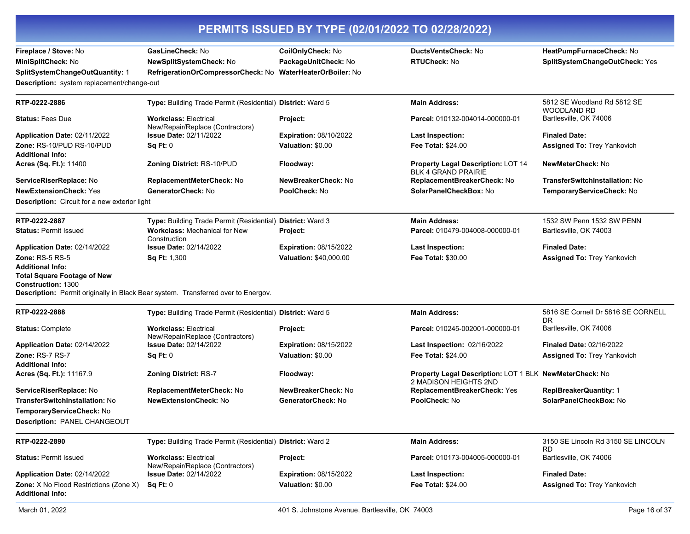| PERMITS ISSUED BY TYPE (02/01/2022 TO 02/28/2022)                                          |                                                                  |                                           |                                                                                  |                                                            |
|--------------------------------------------------------------------------------------------|------------------------------------------------------------------|-------------------------------------------|----------------------------------------------------------------------------------|------------------------------------------------------------|
| Fireplace / Stove: No<br>MiniSplitCheck: No                                                | GasLineCheck: No<br>NewSplitSystemCheck: No                      | CoilOnlyCheck: No<br>PackageUnitCheck: No | <b>DuctsVentsCheck: No</b><br><b>RTUCheck: No</b>                                | HeatPumpFurnaceCheck: No<br>SplitSystemChangeOutCheck: Yes |
| SplitSystemChangeOutQuantity: 1                                                            | RefrigerationOrCompressorCheck: No                               | <b>WaterHeaterOrBoiler: No</b>            |                                                                                  |                                                            |
| Description: system replacement/change-out                                                 |                                                                  |                                           |                                                                                  |                                                            |
| RTP-0222-2886                                                                              | Type: Building Trade Permit (Residential) District: Ward 5       |                                           | <b>Main Address:</b>                                                             | 5812 SE Woodland Rd 5812 SE<br><b>WOODLAND RD</b>          |
| <b>Status:</b> Fees Due                                                                    | <b>Workclass: Electrical</b><br>New/Repair/Replace (Contractors) | Project:                                  | Parcel: 010132-004014-000000-01                                                  | Bartlesville, OK 74006                                     |
| Application Date: 02/11/2022                                                               | <b>Issue Date: 02/11/2022</b>                                    | <b>Expiration: 08/10/2022</b>             | <b>Last Inspection:</b>                                                          | <b>Finaled Date:</b>                                       |
| Zone: RS-10/PUD RS-10/PUD<br><b>Additional Info:</b>                                       | Sq Ft: 0                                                         | Valuation: \$0.00                         | <b>Fee Total: \$24.00</b>                                                        | Assigned To: Trey Yankovich                                |
| <b>Acres (Sq. Ft.):</b> 11400                                                              | <b>Zoning District: RS-10/PUD</b>                                | Floodway:                                 | <b>Property Legal Description: LOT 14</b><br><b>BLK 4 GRAND PRAIRIE</b>          | NewMeterCheck: No                                          |
| ServiceRiserReplace: No                                                                    | ReplacementMeterCheck: No                                        | NewBreakerCheck: No                       | ReplacementBreakerCheck: No                                                      | <b>TransferSwitchInstallation: No</b>                      |
| <b>NewExtensionCheck: Yes</b>                                                              | GeneratorCheck: No                                               | PoolCheck: No                             | SolarPanelCheckBox: No                                                           | TemporaryServiceCheck: No                                  |
| Description: Circuit for a new exterior light                                              |                                                                  |                                           |                                                                                  |                                                            |
| RTP-0222-2887                                                                              | Type: Building Trade Permit (Residential) District: Ward 3       |                                           | <b>Main Address:</b>                                                             | 1532 SW Penn 1532 SW PENN                                  |
| <b>Status: Permit Issued</b>                                                               | <b>Workclass: Mechanical for New</b><br>Construction             | Project:                                  | Parcel: 010479-004008-000000-01                                                  | Bartlesville, OK 74003                                     |
| Application Date: 02/14/2022                                                               | <b>Issue Date: 02/14/2022</b>                                    | <b>Expiration: 08/15/2022</b>             | <b>Last Inspection:</b>                                                          | <b>Finaled Date:</b>                                       |
| Zone: RS-5 RS-5                                                                            | Sq Ft: 1,300                                                     | Valuation: \$40,000.00                    | <b>Fee Total: \$30.00</b>                                                        | <b>Assigned To: Trey Yankovich</b>                         |
| <b>Additional Info:</b><br><b>Total Square Footage of New</b><br><b>Construction: 1300</b> |                                                                  |                                           |                                                                                  |                                                            |
| Description: Permit originally in Black Bear system. Transferred over to Energov.          |                                                                  |                                           |                                                                                  |                                                            |
| RTP-0222-2888                                                                              | Type: Building Trade Permit (Residential) District: Ward 5       |                                           | <b>Main Address:</b>                                                             | 5816 SE Cornell Dr 5816 SE CORNELL<br>DR.                  |
| <b>Status: Complete</b>                                                                    | <b>Workclass: Electrical</b><br>New/Repair/Replace (Contractors) | Project:                                  | Parcel: 010245-002001-000000-01                                                  | Bartlesville, OK 74006                                     |
| Application Date: 02/14/2022                                                               | <b>Issue Date: 02/14/2022</b>                                    | <b>Expiration: 08/15/2022</b>             | Last Inspection: 02/16/2022                                                      | <b>Finaled Date: 02/16/2022</b>                            |
| Zone: RS-7 RS-7<br>Additional Info:                                                        | Sq Ft: 0                                                         | Valuation: \$0.00                         | <b>Fee Total: \$24.00</b>                                                        | <b>Assigned To: Trey Yankovich</b>                         |
| <b>Acres (Sq. Ft.):</b> 11167.9                                                            | <b>Zoning District: RS-7</b>                                     | Floodway:                                 | Property Legal Description: LOT 1 BLK NewMeterCheck: No<br>2 MADISON HEIGHTS 2ND |                                                            |
| <b>ServiceRiserReplace:</b> No                                                             | ReplacementMeterCheck: No                                        | NewBreakerCheck: No                       | ReplacementBreakerCheck: Yes                                                     | <b>ReplBreakerQuantity: 1</b>                              |
| TransferSwitchInstallation: No                                                             | <b>NewExtensionCheck: No</b>                                     | GeneratorCheck: No                        | PoolCheck: No                                                                    | SolarPanelCheckBox: No                                     |
| TemporaryServiceCheck: No                                                                  |                                                                  |                                           |                                                                                  |                                                            |
| Description: PANEL CHANGEOUT                                                               |                                                                  |                                           |                                                                                  |                                                            |
| RTP-0222-2890                                                                              | Type: Building Trade Permit (Residential) District: Ward 2       |                                           | <b>Main Address:</b>                                                             | 3150 SE Lincoln Rd 3150 SE LINCOLN<br>RD.                  |
| <b>Status: Permit Issued</b>                                                               | <b>Workclass: Electrical</b><br>New/Repair/Replace (Contractors) | Project:                                  | Parcel: 010173-004005-000000-01                                                  | Bartlesville, OK 74006                                     |
| <b>Application Date: 02/14/2022</b>                                                        | <b>Issue Date: 02/14/2022</b>                                    | <b>Expiration: 08/15/2022</b>             | <b>Last Inspection:</b>                                                          | <b>Finaled Date:</b>                                       |
| <b>Zone:</b> X No Flood Restrictions (Zone X)<br><b>Additional Info:</b>                   | Sq Ft: 0                                                         | Valuation: \$0.00                         | Fee Total: \$24.00                                                               | <b>Assigned To: Trey Yankovich</b>                         |
|                                                                                            |                                                                  |                                           |                                                                                  |                                                            |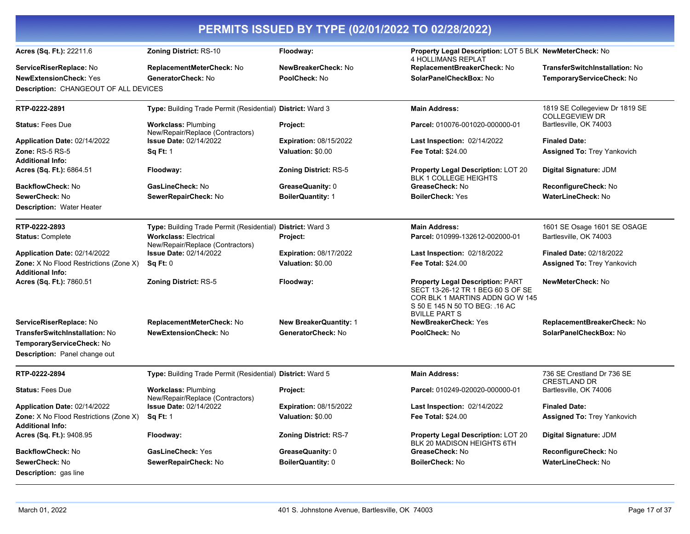| PERMITS ISSUED BY TYPE (02/01/2022 TO 02/28/2022)                        |                                                                  |                               |                                                                                                                                                                          |                                                         |
|--------------------------------------------------------------------------|------------------------------------------------------------------|-------------------------------|--------------------------------------------------------------------------------------------------------------------------------------------------------------------------|---------------------------------------------------------|
| Acres (Sq. Ft.): 22211.6                                                 | <b>Zoning District: RS-10</b>                                    | Floodway:                     | Property Legal Description: LOT 5 BLK NewMeterCheck: No<br><b>4 HOLLIMANS REPLAT</b>                                                                                     |                                                         |
| ServiceRiserReplace: No                                                  | ReplacementMeterCheck: No                                        | NewBreakerCheck: No           | ReplacementBreakerCheck: No                                                                                                                                              | <b>TransferSwitchInstallation: No</b>                   |
| <b>NewExtensionCheck: Yes</b>                                            | GeneratorCheck: No                                               | PoolCheck: No                 | SolarPanelCheckBox: No                                                                                                                                                   | TemporaryServiceCheck: No                               |
| Description: CHANGEOUT OF ALL DEVICES                                    |                                                                  |                               |                                                                                                                                                                          |                                                         |
| RTP-0222-2891                                                            | Type: Building Trade Permit (Residential) District: Ward 3       |                               | <b>Main Address:</b>                                                                                                                                                     | 1819 SE Collegeview Dr 1819 SE<br><b>COLLEGEVIEW DR</b> |
| <b>Status: Fees Due</b>                                                  | <b>Workclass: Plumbing</b><br>New/Repair/Replace (Contractors)   | Project:                      | Parcel: 010076-001020-000000-01                                                                                                                                          | Bartlesville, OK 74003                                  |
| Application Date: 02/14/2022                                             | <b>Issue Date: 02/14/2022</b>                                    | <b>Expiration: 08/15/2022</b> | <b>Last Inspection: 02/14/2022</b>                                                                                                                                       | <b>Finaled Date:</b>                                    |
| <b>Zone: RS-5 RS-5</b><br><b>Additional Info:</b>                        | <b>Sq Ft: 1</b>                                                  | Valuation: \$0.00             | <b>Fee Total: \$24.00</b>                                                                                                                                                | <b>Assigned To: Trey Yankovich</b>                      |
| Acres (Sq. Ft.): 6864.51                                                 | Floodway:                                                        | <b>Zoning District: RS-5</b>  | Property Legal Description: LOT 20<br><b>BLK 1 COLLEGE HEIGHTS</b>                                                                                                       | Digital Signature: JDM                                  |
| <b>BackflowCheck: No</b>                                                 | GasLineCheck: No                                                 | GreaseQuanity: 0              | GreaseCheck: No                                                                                                                                                          | ReconfigureCheck: No                                    |
| SewerCheck: No                                                           | SewerRepairCheck: No                                             | <b>BoilerQuantity: 1</b>      | <b>BoilerCheck: Yes</b>                                                                                                                                                  | <b>WaterLineCheck: No</b>                               |
| Description: Water Heater                                                |                                                                  |                               |                                                                                                                                                                          |                                                         |
| RTP-0222-2893                                                            | Type: Building Trade Permit (Residential) District: Ward 3       |                               | <b>Main Address:</b>                                                                                                                                                     | 1601 SE Osage 1601 SE OSAGE                             |
| <b>Status: Complete</b>                                                  | <b>Workclass: Electrical</b><br>New/Repair/Replace (Contractors) | Project:                      | Parcel: 010999-132612-002000-01                                                                                                                                          | Bartlesville, OK 74003                                  |
| Application Date: 02/14/2022                                             | <b>Issue Date: 02/14/2022</b>                                    | <b>Expiration: 08/17/2022</b> | <b>Last Inspection: 02/18/2022</b>                                                                                                                                       | <b>Finaled Date: 02/18/2022</b>                         |
| Zone: X No Flood Restrictions (Zone X)<br><b>Additional Info:</b>        | Sq Ft: 0                                                         | Valuation: \$0.00             | <b>Fee Total: \$24.00</b>                                                                                                                                                | Assigned To: Trey Yankovich                             |
| Acres (Sq. Ft.): 7860.51                                                 | Zoning District: RS-5                                            | Floodway:                     | <b>Property Legal Description: PART</b><br>SECT 13-26-12 TR 1 BEG 60 S OF SE<br>COR BLK 1 MARTINS ADDN GO W 145<br>S 50 E 145 N 50 TO BEG: 16 AC<br><b>BVILLE PART S</b> | <b>NewMeterCheck: No</b>                                |
| ServiceRiserReplace: No                                                  | ReplacementMeterCheck: No                                        | <b>New BreakerQuantity: 1</b> | <b>NewBreakerCheck: Yes</b>                                                                                                                                              | ReplacementBreakerCheck: No                             |
| <b>TransferSwitchInstallation: No</b>                                    | <b>NewExtensionCheck: No</b>                                     | GeneratorCheck: No            | PoolCheck: No                                                                                                                                                            | SolarPanelCheckBox: No                                  |
| TemporaryServiceCheck: No<br>Description: Panel change out               |                                                                  |                               |                                                                                                                                                                          |                                                         |
| RTP-0222-2894                                                            | Type: Building Trade Permit (Residential) District: Ward 5       |                               | <b>Main Address:</b>                                                                                                                                                     | 736 SE Crestland Dr 736 SE<br><b>CRESTLAND DR</b>       |
| <b>Status: Fees Due</b>                                                  | <b>Workclass: Plumbing</b><br>New/Repair/Replace (Contractors)   | <b>Project:</b>               | Parcel: 010249-020020-000000-01                                                                                                                                          | Bartlesville, OK 74006                                  |
| Application Date: 02/14/2022                                             | <b>Issue Date: 02/14/2022</b>                                    | <b>Expiration: 08/15/2022</b> | Last Inspection: 02/14/2022                                                                                                                                              | <b>Finaled Date:</b>                                    |
| <b>Zone:</b> X No Flood Restrictions (Zone X)<br><b>Additional Info:</b> | <b>Sq Ft: 1</b>                                                  | Valuation: \$0.00             | <b>Fee Total: \$24.00</b>                                                                                                                                                | Assigned To: Trey Yankovich                             |
| Acres (Sq. Ft.): 9408.95                                                 | Floodway:                                                        | <b>Zoning District: RS-7</b>  | <b>Property Legal Description: LOT 20</b><br>BLK 20 MADISON HEIGHTS 6TH                                                                                                  | Digital Signature: JDM                                  |
| <b>BackflowCheck: No</b>                                                 | GasLineCheck: Yes                                                | GreaseQuanity: 0              | GreaseCheck: No                                                                                                                                                          | ReconfigureCheck: No                                    |
| SewerCheck: No<br><b>Description: gas line</b>                           | SewerRepairCheck: No                                             | <b>BoilerQuantity: 0</b>      | <b>BoilerCheck: No</b>                                                                                                                                                   | WaterLineCheck: No                                      |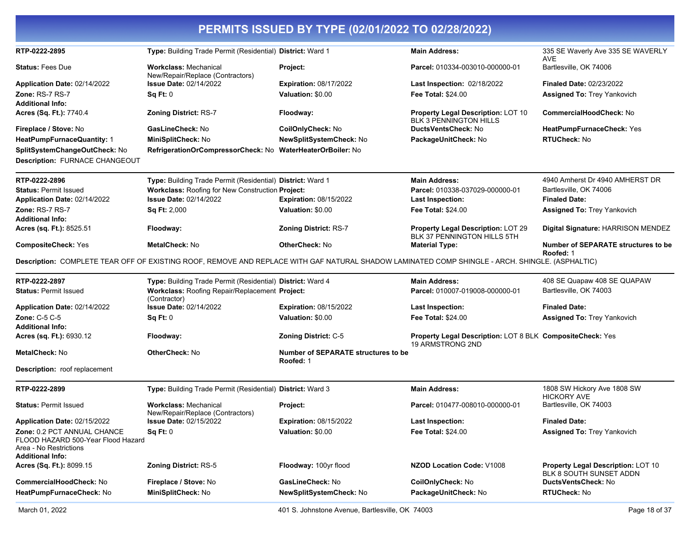|                                                                                                                        |                                                                                                                                                 | PERMITS ISSUED BY TYPE (02/01/2022 TO 02/28/2022)       |                                                                               |                                                                      |
|------------------------------------------------------------------------------------------------------------------------|-------------------------------------------------------------------------------------------------------------------------------------------------|---------------------------------------------------------|-------------------------------------------------------------------------------|----------------------------------------------------------------------|
| RTP-0222-2895                                                                                                          | Type: Building Trade Permit (Residential) District: Ward 1                                                                                      |                                                         | <b>Main Address:</b>                                                          | 335 SE Waverly Ave 335 SE WAVERLY<br><b>AVE</b>                      |
| <b>Status: Fees Due</b>                                                                                                | <b>Workclass: Mechanical</b><br>New/Repair/Replace (Contractors)                                                                                | Project:                                                | Parcel: 010334-003010-000000-01                                               | Bartlesville, OK 74006                                               |
| Application Date: 02/14/2022                                                                                           | <b>Issue Date: 02/14/2022</b>                                                                                                                   | <b>Expiration: 08/17/2022</b>                           | Last Inspection: 02/18/2022                                                   | <b>Finaled Date: 02/23/2022</b>                                      |
| Zone: RS-7 RS-7                                                                                                        | Sq Ft: 0                                                                                                                                        | Valuation: \$0.00                                       | Fee Total: \$24.00                                                            | <b>Assigned To: Trey Yankovich</b>                                   |
| <b>Additional Info:</b>                                                                                                |                                                                                                                                                 |                                                         |                                                                               |                                                                      |
| Acres (Sq. Ft.): 7740.4                                                                                                | Zoning District: RS-7                                                                                                                           | Floodway:                                               | <b>Property Legal Description: LOT 10</b><br><b>BLK 3 PENNINGTON HILLS</b>    | <b>CommercialHoodCheck: No</b>                                       |
| Fireplace / Stove: No                                                                                                  | GasLineCheck: No                                                                                                                                | CoilOnlyCheck: No                                       | DuctsVentsCheck: No                                                           | HeatPumpFurnaceCheck: Yes                                            |
| HeatPumpFurnaceQuantity: 1                                                                                             | MiniSplitCheck: No                                                                                                                              | NewSplitSystemCheck: No                                 | PackageUnitCheck: No                                                          | <b>RTUCheck: No</b>                                                  |
| SplitSystemChangeOutCheck: No<br>Description: FURNACE CHANGEOUT                                                        | RefrigerationOrCompressorCheck: No WaterHeaterOrBoiler: No                                                                                      |                                                         |                                                                               |                                                                      |
| RTP-0222-2896                                                                                                          | Type: Building Trade Permit (Residential) District: Ward 1                                                                                      |                                                         | <b>Main Address:</b>                                                          | 4940 Amherst Dr 4940 AMHERST DR                                      |
| <b>Status: Permit Issued</b>                                                                                           | Workclass: Roofing for New Construction Project:                                                                                                |                                                         | Parcel: 010338-037029-000000-01                                               | Bartlesville, OK 74006                                               |
| Application Date: 02/14/2022                                                                                           | <b>Issue Date: 02/14/2022</b>                                                                                                                   | <b>Expiration: 08/15/2022</b>                           | <b>Last Inspection:</b>                                                       | <b>Finaled Date:</b>                                                 |
| Zone: RS-7 RS-7<br><b>Additional Info:</b>                                                                             | Sq Ft: 2,000                                                                                                                                    | Valuation: \$0.00                                       | <b>Fee Total: \$24.00</b>                                                     | <b>Assigned To: Trey Yankovich</b>                                   |
| Acres (sq. Ft.): 8525.51                                                                                               | Floodway:                                                                                                                                       | <b>Zoning District: RS-7</b>                            | <b>Property Legal Description: LOT 29</b><br>BLK 37 PENNINGTON HILLS 5TH      | Digital Signature: HARRISON MENDEZ                                   |
| <b>CompositeCheck: Yes</b>                                                                                             | MetalCheck: No                                                                                                                                  | <b>OtherCheck: No</b>                                   | <b>Material Type:</b>                                                         | <b>Number of SEPARATE structures to be</b><br>Roofed: 1              |
|                                                                                                                        | Description: COMPLETE TEAR OFF OF EXISTING ROOF, REMOVE AND REPLACE WITH GAF NATURAL SHADOW LAMINATED COMP SHINGLE - ARCH. SHINGLE. (ASPHALTIC) |                                                         |                                                                               |                                                                      |
| RTP-0222-2897                                                                                                          | Type: Building Trade Permit (Residential) District: Ward 4                                                                                      |                                                         | <b>Main Address:</b>                                                          | 408 SE Quapaw 408 SE QUAPAW                                          |
| <b>Status: Permit Issued</b>                                                                                           | Workclass: Roofing Repair/Replacement Project:<br>(Contractor)                                                                                  |                                                         | Parcel: 010007-019008-000000-01                                               | Bartlesville, OK 74003                                               |
| Application Date: 02/14/2022                                                                                           | <b>Issue Date: 02/14/2022</b>                                                                                                                   | <b>Expiration: 08/15/2022</b>                           | <b>Last Inspection:</b>                                                       | <b>Finaled Date:</b>                                                 |
| Zone: C-5 C-5                                                                                                          | Sq Ft: 0                                                                                                                                        | Valuation: \$0.00                                       | <b>Fee Total: \$24.00</b>                                                     | Assigned To: Trey Yankovich                                          |
| <b>Additional Info:</b>                                                                                                |                                                                                                                                                 |                                                         |                                                                               |                                                                      |
| Acres (sq. Ft.): 6930.12                                                                                               | Floodway:                                                                                                                                       | Zoning District: C-5                                    | Property Legal Description: LOT 8 BLK CompositeCheck: Yes<br>19 ARMSTRONG 2ND |                                                                      |
| <b>MetalCheck: No</b>                                                                                                  | <b>OtherCheck: No</b>                                                                                                                           | <b>Number of SEPARATE structures to be</b><br>Roofed: 1 |                                                                               |                                                                      |
| <b>Description:</b> roof replacement                                                                                   |                                                                                                                                                 |                                                         |                                                                               |                                                                      |
| RTP-0222-2899                                                                                                          | Type: Building Trade Permit (Residential) District: Ward 3                                                                                      |                                                         | <b>Main Address:</b>                                                          | 1808 SW Hickory Ave 1808 SW<br><b>HICKORY AVE</b>                    |
| <b>Status: Permit Issued</b>                                                                                           | <b>Workclass: Mechanical</b><br>New/Repair/Replace (Contractors)                                                                                | Project:                                                | Parcel: 010477-008010-000000-01                                               | Bartlesville, OK 74003                                               |
| Application Date: 02/15/2022                                                                                           | <b>Issue Date: 02/15/2022</b>                                                                                                                   | Expiration: 08/15/2022                                  | <b>Last Inspection:</b>                                                       | <b>Finaled Date:</b>                                                 |
| Zone: 0.2 PCT ANNUAL CHANCE<br>FLOOD HAZARD 500-Year Flood Hazard<br>Area - No Restrictions<br><b>Additional Info:</b> | Sq Ft: 0                                                                                                                                        | Valuation: \$0.00                                       | Fee Total: \$24.00                                                            | <b>Assigned To: Trey Yankovich</b>                                   |
| Acres (Sq. Ft.): 8099.15                                                                                               | <b>Zoning District: RS-5</b>                                                                                                                    | Floodway: 100yr flood                                   | <b>NZOD Location Code: V1008</b>                                              | <b>Property Legal Description: LOT 10</b><br>BLK 8 SOUTH SUNSET ADDN |
| CommercialHoodCheck: No                                                                                                | Fireplace / Stove: No                                                                                                                           | GasLineCheck: No                                        | CoilOnlyCheck: No                                                             | DuctsVentsCheck: No                                                  |
| HeatPumpFurnaceCheck: No                                                                                               | MiniSplitCheck: No                                                                                                                              | NewSplitSystemCheck: No                                 | PackageUnitCheck: No                                                          | RTUCheck: No                                                         |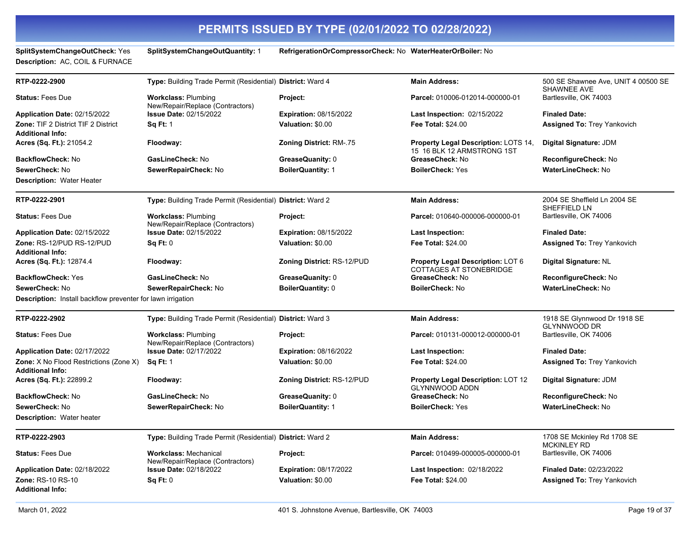**Description:** AC, COIL & FURNACE

**SplitSystemChangeOutCheck:** Yes **SplitSystemChangeOutQuantity:** 1 **RefrigerationOrCompressorCheck:** No **WaterHeaterOrBoiler:** No

| RTP-0222-2900                                                     | Type: Building Trade Permit (Residential) District: Ward 4       |                                | <b>Main Address:</b>                                                      | 500 SE Shawnee Ave, UNIT 4 00500 SE<br><b>SHAWNEE AVE</b> |
|-------------------------------------------------------------------|------------------------------------------------------------------|--------------------------------|---------------------------------------------------------------------------|-----------------------------------------------------------|
| <b>Status: Fees Due</b>                                           | <b>Workclass: Plumbing</b><br>New/Repair/Replace (Contractors)   | Project:                       | Parcel: 010006-012014-000000-01                                           | Bartlesville, OK 74003                                    |
| <b>Application Date: 02/15/2022</b>                               | <b>Issue Date: 02/15/2022</b>                                    | <b>Expiration: 08/15/2022</b>  | <b>Last Inspection: 02/15/2022</b>                                        | <b>Finaled Date:</b>                                      |
| Zone: TIF 2 District TIF 2 District                               | <b>Sq Ft: 1</b>                                                  | Valuation: \$0.00              | Fee Total: \$24.00                                                        | <b>Assigned To: Trey Yankovich</b>                        |
| <b>Additional Info:</b>                                           |                                                                  |                                |                                                                           |                                                           |
| Acres (Sq. Ft.): 21054.2                                          | Floodway:                                                        | <b>Zoning District: RM-.75</b> | <b>Property Legal Description: LOTS 14,</b><br>15 16 BLK 12 ARMSTRONG 1ST | Digital Signature: JDM                                    |
| <b>BackflowCheck: No</b>                                          | GasLineCheck: No                                                 | GreaseQuanity: 0               | GreaseCheck: No                                                           | ReconfigureCheck: No                                      |
| SewerCheck: No                                                    | SewerRepairCheck: No                                             | <b>BoilerQuantity: 1</b>       | <b>BoilerCheck: Yes</b>                                                   | <b>WaterLineCheck: No</b>                                 |
| Description: Water Heater                                         |                                                                  |                                |                                                                           |                                                           |
| RTP-0222-2901                                                     | Type: Building Trade Permit (Residential) District: Ward 2       |                                | <b>Main Address:</b>                                                      | 2004 SE Sheffield Ln 2004 SE<br>SHEFFIELD LN              |
| <b>Status: Fees Due</b>                                           | <b>Workclass: Plumbing</b><br>New/Repair/Replace (Contractors)   | Project:                       | Parcel: 010640-000006-000000-01                                           | Bartlesville, OK 74006                                    |
| Application Date: 02/15/2022                                      | Issue Date: 02/15/2022                                           | <b>Expiration: 08/15/2022</b>  | <b>Last Inspection:</b>                                                   | <b>Finaled Date:</b>                                      |
| Zone: RS-12/PUD RS-12/PUD<br>Additional Info:                     | Sq Ft: 0                                                         | Valuation: \$0.00              | <b>Fee Total: \$24.00</b>                                                 | <b>Assigned To: Trey Yankovich</b>                        |
| <b>Acres (Sq. Ft.):</b> 12874.4                                   | Floodway:                                                        | Zoning District: RS-12/PUD     | Property Legal Description: LOT 6<br><b>COTTAGES AT STONEBRIDGE</b>       | Digital Signature: NL                                     |
| <b>BackflowCheck: Yes</b>                                         | GasLineCheck: No                                                 | GreaseQuanity: 0               | GreaseCheck: No                                                           | ReconfigureCheck: No                                      |
| SewerCheck: No                                                    | SewerRepairCheck: No                                             | BoilerQuantity: 0              | <b>BoilerCheck: No</b>                                                    | WaterLineCheck: No                                        |
| Description: Install backflow preventer for lawn irrigation       |                                                                  |                                |                                                                           |                                                           |
| RTP-0222-2902                                                     | Type: Building Trade Permit (Residential) District: Ward 3       |                                | <b>Main Address:</b>                                                      | 1918 SE Glynnwood Dr 1918 SE<br><b>GLYNNWOOD DR</b>       |
| <b>Status: Fees Due</b>                                           | <b>Workclass: Plumbing</b><br>New/Repair/Replace (Contractors)   | Project:                       | Parcel: 010131-000012-000000-01                                           | Bartlesville, OK 74006                                    |
| Application Date: 02/17/2022                                      | <b>Issue Date: 02/17/2022</b>                                    | <b>Expiration: 08/16/2022</b>  | Last Inspection:                                                          | <b>Finaled Date:</b>                                      |
| Zone: X No Flood Restrictions (Zone X)<br><b>Additional Info:</b> | <b>Sq Ft: 1</b>                                                  | Valuation: \$0.00              | Fee Total: \$24.00                                                        | <b>Assigned To: Trey Yankovich</b>                        |
| <b>Acres (Sq. Ft.):</b> 22899.2                                   | Floodway:                                                        | Zoning District: RS-12/PUD     | <b>Property Legal Description: LOT 12</b><br><b>GLYNNWOOD ADDN</b>        | Digital Signature: JDM                                    |
| <b>BackflowCheck: No</b>                                          | GasLineCheck: No                                                 | GreaseQuanity: 0               | GreaseCheck: No                                                           | ReconfigureCheck: No                                      |
| SewerCheck: No                                                    | SewerRepairCheck: No                                             | <b>BoilerQuantity: 1</b>       | <b>BoilerCheck: Yes</b>                                                   | <b>WaterLineCheck: No</b>                                 |
| Description: Water heater                                         |                                                                  |                                |                                                                           |                                                           |
| RTP-0222-2903                                                     | Type: Building Trade Permit (Residential) District: Ward 2       |                                | <b>Main Address:</b>                                                      | 1708 SE Mckinley Rd 1708 SE<br><b>MCKINLEY RD</b>         |
| <b>Status: Fees Due</b>                                           | <b>Workclass: Mechanical</b><br>New/Repair/Replace (Contractors) | Project:                       | Parcel: 010499-000005-000000-01                                           | Bartlesville, OK 74006                                    |
| Application Date: 02/18/2022                                      | Issue Date: 02/18/2022                                           | <b>Expiration: 08/17/2022</b>  | Last Inspection: 02/18/2022                                               | <b>Finaled Date: 02/23/2022</b>                           |
| Zone: RS-10 RS-10                                                 | Sq Ft: 0                                                         | Valuation: \$0.00              | Fee Total: \$24.00                                                        | <b>Assigned To: Trey Yankovich</b>                        |
| Additional Info:                                                  |                                                                  |                                |                                                                           |                                                           |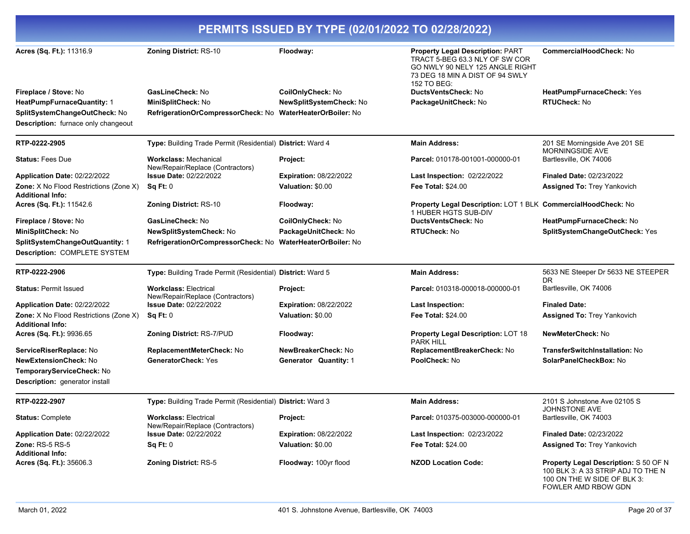| PERMITS ISSUED BY TYPE (02/01/2022 TO 02/28/2022)                        |                                                                  |                               |                                                                                                                                                                |                                                                                                                   |
|--------------------------------------------------------------------------|------------------------------------------------------------------|-------------------------------|----------------------------------------------------------------------------------------------------------------------------------------------------------------|-------------------------------------------------------------------------------------------------------------------|
| Acres (Sq. Ft.): 11316.9                                                 | <b>Zoning District: RS-10</b>                                    | Floodway:                     | <b>Property Legal Description: PART</b><br>TRACT 5-BEG 63.3 NLY OF SW COR<br>GO NWLY 90 NELY 125 ANGLE RIGHT<br>73 DEG 18 MIN A DIST OF 94 SWLY<br>152 TO BEG: | CommercialHoodCheck: No                                                                                           |
| Fireplace / Stove: No                                                    | GasLineCheck: No                                                 | CoilOnlyCheck: No             | <b>DuctsVentsCheck: No</b>                                                                                                                                     | HeatPumpFurnaceCheck: Yes                                                                                         |
| HeatPumpFurnaceQuantity: 1                                               | MiniSplitCheck: No                                               | NewSplitSystemCheck: No       | PackageUnitCheck: No                                                                                                                                           | <b>RTUCheck: No</b>                                                                                               |
| SplitSystemChangeOutCheck: No                                            | RefrigerationOrCompressorCheck: No WaterHeaterOrBoiler: No       |                               |                                                                                                                                                                |                                                                                                                   |
| Description: furnace only changeout                                      |                                                                  |                               |                                                                                                                                                                |                                                                                                                   |
| RTP-0222-2905                                                            | Type: Building Trade Permit (Residential) District: Ward 4       |                               | <b>Main Address:</b>                                                                                                                                           | 201 SE Morningside Ave 201 SE<br><b>MORNINGSIDE AVE</b>                                                           |
| <b>Status: Fees Due</b>                                                  | <b>Workclass: Mechanical</b><br>New/Repair/Replace (Contractors) | Project:                      | Parcel: 010178-001001-000000-01                                                                                                                                | Bartlesville, OK 74006                                                                                            |
| Application Date: 02/22/2022                                             | <b>Issue Date: 02/22/2022</b>                                    | <b>Expiration: 08/22/2022</b> | Last Inspection: 02/22/2022                                                                                                                                    | <b>Finaled Date: 02/23/2022</b>                                                                                   |
| Zone: X No Flood Restrictions (Zone X)<br><b>Additional Info:</b>        | Sq Ft: 0                                                         | Valuation: \$0.00             | <b>Fee Total: \$24.00</b>                                                                                                                                      | <b>Assigned To: Trey Yankovich</b>                                                                                |
| Acres (Sq. Ft.): 11542.6                                                 | <b>Zoning District: RS-10</b>                                    | Floodway:                     | Property Legal Description: LOT 1 BLK CommercialHoodCheck: No<br>1 HUBER HGTS SUB-DIV                                                                          |                                                                                                                   |
| Fireplace / Stove: No                                                    | GasLineCheck: No                                                 | CoilOnlyCheck: No             | DuctsVentsCheck: No                                                                                                                                            | HeatPumpFurnaceCheck: No                                                                                          |
| MiniSplitCheck: No                                                       | NewSplitSystemCheck: No                                          | PackageUnitCheck: No          | <b>RTUCheck: No</b>                                                                                                                                            | SplitSystemChangeOutCheck: Yes                                                                                    |
| SplitSystemChangeOutQuantity: 1<br>Description: COMPLETE SYSTEM          | RefrigerationOrCompressorCheck: No WaterHeaterOrBoiler: No       |                               |                                                                                                                                                                |                                                                                                                   |
| RTP-0222-2906                                                            | Type: Building Trade Permit (Residential) District: Ward 5       |                               | <b>Main Address:</b>                                                                                                                                           | 5633 NE Steeper Dr 5633 NE STEEPER<br>DR.                                                                         |
| <b>Status: Permit Issued</b>                                             | <b>Workclass: Electrical</b><br>New/Repair/Replace (Contractors) | Project:                      | Parcel: 010318-000018-000000-01                                                                                                                                | Bartlesville, OK 74006                                                                                            |
| Application Date: 02/22/2022                                             | <b>Issue Date: 02/22/2022</b>                                    | <b>Expiration: 08/22/2022</b> | <b>Last Inspection:</b>                                                                                                                                        | <b>Finaled Date:</b>                                                                                              |
| <b>Zone:</b> X No Flood Restrictions (Zone X)<br><b>Additional Info:</b> | Sq Ft: 0                                                         | Valuation: \$0.00             | <b>Fee Total: \$24.00</b>                                                                                                                                      | <b>Assigned To: Trey Yankovich</b>                                                                                |
| Acres (Sq. Ft.): 9936.65                                                 | Zoning District: RS-7/PUD                                        | Floodway:                     | <b>Property Legal Description: LOT 18</b><br><b>PARK HILL</b>                                                                                                  | NewMeterCheck: No                                                                                                 |
| ServiceRiserReplace: No                                                  | ReplacementMeterCheck: No                                        | NewBreakerCheck: No           | ReplacementBreakerCheck: No                                                                                                                                    | <b>TransferSwitchInstallation: No</b>                                                                             |
| <b>NewExtensionCheck: No</b>                                             | <b>GeneratorCheck: Yes</b>                                       | Generator Quantity: 1         | PoolCheck: No                                                                                                                                                  | SolarPanelCheckBox: No                                                                                            |
| TemporaryServiceCheck: No                                                |                                                                  |                               |                                                                                                                                                                |                                                                                                                   |
| Description: generator install                                           |                                                                  |                               |                                                                                                                                                                |                                                                                                                   |
| RTP-0222-2907                                                            | Type: Building Trade Permit (Residential) District: Ward 3       |                               | <b>Main Address:</b>                                                                                                                                           | 2101 S Johnstone Ave 02105 S<br>JOHNSTONE AVE                                                                     |
| <b>Status: Complete</b>                                                  | <b>Workclass: Electrical</b><br>New/Repair/Replace (Contractors) | Project:                      | Parcel: 010375-003000-000000-01                                                                                                                                | Bartlesville, OK 74003                                                                                            |
| Application Date: 02/22/2022                                             | <b>Issue Date: 02/22/2022</b>                                    | <b>Expiration: 08/22/2022</b> | <b>Last Inspection: 02/23/2022</b>                                                                                                                             | <b>Finaled Date: 02/23/2022</b>                                                                                   |
| <b>Zone: RS-5 RS-5</b><br><b>Additional Info:</b>                        | Sq Ft: 0                                                         | Valuation: \$0.00             | <b>Fee Total: \$24.00</b>                                                                                                                                      | <b>Assigned To: Trey Yankovich</b>                                                                                |
| Acres (Sq. Ft.): 35606.3                                                 | <b>Zoning District: RS-5</b>                                     | Floodway: 100yr flood         | <b>NZOD Location Code:</b>                                                                                                                                     | <b>Property Legal Description: S 50 OF N</b><br>100 BLK 3: A 33 STRIP ADJ TO THE N<br>100 ON THE W SIDE OF BLK 3: |

FOWLER AMD RBOW GDN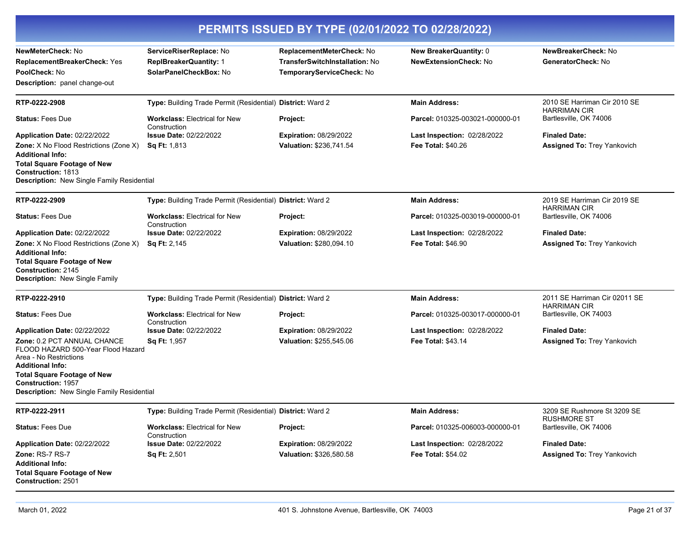| PERMITS ISSUED BY TYPE (02/01/2022 TO 02/28/2022)                                                                                                                                                                                              |                                                                                    |                                                                                          |                                                        |                                                      |
|------------------------------------------------------------------------------------------------------------------------------------------------------------------------------------------------------------------------------------------------|------------------------------------------------------------------------------------|------------------------------------------------------------------------------------------|--------------------------------------------------------|------------------------------------------------------|
| NewMeterCheck: No<br>ReplacementBreakerCheck: Yes<br>PoolCheck: No<br><b>Description:</b> panel change-out                                                                                                                                     | ServiceRiserReplace: No<br><b>ReplBreakerQuantity: 1</b><br>SolarPanelCheckBox: No | ReplacementMeterCheck: No<br>TransferSwitchInstallation: No<br>TemporaryServiceCheck: No | New BreakerQuantity: 0<br><b>NewExtensionCheck: No</b> | NewBreakerCheck: No<br>GeneratorCheck: No            |
| RTP-0222-2908                                                                                                                                                                                                                                  | Type: Building Trade Permit (Residential) District: Ward 2                         |                                                                                          | <b>Main Address:</b>                                   | 2010 SE Harriman Cir 2010 SE                         |
| <b>Status: Fees Due</b>                                                                                                                                                                                                                        | <b>Workclass: Electrical for New</b><br>Construction                               | Project:                                                                                 | Parcel: 010325-003021-000000-01                        | <b>HARRIMAN CIR</b><br>Bartlesville, OK 74006        |
| Application Date: 02/22/2022                                                                                                                                                                                                                   | <b>Issue Date: 02/22/2022</b>                                                      | <b>Expiration: 08/29/2022</b>                                                            | Last Inspection: 02/28/2022                            | <b>Finaled Date:</b>                                 |
| <b>Zone:</b> X No Flood Restrictions (Zone X)<br><b>Additional Info:</b><br><b>Total Square Footage of New</b><br><b>Construction: 1813</b><br>Description: New Single Family Residential                                                      | Sq Ft: 1,813                                                                       | Valuation: \$236,741.54                                                                  | <b>Fee Total: \$40.26</b>                              | Assigned To: Trey Yankovich                          |
|                                                                                                                                                                                                                                                |                                                                                    |                                                                                          |                                                        |                                                      |
| RTP-0222-2909                                                                                                                                                                                                                                  | <b>Type:</b> Building Trade Permit (Residential) <b>District:</b> Ward 2           |                                                                                          | <b>Main Address:</b>                                   | 2019 SE Harriman Cir 2019 SE<br><b>HARRIMAN CIR</b>  |
| <b>Status: Fees Due</b>                                                                                                                                                                                                                        | <b>Workclass: Electrical for New</b><br>Construction                               | Project:                                                                                 | Parcel: 010325-003019-000000-01                        | Bartlesville, OK 74006                               |
| Application Date: 02/22/2022                                                                                                                                                                                                                   | <b>Issue Date: 02/22/2022</b>                                                      | <b>Expiration: 08/29/2022</b>                                                            | Last Inspection: 02/28/2022                            | <b>Finaled Date:</b>                                 |
| <b>Zone:</b> X No Flood Restrictions (Zone X)<br><b>Additional Info:</b><br><b>Total Square Footage of New</b><br><b>Construction: 2145</b><br>Description: New Single Family                                                                  | <b>Sq Ft: 2,145</b>                                                                | Valuation: \$280,094.10                                                                  | <b>Fee Total: \$46.90</b>                              | <b>Assigned To: Trey Yankovich</b>                   |
| RTP-0222-2910                                                                                                                                                                                                                                  | Type: Building Trade Permit (Residential) District: Ward 2                         |                                                                                          | <b>Main Address:</b>                                   | 2011 SE Harriman Cir 02011 SE<br><b>HARRIMAN CIR</b> |
| <b>Status: Fees Due</b>                                                                                                                                                                                                                        | <b>Workclass: Electrical for New</b><br>Construction                               | Project:                                                                                 | Parcel: 010325-003017-000000-01                        | Bartlesville, OK 74003                               |
| Application Date: 02/22/2022                                                                                                                                                                                                                   | <b>Issue Date: 02/22/2022</b>                                                      | <b>Expiration: 08/29/2022</b>                                                            | Last Inspection: 02/28/2022                            | <b>Finaled Date:</b>                                 |
| <b>Zone: 0.2 PCT ANNUAL CHANCE</b><br>FLOOD HAZARD 500-Year Flood Hazard<br>Area - No Restrictions<br><b>Additional Info:</b><br><b>Total Square Footage of New</b><br><b>Construction: 1957</b><br>Description: New Single Family Residential | <b>Sq Ft: 1,957</b>                                                                | Valuation: \$255,545.06                                                                  | <b>Fee Total: \$43.14</b>                              | <b>Assigned To: Trey Yankovich</b>                   |
| RTP-0222-2911                                                                                                                                                                                                                                  | Type: Building Trade Permit (Residential) District: Ward 2                         |                                                                                          | <b>Main Address:</b>                                   | 3209 SE Rushmore St 3209 SE                          |
| <b>Status: Fees Due</b>                                                                                                                                                                                                                        | <b>Workclass: Electrical for New</b><br>Construction                               | Project:                                                                                 | Parcel: 010325-006003-000000-01                        | <b>RUSHMORE ST</b><br>Bartlesville, OK 74006         |
| Application Date: 02/22/2022                                                                                                                                                                                                                   | <b>Issue Date: 02/22/2022</b>                                                      | <b>Expiration: 08/29/2022</b>                                                            | Last Inspection: 02/28/2022                            | <b>Finaled Date:</b>                                 |
| Zone: RS-7 RS-7<br><b>Additional Info:</b><br><b>Total Square Footage of New</b><br><b>Construction: 2501</b>                                                                                                                                  | Sq Ft: 2,501                                                                       | Valuation: \$326,580.58                                                                  | Fee Total: \$54.02                                     | Assigned To: Trey Yankovich                          |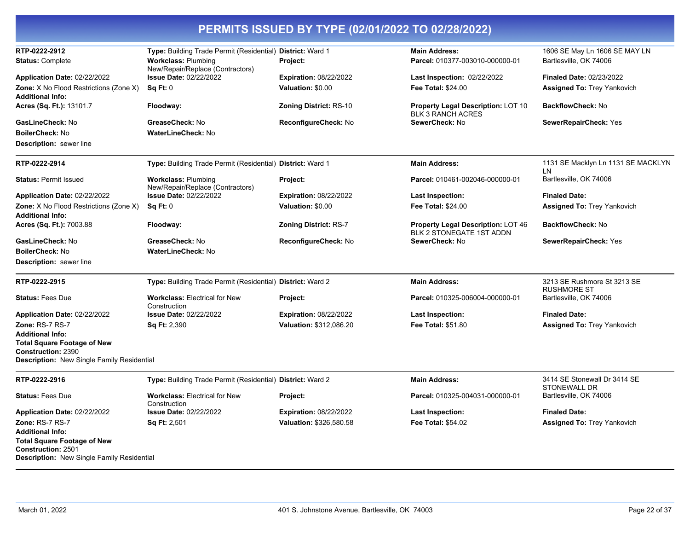| RTP-0222-2912<br><b>Status: Complete</b>                                                                      | Type: Building Trade Permit (Residential) District: Ward 1<br><b>Workclass: Plumbing</b> | Project:                      | <b>Main Address:</b><br>Parcel: 010377-003010-000000-01         | 1606 SE May Ln 1606 SE MAY LN<br>Bartlesville, OK 74006 |
|---------------------------------------------------------------------------------------------------------------|------------------------------------------------------------------------------------------|-------------------------------|-----------------------------------------------------------------|---------------------------------------------------------|
|                                                                                                               | New/Repair/Replace (Contractors)<br><b>Issue Date: 02/22/2022</b>                        | <b>Expiration: 08/22/2022</b> |                                                                 | <b>Finaled Date: 02/23/2022</b>                         |
| Application Date: 02/22/2022<br>Zone: X No Flood Restrictions (Zone X)                                        | Sa Ft: 0                                                                                 | Valuation: \$0.00             | <b>Last Inspection: 02/22/2022</b><br><b>Fee Total: \$24.00</b> | <b>Assigned To: Trey Yankovich</b>                      |
| Additional Info:                                                                                              |                                                                                          |                               |                                                                 |                                                         |
| Acres (Sq. Ft.): 13101.7                                                                                      | Floodway:                                                                                | <b>Zoning District: RS-10</b> | Property Legal Description: LOT 10<br><b>BLK 3 RANCH ACRES</b>  | <b>BackflowCheck: No</b>                                |
| GasLineCheck: No                                                                                              | GreaseCheck: No                                                                          | ReconfigureCheck: No          | SewerCheck: No                                                  | SewerRepairCheck: Yes                                   |
| <b>BoilerCheck: No</b>                                                                                        | WaterLineCheck: No                                                                       |                               |                                                                 |                                                         |
| <b>Description:</b> sewer line                                                                                |                                                                                          |                               |                                                                 |                                                         |
| RTP-0222-2914                                                                                                 | Type: Building Trade Permit (Residential) District: Ward 1                               |                               | <b>Main Address:</b>                                            | 1131 SE Macklyn Ln 1131 SE MACKLYN<br>LN                |
| <b>Status: Permit Issued</b>                                                                                  | <b>Workclass: Plumbing</b><br>New/Repair/Replace (Contractors)                           | Project:                      | Parcel: 010461-002046-000000-01                                 | Bartlesville, OK 74006                                  |
| Application Date: 02/22/2022                                                                                  | <b>Issue Date: 02/22/2022</b>                                                            | <b>Expiration: 08/22/2022</b> | <b>Last Inspection:</b>                                         | <b>Finaled Date:</b>                                    |
| Zone: X No Flood Restrictions (Zone X)<br>Additional Info:                                                    | Sq Ft: 0                                                                                 | Valuation: \$0.00             | Fee Total: \$24.00                                              | <b>Assigned To: Trey Yankovich</b>                      |
| Acres (Sq. Ft.): 7003.88                                                                                      | Floodway:                                                                                | <b>Zoning District: RS-7</b>  | Property Legal Description: LOT 46<br>BLK 2 STONEGATE 1ST ADDN  | <b>BackflowCheck: No</b>                                |
| <b>GasLineCheck:</b> No                                                                                       | GreaseCheck: No                                                                          | ReconfigureCheck: No          | SewerCheck: No                                                  | <b>SewerRepairCheck: Yes</b>                            |
| BoilerCheck: No                                                                                               | <b>WaterLineCheck: No</b>                                                                |                               |                                                                 |                                                         |
| <b>Description:</b> sewer line                                                                                |                                                                                          |                               |                                                                 |                                                         |
| RTP-0222-2915                                                                                                 | Type: Building Trade Permit (Residential) District: Ward 2                               |                               | <b>Main Address:</b>                                            | 3213 SE Rushmore St 3213 SE<br><b>RUSHMORE ST</b>       |
| <b>Status: Fees Due</b>                                                                                       | <b>Workclass: Electrical for New</b><br>Construction                                     | Project:                      | Parcel: 010325-006004-000000-01                                 | Bartlesville, OK 74006                                  |
| Application Date: 02/22/2022                                                                                  | <b>Issue Date: 02/22/2022</b>                                                            | <b>Expiration: 08/22/2022</b> | <b>Last Inspection:</b>                                         | <b>Finaled Date:</b>                                    |
| <b>Zone: RS-7 RS-7</b>                                                                                        | Sq Ft: 2,390                                                                             | Valuation: \$312,086.20       | Fee Total: \$51.80                                              | <b>Assigned To: Trey Yankovich</b>                      |
| Additional Info:                                                                                              |                                                                                          |                               |                                                                 |                                                         |
| <b>Total Square Footage of New</b><br>Construction: 2390                                                      |                                                                                          |                               |                                                                 |                                                         |
| <b>Description:</b> New Single Family Residential                                                             |                                                                                          |                               |                                                                 |                                                         |
| RTP-0222-2916                                                                                                 | Type: Building Trade Permit (Residential) District: Ward 2                               |                               | <b>Main Address:</b>                                            | 3414 SE Stonewall Dr 3414 SE<br><b>STONEWALL DR</b>     |
| <b>Status: Fees Due</b>                                                                                       | <b>Workclass: Electrical for New</b><br>Construction                                     | Project:                      | Parcel: 010325-004031-000000-01                                 | Bartlesville, OK 74006                                  |
| Application Date: 02/22/2022                                                                                  | <b>Issue Date: 02/22/2022</b>                                                            | <b>Expiration: 08/22/2022</b> | Last Inspection:                                                | <b>Finaled Date:</b>                                    |
| Zone: RS-7 RS-7<br><b>Additional Info:</b>                                                                    | Sq Ft: 2,501                                                                             | Valuation: \$326,580.58       | <b>Fee Total: \$54.02</b>                                       | <b>Assigned To: Trey Yankovich</b>                      |
| <b>Total Square Footage of New</b><br><b>Construction: 2501</b><br>Description: New Single Family Residential |                                                                                          |                               |                                                                 |                                                         |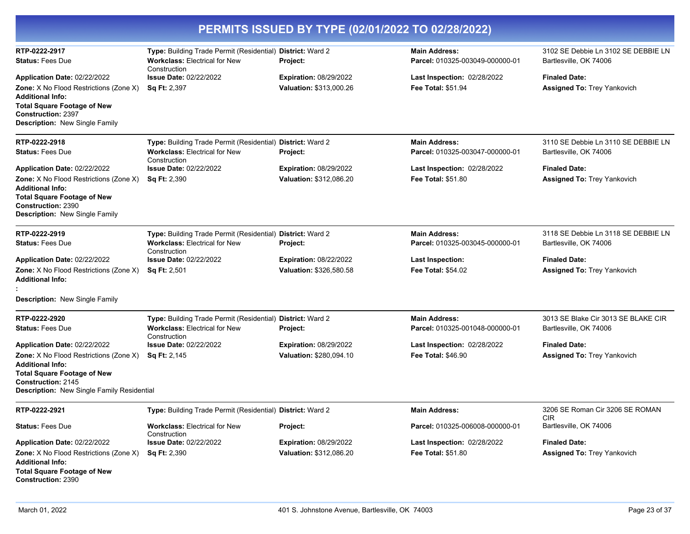| PERMITS ISSUED BY TYPE (02/01/2022 TO 02/28/2022)                                                                                                                                                      |                                                                                                                    |                                                          |                                                          |                                                               |
|--------------------------------------------------------------------------------------------------------------------------------------------------------------------------------------------------------|--------------------------------------------------------------------------------------------------------------------|----------------------------------------------------------|----------------------------------------------------------|---------------------------------------------------------------|
| RTP-0222-2917<br><b>Status: Fees Due</b>                                                                                                                                                               | Type: Building Trade Permit (Residential) District: Ward 2<br><b>Workclass: Electrical for New</b><br>Construction | Project:                                                 | <b>Main Address:</b><br>Parcel: 010325-003049-000000-01  | 3102 SE Debbie Ln 3102 SE DEBBIE LN<br>Bartlesville, OK 74006 |
| Application Date: 02/22/2022                                                                                                                                                                           | <b>Issue Date: 02/22/2022</b>                                                                                      | <b>Expiration: 08/29/2022</b>                            | Last Inspection: 02/28/2022                              | <b>Finaled Date:</b>                                          |
| Zone: X No Flood Restrictions (Zone X)<br><b>Additional Info:</b><br><b>Total Square Footage of New</b><br><b>Construction: 2397</b><br>Description: New Single Family                                 | Sq Ft: 2,397                                                                                                       | Valuation: \$313,000.26                                  | Fee Total: \$51.94                                       | <b>Assigned To: Trey Yankovich</b>                            |
| RTP-0222-2918<br><b>Status: Fees Due</b>                                                                                                                                                               | Type: Building Trade Permit (Residential) District: Ward 2<br><b>Workclass: Electrical for New</b>                 | Project:                                                 | <b>Main Address:</b><br>Parcel: 010325-003047-000000-01  | 3110 SE Debbie Ln 3110 SE DEBBIE LN<br>Bartlesville, OK 74006 |
|                                                                                                                                                                                                        | Construction                                                                                                       |                                                          |                                                          |                                                               |
| Application Date: 02/22/2022<br>Zone: X No Flood Restrictions (Zone X)<br><b>Additional Info:</b><br><b>Total Square Footage of New</b><br><b>Construction: 2390</b><br>Description: New Single Family | <b>Issue Date: 02/22/2022</b><br><b>Sq Ft: 2,390</b>                                                               | <b>Expiration: 08/29/2022</b><br>Valuation: \$312,086.20 | Last Inspection: 02/28/2022<br><b>Fee Total: \$51.80</b> | <b>Finaled Date:</b><br><b>Assigned To: Trey Yankovich</b>    |
| RTP-0222-2919<br><b>Status: Fees Due</b>                                                                                                                                                               | Type: Building Trade Permit (Residential) District: Ward 2<br><b>Workclass: Electrical for New</b><br>Construction | Project:                                                 | <b>Main Address:</b><br>Parcel: 010325-003045-000000-01  | 3118 SE Debbie Ln 3118 SE DEBBIE LN<br>Bartlesville, OK 74006 |
| Application Date: 02/22/2022                                                                                                                                                                           | <b>Issue Date: 02/22/2022</b>                                                                                      | <b>Expiration: 08/22/2022</b>                            | <b>Last Inspection:</b>                                  | <b>Finaled Date:</b>                                          |
| Zone: X No Flood Restrictions (Zone X)<br><b>Additional Info:</b>                                                                                                                                      | <b>Sq Ft: 2,501</b>                                                                                                | Valuation: \$326.580.58                                  | <b>Fee Total: \$54.02</b>                                | <b>Assigned To: Trey Yankovich</b>                            |
| Description: New Single Family                                                                                                                                                                         |                                                                                                                    |                                                          |                                                          |                                                               |
| RTP-0222-2920<br><b>Status: Fees Due</b>                                                                                                                                                               | Type: Building Trade Permit (Residential) District: Ward 2<br><b>Workclass: Electrical for New</b><br>Construction | <b>Project:</b>                                          | <b>Main Address:</b><br>Parcel: 010325-001048-000000-01  | 3013 SE Blake Cir 3013 SE BLAKE CIR<br>Bartlesville, OK 74006 |
| Application Date: 02/22/2022                                                                                                                                                                           | <b>Issue Date: 02/22/2022</b>                                                                                      | <b>Expiration: 08/29/2022</b>                            | Last Inspection: 02/28/2022                              | <b>Finaled Date:</b>                                          |
| Zone: X No Flood Restrictions (Zone X)<br><b>Additional Info:</b><br><b>Total Square Footage of New</b><br>Construction: 2145<br>Description: New Single Family Residential                            | <b>Sq Ft: 2,145</b>                                                                                                | Valuation: \$280,094.10                                  | <b>Fee Total: \$46.90</b>                                | <b>Assigned To: Trey Yankovich</b>                            |
| RTP-0222-2921                                                                                                                                                                                          | Type: Building Trade Permit (Residential) District: Ward 2                                                         |                                                          | <b>Main Address:</b>                                     | 3206 SE Roman Cir 3206 SE ROMAN<br><b>CIR</b>                 |
| <b>Status: Fees Due</b>                                                                                                                                                                                | <b>Workclass: Electrical for New</b><br>Construction                                                               | <b>Project:</b>                                          | Parcel: 010325-006008-000000-01                          | Bartlesville, OK 74006                                        |
| Application Date: 02/22/2022                                                                                                                                                                           | <b>Issue Date: 02/22/2022</b>                                                                                      | <b>Expiration: 08/29/2022</b>                            | Last Inspection: 02/28/2022                              | <b>Finaled Date:</b>                                          |
| <b>Zone:</b> X No Flood Restrictions (Zone X)<br><b>Additional Info:</b><br><b>Total Square Footage of New</b><br><b>Construction: 2390</b>                                                            | <b>Sq Ft: 2,390</b>                                                                                                | Valuation: \$312,086.20                                  | <b>Fee Total: \$51.80</b>                                | Assigned To: Trey Yankovich                                   |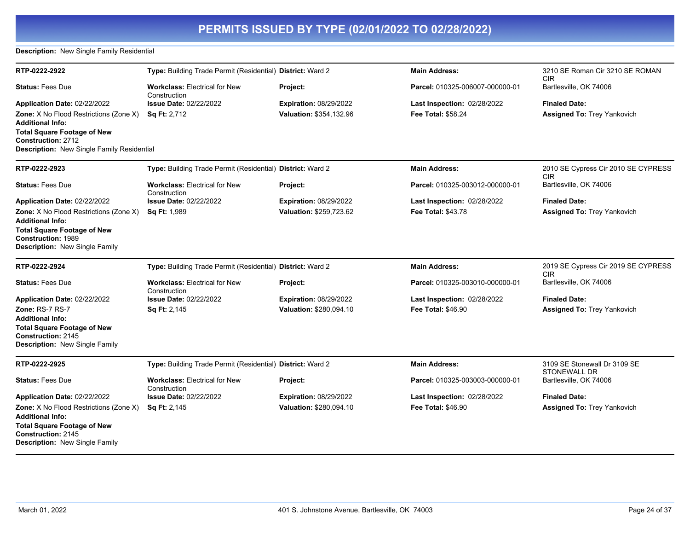### **Description:** New Single Family Residential

| RTP-0222-2922                                                           | Type: Building Trade Permit (Residential) District: Ward 2 |                               | <b>Main Address:</b>            | 3210 SE Roman Cir 3210 SE ROMAN<br><b>CIR</b>     |
|-------------------------------------------------------------------------|------------------------------------------------------------|-------------------------------|---------------------------------|---------------------------------------------------|
| <b>Status: Fees Due</b>                                                 | <b>Workclass: Electrical for New</b><br>Construction       | Project:                      | Parcel: 010325-006007-000000-01 | Bartlesville, OK 74006                            |
| Application Date: 02/22/2022                                            | <b>Issue Date: 02/22/2022</b>                              | Expiration: 08/29/2022        | Last Inspection: 02/28/2022     | <b>Finaled Date:</b>                              |
| <b>Zone:</b> X No Flood Restrictions (Zone X)                           | Sq Ft: 2,712                                               | Valuation: \$354,132.96       | Fee Total: \$58.24              | <b>Assigned To: Trey Yankovich</b>                |
| <b>Additional Info:</b>                                                 |                                                            |                               |                                 |                                                   |
| <b>Total Square Footage of New</b>                                      |                                                            |                               |                                 |                                                   |
| Construction: 2712<br><b>Description:</b> New Single Family Residential |                                                            |                               |                                 |                                                   |
|                                                                         |                                                            |                               |                                 |                                                   |
| RTP-0222-2923                                                           | Type: Building Trade Permit (Residential) District: Ward 2 |                               | <b>Main Address:</b>            | 2010 SE Cypress Cir 2010 SE CYPRESS<br>CIR.       |
| <b>Status: Fees Due</b>                                                 | <b>Workclass: Electrical for New</b><br>Construction       | Project:                      | Parcel: 010325-003012-000000-01 | Bartlesville, OK 74006                            |
| Application Date: 02/22/2022                                            | <b>Issue Date: 02/22/2022</b>                              | <b>Expiration: 08/29/2022</b> | Last Inspection: 02/28/2022     | <b>Finaled Date:</b>                              |
| Zone: X No Flood Restrictions (Zone X)                                  | Sq Ft: 1,989                                               | Valuation: \$259,723.62       | <b>Fee Total: \$43.78</b>       | <b>Assigned To: Trey Yankovich</b>                |
| <b>Additional Info:</b>                                                 |                                                            |                               |                                 |                                                   |
| <b>Total Square Footage of New</b>                                      |                                                            |                               |                                 |                                                   |
| Construction: 1989<br>Description: New Single Family                    |                                                            |                               |                                 |                                                   |
|                                                                         |                                                            |                               |                                 |                                                   |
| RTP-0222-2924                                                           | Type: Building Trade Permit (Residential) District: Ward 2 |                               | <b>Main Address:</b>            | 2019 SE Cypress Cir 2019 SE CYPRESS<br><b>CIR</b> |
| <b>Status: Fees Due</b>                                                 | <b>Workclass: Electrical for New</b><br>Construction       | Project:                      | Parcel: 010325-003010-000000-01 | Bartlesville, OK 74006                            |
| Application Date: 02/22/2022                                            | <b>Issue Date: 02/22/2022</b>                              | <b>Expiration: 08/29/2022</b> | Last Inspection: 02/28/2022     | <b>Finaled Date:</b>                              |
| Zone: RS-7 RS-7                                                         | Sq Ft: 2,145                                               | Valuation: \$280,094.10       | <b>Fee Total: \$46.90</b>       | <b>Assigned To: Trey Yankovich</b>                |
| <b>Additional Info:</b>                                                 |                                                            |                               |                                 |                                                   |
| <b>Total Square Footage of New</b><br><b>Construction: 2145</b>         |                                                            |                               |                                 |                                                   |
| <b>Description: New Single Family</b>                                   |                                                            |                               |                                 |                                                   |
| RTP-0222-2925                                                           | Type: Building Trade Permit (Residential) District: Ward 2 |                               | <b>Main Address:</b>            | 3109 SE Stonewall Dr 3109 SE                      |
|                                                                         |                                                            |                               |                                 | STONEWALL DR                                      |
| <b>Status: Fees Due</b>                                                 | <b>Workclass: Electrical for New</b>                       | Project:                      | Parcel: 010325-003003-000000-01 | Bartlesville, OK 74006                            |
| Application Date: 02/22/2022                                            | Construction<br><b>Issue Date: 02/22/2022</b>              | <b>Expiration: 08/29/2022</b> | Last Inspection: 02/28/2022     | <b>Finaled Date:</b>                              |
| <b>Zone:</b> X No Flood Restrictions (Zone X)                           | Sq Ft: 2,145                                               | Valuation: \$280,094.10       | <b>Fee Total: \$46.90</b>       | <b>Assigned To: Trey Yankovich</b>                |
| <b>Additional Info:</b>                                                 |                                                            |                               |                                 |                                                   |
| <b>Total Square Footage of New</b>                                      |                                                            |                               |                                 |                                                   |
| Construction: 2145                                                      |                                                            |                               |                                 |                                                   |
| Description: New Single Family                                          |                                                            |                               |                                 |                                                   |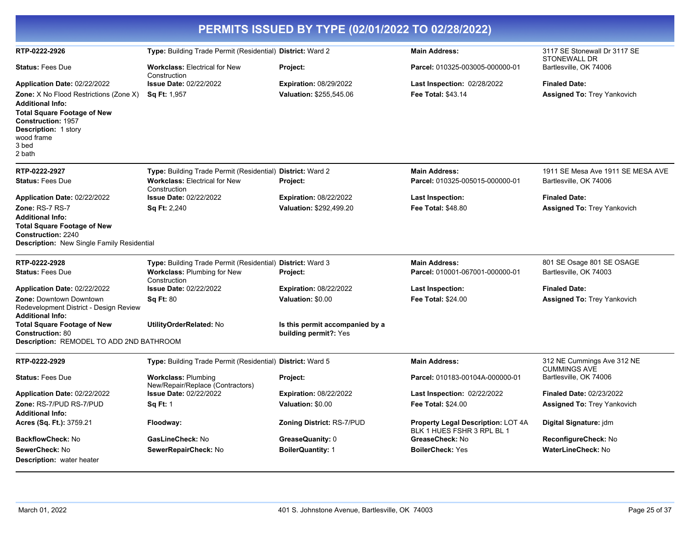| PERMITS ISSUED BY TYPE (02/01/2022 TO 02/28/2022)                                                   |                                                                |                                  |                                                                         |                                                   |  |
|-----------------------------------------------------------------------------------------------------|----------------------------------------------------------------|----------------------------------|-------------------------------------------------------------------------|---------------------------------------------------|--|
| RTP-0222-2926                                                                                       | Type: Building Trade Permit (Residential) District: Ward 2     |                                  | <b>Main Address:</b>                                                    | 3117 SE Stonewall Dr 3117 SE<br>STONEWALL DR      |  |
| <b>Status: Fees Due</b>                                                                             | <b>Workclass: Electrical for New</b><br>Construction           | Project:                         | Parcel: 010325-003005-000000-01                                         | Bartlesville, OK 74006                            |  |
| Application Date: 02/22/2022                                                                        | <b>Issue Date: 02/22/2022</b>                                  | Expiration: 08/29/2022           | Last Inspection: 02/28/2022                                             | <b>Finaled Date:</b>                              |  |
| Zone: X No Flood Restrictions (Zone X)                                                              | <b>Sq Ft: 1,957</b>                                            | Valuation: \$255,545.06          | <b>Fee Total: \$43.14</b>                                               | Assigned To: Trey Yankovich                       |  |
| <b>Additional Info:</b><br><b>Total Square Footage of New</b>                                       |                                                                |                                  |                                                                         |                                                   |  |
| <b>Construction: 1957</b><br><b>Description: 1 story</b><br>wood frame<br>3 bed                     |                                                                |                                  |                                                                         |                                                   |  |
| 2 bath                                                                                              |                                                                |                                  |                                                                         |                                                   |  |
| RTP-0222-2927                                                                                       | Type: Building Trade Permit (Residential) District: Ward 2     |                                  | <b>Main Address:</b>                                                    | 1911 SE Mesa Ave 1911 SE MESA AVE                 |  |
| <b>Status: Fees Due</b>                                                                             | <b>Workclass: Electrical for New</b><br>Construction           | <b>Project:</b>                  | Parcel: 010325-005015-000000-01                                         | Bartlesville, OK 74006                            |  |
| Application Date: 02/22/2022                                                                        | <b>Issue Date: 02/22/2022</b>                                  | <b>Expiration: 08/22/2022</b>    | Last Inspection:                                                        | <b>Finaled Date:</b>                              |  |
| Zone: RS-7 RS-7                                                                                     | <b>Sq Ft: 2,240</b>                                            | Valuation: \$292,499.20          | <b>Fee Total: \$48.80</b>                                               | <b>Assigned To: Trey Yankovich</b>                |  |
| <b>Additional Info:</b>                                                                             |                                                                |                                  |                                                                         |                                                   |  |
| <b>Total Square Footage of New</b><br><b>Construction: 2240</b>                                     |                                                                |                                  |                                                                         |                                                   |  |
| Description: New Single Family Residential                                                          |                                                                |                                  |                                                                         |                                                   |  |
| RTP-0222-2928                                                                                       | Type: Building Trade Permit (Residential) District: Ward 3     |                                  | <b>Main Address:</b>                                                    | 801 SE Osage 801 SE OSAGE                         |  |
| <b>Status: Fees Due</b>                                                                             | <b>Workclass: Plumbing for New</b><br>Construction             | Project:                         | Parcel: 010001-067001-000000-01                                         | Bartlesville, OK 74003                            |  |
| Application Date: 02/22/2022                                                                        | Issue Date: 02/22/2022                                         | <b>Expiration: 08/22/2022</b>    | Last Inspection:                                                        | <b>Finaled Date:</b>                              |  |
| <b>Zone: Downtown Downtown</b><br>Redevelopment District - Design Review<br><b>Additional Info:</b> | <b>Sq Ft: 80</b>                                               | Valuation: \$0.00                | <b>Fee Total: \$24.00</b>                                               | <b>Assigned To: Trey Yankovich</b>                |  |
| <b>Total Square Footage of New</b>                                                                  | <b>UtilityOrderRelated: No</b>                                 | Is this permit accompanied by a  |                                                                         |                                                   |  |
| <b>Construction: 80</b><br>Description: REMODEL TO ADD 2ND BATHROOM                                 |                                                                | building permit?: Yes            |                                                                         |                                                   |  |
|                                                                                                     |                                                                |                                  |                                                                         |                                                   |  |
| RTP-0222-2929                                                                                       | Type: Building Trade Permit (Residential) District: Ward 5     |                                  | <b>Main Address:</b>                                                    | 312 NE Cummings Ave 312 NE<br><b>CUMMINGS AVE</b> |  |
| <b>Status: Fees Due</b>                                                                             | <b>Workclass: Plumbing</b><br>New/Repair/Replace (Contractors) | Project:                         | Parcel: 010183-00104A-000000-01                                         | Bartlesville, OK 74006                            |  |
| Application Date: 02/22/2022                                                                        | <b>Issue Date: 02/22/2022</b>                                  | <b>Expiration: 08/22/2022</b>    | Last Inspection: 02/22/2022                                             | <b>Finaled Date: 02/23/2022</b>                   |  |
| Zone: RS-7/PUD RS-7/PUD                                                                             | <b>Sq Ft: 1</b>                                                | Valuation: \$0.00                | <b>Fee Total: \$24.00</b>                                               | <b>Assigned To: Trey Yankovich</b>                |  |
| <b>Additional Info:</b><br>Acres (Sq. Ft.): 3759.21                                                 | Floodway:                                                      | <b>Zoning District: RS-7/PUD</b> | <b>Property Legal Description: LOT 4A</b><br>BLK 1 HUES FSHR 3 RPL BL 1 | Digital Signature: jdm                            |  |
| <b>BackflowCheck: No</b>                                                                            | GasLineCheck: No                                               | GreaseQuanity: 0                 | GreaseCheck: No                                                         | ReconfigureCheck: No                              |  |
| SewerCheck: No                                                                                      | SewerRepairCheck: No                                           | <b>BoilerQuantity: 1</b>         | <b>BoilerCheck: Yes</b>                                                 | WaterLineCheck: No                                |  |
| <b>Description:</b> water heater                                                                    |                                                                |                                  |                                                                         |                                                   |  |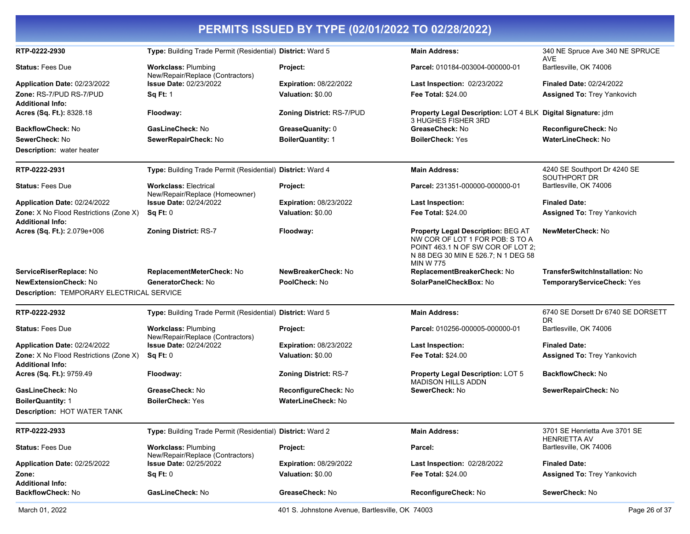| PERMITS ISSUED BY TYPE (02/01/2022 TO 02/28/2022)                 |                                                                |                               |                                                                                                                                                                       |                                                      |  |
|-------------------------------------------------------------------|----------------------------------------------------------------|-------------------------------|-----------------------------------------------------------------------------------------------------------------------------------------------------------------------|------------------------------------------------------|--|
| RTP-0222-2930                                                     | Type: Building Trade Permit (Residential) District: Ward 5     |                               | <b>Main Address:</b>                                                                                                                                                  | 340 NE Spruce Ave 340 NE SPRUCE<br><b>AVE</b>        |  |
| <b>Status: Fees Due</b>                                           | <b>Workclass: Plumbing</b><br>New/Repair/Replace (Contractors) | Project:                      | Parcel: 010184-003004-000000-01                                                                                                                                       | Bartlesville, OK 74006                               |  |
| Application Date: 02/23/2022                                      | <b>Issue Date: 02/23/2022</b>                                  | <b>Expiration: 08/22/2022</b> | Last Inspection: 02/23/2022                                                                                                                                           | <b>Finaled Date: 02/24/2022</b>                      |  |
| Zone: RS-7/PUD RS-7/PUD<br><b>Additional Info:</b>                | <b>Sq Ft: 1</b>                                                | Valuation: \$0.00             | <b>Fee Total: \$24.00</b>                                                                                                                                             | <b>Assigned To: Trey Yankovich</b>                   |  |
| Acres (Sq. Ft.): 8328.18                                          | Floodway:                                                      | Zoning District: RS-7/PUD     | Property Legal Description: LOT 4 BLK Digital Signature: jdm<br>3 HUGHES FISHER 3RD                                                                                   |                                                      |  |
| <b>BackflowCheck: No</b>                                          | GasLineCheck: No                                               | GreaseQuanity: 0              | GreaseCheck: No                                                                                                                                                       | ReconfigureCheck: No                                 |  |
| SewerCheck: No                                                    | SewerRepairCheck: No                                           | <b>BoilerQuantity: 1</b>      | <b>BoilerCheck: Yes</b>                                                                                                                                               | <b>WaterLineCheck: No</b>                            |  |
| <b>Description:</b> water heater                                  |                                                                |                               |                                                                                                                                                                       |                                                      |  |
| RTP-0222-2931                                                     | Type: Building Trade Permit (Residential) District: Ward 4     |                               | <b>Main Address:</b>                                                                                                                                                  | 4240 SE Southport Dr 4240 SE<br>SOUTHPORT DR         |  |
| <b>Status: Fees Due</b>                                           | <b>Workclass: Electrical</b><br>New/Repair/Replace (Homeowner) | Project:                      | Parcel: 231351-000000-000000-01                                                                                                                                       | Bartlesville, OK 74006                               |  |
| Application Date: 02/24/2022                                      | <b>Issue Date: 02/24/2022</b>                                  | <b>Expiration: 08/23/2022</b> | <b>Last Inspection:</b>                                                                                                                                               | <b>Finaled Date:</b>                                 |  |
| Zone: X No Flood Restrictions (Zone X)<br><b>Additional Info:</b> | Sq Ft: 0                                                       | Valuation: \$0.00             | <b>Fee Total: \$24.00</b>                                                                                                                                             | <b>Assigned To: Trey Yankovich</b>                   |  |
| Acres (Sq. Ft.): 2.079e+006                                       | <b>Zoning District: RS-7</b>                                   | Floodway:                     | Property Legal Description: BEG AT<br>NW COR OF LOT 1 FOR POB: S TO A<br>POINT 463.1 N OF SW COR OF LOT 2;<br>N 88 DEG 30 MIN E 526.7; N 1 DEG 58<br><b>MIN W 775</b> | NewMeterCheck: No                                    |  |
| ServiceRiserReplace: No                                           | ReplacementMeterCheck: No                                      | NewBreakerCheck: No           | ReplacementBreakerCheck: No                                                                                                                                           | <b>TransferSwitchInstallation: No</b>                |  |
| <b>NewExtensionCheck: No</b>                                      | GeneratorCheck: No                                             | PoolCheck: No                 | SolarPanelCheckBox: No                                                                                                                                                | TemporaryServiceCheck: Yes                           |  |
| Description: TEMPORARY ELECTRICAL SERVICE                         |                                                                |                               |                                                                                                                                                                       |                                                      |  |
| RTP-0222-2932                                                     | Type: Building Trade Permit (Residential) District: Ward 5     |                               | <b>Main Address:</b>                                                                                                                                                  | 6740 SE Dorsett Dr 6740 SE DORSETT<br><b>DR</b>      |  |
| <b>Status: Fees Due</b>                                           | <b>Workclass: Plumbing</b><br>New/Repair/Replace (Contractors) | Project:                      | Parcel: 010256-000005-000000-01                                                                                                                                       | Bartlesville, OK 74006                               |  |
| Application Date: 02/24/2022                                      | <b>Issue Date: 02/24/2022</b>                                  | Expiration: 08/23/2022        | <b>Last Inspection:</b>                                                                                                                                               | <b>Finaled Date:</b>                                 |  |
| Zone: X No Flood Restrictions (Zone X)<br><b>Additional Info:</b> | Sq Ft: 0                                                       | Valuation: \$0.00             | <b>Fee Total: \$24.00</b>                                                                                                                                             | <b>Assigned To: Trey Yankovich</b>                   |  |
| Acres (Sq. Ft.): 9759.49                                          | Floodway:                                                      | <b>Zoning District: RS-7</b>  | Property Legal Description: LOT 5<br><b>MADISON HILLS ADDN</b>                                                                                                        | <b>BackflowCheck: No</b>                             |  |
| GasLineCheck: No                                                  | GreaseCheck: No                                                | <b>ReconfigureCheck:</b> No   | SewerCheck: No                                                                                                                                                        | SewerRepairCheck: No                                 |  |
| <b>BoilerQuantity: 1</b>                                          | <b>BoilerCheck: Yes</b>                                        | <b>WaterLineCheck: No</b>     |                                                                                                                                                                       |                                                      |  |
| Description: HOT WATER TANK                                       |                                                                |                               |                                                                                                                                                                       |                                                      |  |
| RTP-0222-2933                                                     | Type: Building Trade Permit (Residential) District: Ward 2     |                               | <b>Main Address:</b>                                                                                                                                                  | 3701 SE Henrietta Ave 3701 SE<br><b>HENRIETTA AV</b> |  |
| <b>Status: Fees Due</b>                                           | <b>Workclass: Plumbing</b><br>New/Repair/Replace (Contractors) | Project:                      | Parcel:                                                                                                                                                               | Bartlesville, OK 74006                               |  |
| Application Date: 02/25/2022                                      | <b>Issue Date: 02/25/2022</b>                                  | Expiration: 08/29/2022        | <b>Last Inspection: 02/28/2022</b>                                                                                                                                    | <b>Finaled Date:</b>                                 |  |
| Zone:<br><b>Additional Info:</b>                                  | Sq Ft: 0                                                       | Valuation: \$0.00             | <b>Fee Total: \$24.00</b>                                                                                                                                             | <b>Assigned To: Trey Yankovich</b>                   |  |
| BackflowCheck: No                                                 | GasLineCheck: No                                               | GreaseCheck: No               | ReconfigureCheck: No                                                                                                                                                  | SewerCheck: No                                       |  |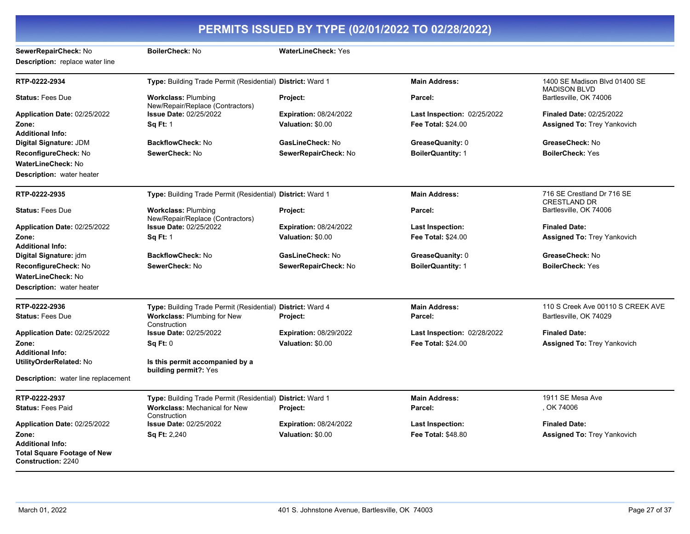#### **PERMITS ISSUED BY TYPE (02/01/2022 TO 02/28/2022) SewerRepairCheck:** No **BoilerCheck:** No **WaterLineCheck:** Yes **Description:** replace water line **RTP-0222-2934 Type:** Building Trade Permit (Residential) **District:** Ward 1 **Main Address:** 1400 SE Madison Blvd 01400 SE MADISON BLVD **Status:** Fees Due **Workclass:** Plumbing New/Repair/Replace (Contractors) **Project: Parcel:** Bartlesville, OK 74006 **Application Date:** 02/25/2022 **Zone: Issue Date:** 02/25/2022 **Sq Ft:** 1 **Expiration:** 08/24/2022 **Valuation:** \$0.00 **Last Inspection:** 02/25/2022 **Fee Total:** \$24.00 **Finaled Date:** 02/25/2022 **Assigned To:** Trey Yankovich **Additional Info: Digital Signature:** JDM **BackflowCheck:** No **GasLineCheck:** No **GreaseQuanity:** 0 **GreaseCheck:** No **ReconfigureCheck:** No **SewerCheck:** No **SewerRepairCheck:** No **BoilerQuantity:** 1 **BoilerCheck:** Yes **WaterLineCheck:** No **Description:** water heater **RTP-0222-2935 Type:** Building Trade Permit (Residential) **District:** Ward 1 **Main Address:** 716 SE Crestland Dr 716 SE CRESTLAND DR **Status:** Fees Due **Workclass:** Plumbing New/Repair/Replace (Contractors) **Project: Parcel:** Bartlesville, OK 74006 **Application Date:** 02/25/2022 **Zone: Issue Date:** 02/25/2022 **Sq Ft:** 1 **Expiration:** 08/24/2022 **Valuation:** \$0.00 **Last Inspection: Fee Total:** \$24.00 **Finaled Date: Assigned To:** Trey Yankovich **Additional Info: Digital Signature:** jdm **BackflowCheck:** No **GasLineCheck:** No **GreaseQuanity:** 0 **GreaseCheck:** No **ReconfigureCheck:** No **SewerCheck:** No **SewerRepairCheck:** No **BoilerQuantity:** 1 **BoilerCheck:** Yes **WaterLineCheck:** No **Description:** water heater **RTP-0222-2936 Type:** Building Trade Permit (Residential) **District:** Ward 4 **Main Address:** 110 S Creek Ave 00110 S CREEK AVE **Status:** Fees Due **Workclass:** Plumbing for New **Construction Project: Parcel:** Bartlesville, OK 74029 **Application Date:** 02/25/2022 **Zone: Issue Date:** 02/25/2022 **Sq Ft:** 0 **Expiration:** 08/29/2022 **Valuation:** \$0.00 **Last Inspection:** 02/28/2022 **Fee Total:** \$24.00 **Finaled Date: Assigned To:** Trey Yankovich **Additional Info: UtilityOrderRelated:** No **Is this permit accompanied by a building permit?:** Yes **Description:** water line replacement **RTP-0222-2937 Type:** Building Trade Permit (Residential) **District:** Ward 1 **Main Address:** 1911 SE Mesa Ave **Status:** Fees Paid **Workclass:** Mechanical for New Construction **Project: Parcel:** , OK 74006 **Application Date:** 02/25/2022 **Zone: Issue Date:** 02/25/2022 **Sq Ft:** 2,240 **Expiration:** 08/24/2022 **Valuation:** \$0.00 **Last Inspection: Fee Total:** \$48.80 **Finaled Date: Assigned To:** Trey Yankovich **Additional Info: Total Square Footage of New Construction:** 2240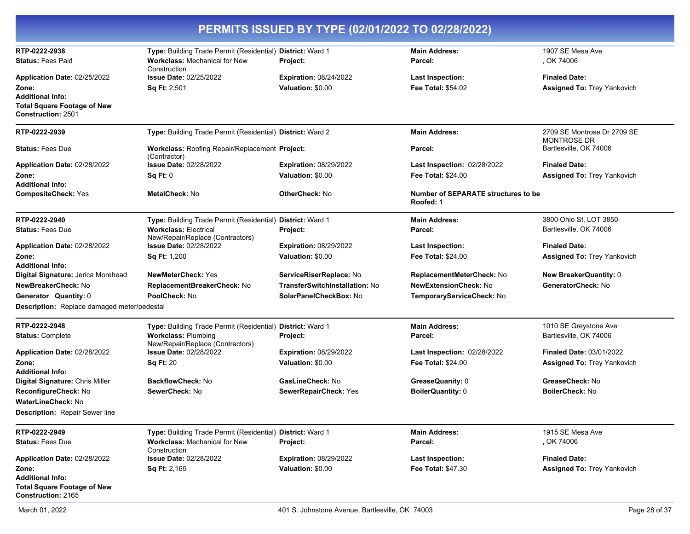|                                                                 | PERMITS ISSUED BY TYPE (02/01/2022 TO 02/28/2022)                                                                  |                                       |                                                         |                                                   |  |
|-----------------------------------------------------------------|--------------------------------------------------------------------------------------------------------------------|---------------------------------------|---------------------------------------------------------|---------------------------------------------------|--|
| RTP-0222-2938<br><b>Status: Fees Paid</b>                       | Type: Building Trade Permit (Residential) District: Ward 1<br><b>Workclass: Mechanical for New</b><br>Construction | Project:                              | <b>Main Address:</b><br>Parcel:                         | 1907 SE Mesa Ave<br>, OK 74006                    |  |
| Application Date: 02/25/2022                                    | <b>Issue Date: 02/25/2022</b>                                                                                      | <b>Expiration: 08/24/2022</b>         | <b>Last Inspection:</b>                                 | <b>Finaled Date:</b>                              |  |
| Zone:                                                           | Sq Ft: 2,501                                                                                                       | Valuation: \$0.00                     | <b>Fee Total: \$54.02</b>                               | Assigned To: Trey Yankovich                       |  |
| <b>Additional Info:</b>                                         |                                                                                                                    |                                       |                                                         |                                                   |  |
| <b>Total Square Footage of New</b><br><b>Construction: 2501</b> |                                                                                                                    |                                       |                                                         |                                                   |  |
| RTP-0222-2939                                                   | Type: Building Trade Permit (Residential) District: Ward 2                                                         |                                       | <b>Main Address:</b>                                    | 2709 SE Montrose Dr 2709 SE<br><b>MONTROSE DR</b> |  |
| <b>Status: Fees Due</b>                                         | Workclass: Roofing Repair/Replacement Project:<br>(Contractor)                                                     |                                       | Parcel:                                                 | Bartlesville, OK 74006                            |  |
| Application Date: 02/28/2022                                    | <b>Issue Date: 02/28/2022</b>                                                                                      | <b>Expiration: 08/29/2022</b>         | Last Inspection: 02/28/2022                             | <b>Finaled Date:</b>                              |  |
| Zone:                                                           | Sq Ft: 0                                                                                                           | Valuation: \$0.00                     | <b>Fee Total: \$24.00</b>                               | <b>Assigned To: Trey Yankovich</b>                |  |
| <b>Additional Info:</b><br><b>CompositeCheck: Yes</b>           | MetalCheck: No                                                                                                     | <b>OtherCheck: No</b>                 | <b>Number of SEPARATE structures to be</b><br>Roofed: 1 |                                                   |  |
| RTP-0222-2940                                                   | Type: Building Trade Permit (Residential) District: Ward 1                                                         |                                       | <b>Main Address:</b>                                    | 3800 Ohio St, LOT 3850                            |  |
| <b>Status: Fees Due</b>                                         | <b>Workclass: Electrical</b><br>New/Repair/Replace (Contractors)                                                   | Project:                              | Parcel:                                                 | Bartlesville, OK 74006                            |  |
| Application Date: 02/28/2022                                    | <b>Issue Date: 02/28/2022</b>                                                                                      | <b>Expiration: 08/29/2022</b>         | <b>Last Inspection:</b>                                 | <b>Finaled Date:</b>                              |  |
| Zone:                                                           | Sq Ft: 1,200                                                                                                       | Valuation: \$0.00                     | <b>Fee Total: \$24.00</b>                               | <b>Assigned To: Trey Yankovich</b>                |  |
| <b>Additional Info:</b>                                         |                                                                                                                    |                                       |                                                         |                                                   |  |
| Digital Signature: Jerica Morehead                              | <b>NewMeterCheck: Yes</b>                                                                                          | ServiceRiserReplace: No               | ReplacementMeterCheck: No                               | <b>New BreakerQuantity: 0</b>                     |  |
| NewBreakerCheck: No                                             | ReplacementBreakerCheck: No                                                                                        | <b>TransferSwitchInstallation: No</b> | <b>NewExtensionCheck: No</b>                            | GeneratorCheck: No                                |  |
| Generator Quantity: 0                                           | PoolCheck: No                                                                                                      | SolarPanelCheckBox: No                | TemporaryServiceCheck: No                               |                                                   |  |
| Description: Replace damaged meter/pedestal                     |                                                                                                                    |                                       |                                                         |                                                   |  |
| RTP-0222-2948                                                   | Type: Building Trade Permit (Residential) District: Ward 1                                                         |                                       | <b>Main Address:</b>                                    | 1010 SE Greystone Ave                             |  |
| <b>Status: Complete</b>                                         | <b>Workclass: Plumbing</b><br>New/Repair/Replace (Contractors)                                                     | Project:                              | Parcel:                                                 | Bartlesville, OK 74006                            |  |
| Application Date: 02/28/2022                                    | <b>Issue Date: 02/28/2022</b>                                                                                      | <b>Expiration: 08/29/2022</b>         | Last Inspection: 02/28/2022                             | <b>Finaled Date: 03/01/2022</b>                   |  |
| Zone:                                                           | <b>Sq Ft: 20</b>                                                                                                   | Valuation: \$0.00                     | <b>Fee Total: \$24.00</b>                               | Assigned To: Trey Yankovich                       |  |
| <b>Additional Info:</b>                                         |                                                                                                                    |                                       |                                                         |                                                   |  |
| Digital Signature: Chris Miller                                 | <b>BackflowCheck: No</b>                                                                                           | GasLineCheck: No                      | GreaseQuanity: 0                                        | GreaseCheck: No                                   |  |
| ReconfigureCheck: No                                            | SewerCheck: No                                                                                                     | SewerRepairCheck: Yes                 | <b>BoilerQuantity: 0</b>                                | <b>BoilerCheck: No</b>                            |  |
| <b>WaterLineCheck: No</b>                                       |                                                                                                                    |                                       |                                                         |                                                   |  |
| Description: Repair Sewer line                                  |                                                                                                                    |                                       |                                                         |                                                   |  |
| RTP-0222-2949                                                   | Type: Building Trade Permit (Residential) District: Ward 1                                                         |                                       | <b>Main Address:</b>                                    | 1915 SE Mesa Ave                                  |  |
| <b>Status: Fees Due</b>                                         | <b>Workclass: Mechanical for New</b><br>Construction                                                               | Project:                              | Parcel:                                                 | , OK 74006                                        |  |
| Application Date: 02/28/2022                                    | <b>Issue Date: 02/28/2022</b>                                                                                      | <b>Expiration: 08/29/2022</b>         | <b>Last Inspection:</b>                                 | <b>Finaled Date:</b>                              |  |
| Zone:                                                           | <b>Sq Ft: 2,165</b>                                                                                                | Valuation: \$0.00                     | <b>Fee Total: \$47.30</b>                               | Assigned To: Trey Yankovich                       |  |
| <b>Additional Info:</b>                                         |                                                                                                                    |                                       |                                                         |                                                   |  |
| <b>Total Square Footage of New</b><br>Construction: 2165        |                                                                                                                    |                                       |                                                         |                                                   |  |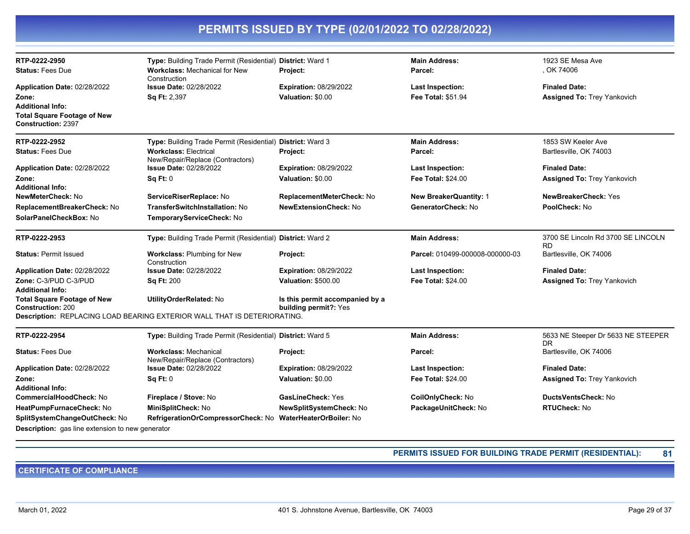| PERMITS ISSUED BY TYPE (02/01/2022 TO 02/28/2022)                                   |                                                                          |                                 |                                 |                                                 |  |
|-------------------------------------------------------------------------------------|--------------------------------------------------------------------------|---------------------------------|---------------------------------|-------------------------------------------------|--|
| RTP-0222-2950                                                                       | Type: Building Trade Permit (Residential) District: Ward 1               |                                 | <b>Main Address:</b>            | 1923 SE Mesa Ave                                |  |
| <b>Status: Fees Due</b>                                                             | <b>Workclass: Mechanical for New</b><br>Construction                     | <b>Project:</b>                 | Parcel:                         | , OK 74006                                      |  |
| Application Date: 02/28/2022                                                        | <b>Issue Date: 02/28/2022</b>                                            | <b>Expiration: 08/29/2022</b>   | Last Inspection:                | <b>Finaled Date:</b>                            |  |
| Zone:                                                                               | <b>Sq Ft: 2,397</b>                                                      | Valuation: \$0.00               | Fee Total: \$51.94              | Assigned To: Trey Yankovich                     |  |
| Additional Info:<br><b>Total Square Footage of New</b><br><b>Construction: 2397</b> |                                                                          |                                 |                                 |                                                 |  |
| RTP-0222-2952                                                                       | Type: Building Trade Permit (Residential) District: Ward 3               |                                 | <b>Main Address:</b>            | 1853 SW Keeler Ave                              |  |
| <b>Status: Fees Due</b>                                                             | <b>Workclass: Electrical</b><br>New/Repair/Replace (Contractors)         | Project:                        | Parcel:                         | Bartlesville, OK 74003                          |  |
| Application Date: 02/28/2022                                                        | <b>Issue Date: 02/28/2022</b>                                            | <b>Expiration: 08/29/2022</b>   | <b>Last Inspection:</b>         | <b>Finaled Date:</b>                            |  |
| Zone:                                                                               | <b>Sq Ft: 0</b>                                                          | Valuation: \$0.00               | <b>Fee Total: \$24.00</b>       | <b>Assigned To: Trey Yankovich</b>              |  |
| Additional Info:                                                                    |                                                                          |                                 |                                 |                                                 |  |
| <b>NewMeterCheck:</b> No                                                            | ServiceRiserReplace: No                                                  | ReplacementMeterCheck: No       | <b>New BreakerQuantity: 1</b>   | NewBreakerCheck: Yes                            |  |
| ReplacementBreakerCheck: No                                                         | <b>TransferSwitchInstallation: No</b>                                    | <b>NewExtensionCheck: No</b>    | GeneratorCheck: No              | PoolCheck: No                                   |  |
| SolarPanelCheckBox: No                                                              | TemporaryServiceCheck: No                                                |                                 |                                 |                                                 |  |
| RTP-0222-2953                                                                       | Type: Building Trade Permit (Residential) District: Ward 2               |                                 | <b>Main Address:</b>            | 3700 SE Lincoln Rd 3700 SE LINCOLN<br><b>RD</b> |  |
| <b>Status: Permit Issued</b>                                                        | Workclass: Plumbing for New<br>Construction                              | Project:                        | Parcel: 010499-000008-000000-03 | Bartlesville, OK 74006                          |  |
| Application Date: 02/28/2022                                                        | Issue Date: 02/28/2022                                                   | <b>Expiration: 08/29/2022</b>   | Last Inspection:                | <b>Finaled Date:</b>                            |  |
| Zone: C-3/PUD C-3/PUD                                                               | <b>Sq Ft: 200</b>                                                        | <b>Valuation: \$500.00</b>      | <b>Fee Total: \$24.00</b>       | Assigned To: Trey Yankovich                     |  |
| Additional Info:                                                                    |                                                                          |                                 |                                 |                                                 |  |
| <b>Total Square Footage of New</b>                                                  | UtilityOrderRelated: No                                                  | Is this permit accompanied by a |                                 |                                                 |  |
| <b>Construction: 200</b>                                                            | Description: REPLACING LOAD BEARING EXTERIOR WALL THAT IS DETERIORATING. | building permit?: Yes           |                                 |                                                 |  |
| RTP-0222-2954                                                                       | Type: Building Trade Permit (Residential) District: Ward 5               |                                 | <b>Main Address:</b>            | 5633 NE Steeper Dr 5633 NE STEEPER              |  |
| <b>Status: Fees Due</b>                                                             | <b>Workclass: Mechanical</b>                                             |                                 | Parcel:                         | DR<br>Bartlesville, OK 74006                    |  |
|                                                                                     | New/Repair/Replace (Contractors)                                         | Project:                        |                                 |                                                 |  |
| Application Date: 02/28/2022                                                        | <b>Issue Date: 02/28/2022</b>                                            | <b>Expiration: 08/29/2022</b>   | Last Inspection:                | <b>Finaled Date:</b>                            |  |
| Zone:                                                                               | Sq Ft: 0                                                                 | Valuation: \$0.00               | <b>Fee Total: \$24.00</b>       | <b>Assigned To: Trey Yankovich</b>              |  |
| <b>Additional Info:</b>                                                             |                                                                          |                                 |                                 |                                                 |  |
| CommercialHoodCheck: No                                                             | Fireplace / Stove: No                                                    | GasLineCheck: Yes               | CoilOnlyCheck: No               | <b>DuctsVentsCheck: No</b>                      |  |
| <b>HeatPumpFurnaceCheck:</b> No                                                     | MiniSplitCheck: No                                                       | <b>NewSplitSystemCheck: No</b>  | PackageUnitCheck: No            | <b>RTUCheck: No</b>                             |  |
| SplitSystemChangeOutCheck: No                                                       | RefrigerationOrCompressorCheck: No WaterHeaterOrBoiler: No               |                                 |                                 |                                                 |  |
| Description: gas line extension to new generator                                    |                                                                          |                                 |                                 |                                                 |  |

**PERMITS ISSUED FOR BUILDING TRADE PERMIT (RESIDENTIAL): 81**

**CERTIFICATE OF COMPLIANCE**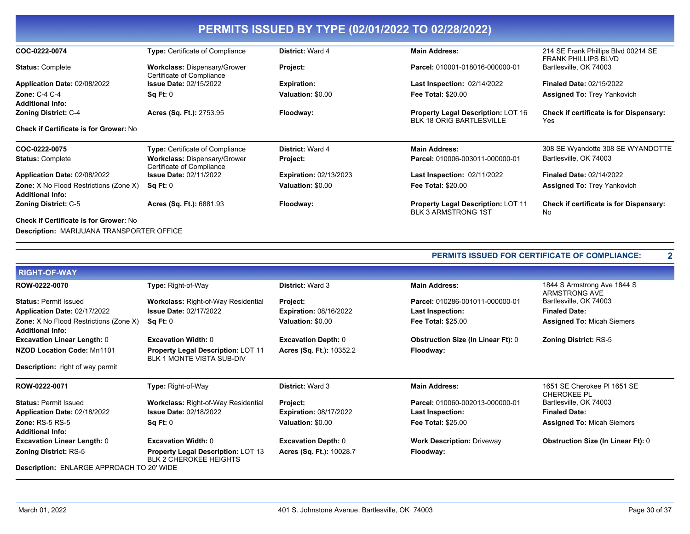| PERMITS ISSUED BY TYPE (02/01/2022 TO 02/28/2022)                        |                                                                  |                               |                                                                              |                                                                   |  |  |
|--------------------------------------------------------------------------|------------------------------------------------------------------|-------------------------------|------------------------------------------------------------------------------|-------------------------------------------------------------------|--|--|
| COC-0222-0074                                                            | Type: Certificate of Compliance                                  | <b>District: Ward 4</b>       | <b>Main Address:</b>                                                         | 214 SE Frank Phillips Blvd 00214 SE<br><b>FRANK PHILLIPS BLVD</b> |  |  |
| <b>Status: Complete</b>                                                  | Workclass: Dispensary/Grower<br>Certificate of Compliance        | Project:                      | Parcel: 010001-018016-000000-01                                              | Bartlesville, OK 74003                                            |  |  |
| Application Date: 02/08/2022                                             | <b>Issue Date: 02/15/2022</b>                                    | <b>Expiration:</b>            | <b>Last Inspection: 02/14/2022</b>                                           | <b>Finaled Date: 02/15/2022</b>                                   |  |  |
| Zone: $C-4$ $C-4$<br><b>Additional Info:</b>                             | Sq Ft: 0                                                         | Valuation: \$0.00             | <b>Fee Total: \$20.00</b>                                                    | <b>Assigned To: Trey Yankovich</b>                                |  |  |
| <b>Zoning District: C-4</b>                                              | Acres (Sq. Ft.): 2753.95                                         | Floodway:                     | <b>Property Legal Description: LOT 16</b><br><b>BLK 18 ORIG BARTLESVILLE</b> | <b>Check if certificate is for Dispensary:</b><br>Yes             |  |  |
| <b>Check if Certificate is for Grower: No</b>                            |                                                                  |                               |                                                                              |                                                                   |  |  |
| COC-0222-0075                                                            | <b>Type:</b> Certificate of Compliance                           | <b>District: Ward 4</b>       | <b>Main Address:</b>                                                         | 308 SE Wyandotte 308 SE WYANDOTTE                                 |  |  |
| <b>Status: Complete</b>                                                  | <b>Workclass: Dispensary/Grower</b><br>Certificate of Compliance | Project:                      | Parcel: 010006-003011-000000-01                                              | Bartlesville, OK 74003                                            |  |  |
| Application Date: 02/08/2022                                             | <b>Issue Date: 02/11/2022</b>                                    | <b>Expiration: 02/13/2023</b> | <b>Last Inspection: 02/11/2022</b>                                           | <b>Finaled Date: 02/14/2022</b>                                   |  |  |
| <b>Zone:</b> X No Flood Restrictions (Zone X)<br><b>Additional Info:</b> | Sq Ft: 0                                                         | Valuation: \$0.00             | <b>Fee Total: \$20.00</b>                                                    | <b>Assigned To: Trey Yankovich</b>                                |  |  |
| <b>Zoning District: C-5</b>                                              | Acres (Sq. Ft.): 6881.93                                         | Floodway:                     | <b>Property Legal Description: LOT 11</b><br><b>BLK 3 ARMSTRONG 1ST</b>      | <b>Check if certificate is for Dispensary:</b><br><b>No</b>       |  |  |
| <b>Check if Certificate is for Grower: No</b>                            |                                                                  |                               |                                                                              |                                                                   |  |  |
| <b>Description: MARIJUANA TRANSPORTER OFFICE</b>                         |                                                                  |                               |                                                                              |                                                                   |  |  |

|                                                                          |                                                                            |                               | <b>PERMITS ISSUED FOR CERTIFICATE OF COMPLIANCE:</b><br>$\mathbf{2}$ |                                              |  |
|--------------------------------------------------------------------------|----------------------------------------------------------------------------|-------------------------------|----------------------------------------------------------------------|----------------------------------------------|--|
| <b>RIGHT-OF-WAY</b>                                                      |                                                                            |                               |                                                                      |                                              |  |
| ROW-0222-0070                                                            | Type: Right-of-Way                                                         | <b>District: Ward 3</b>       | <b>Main Address:</b>                                                 | 1844 S Armstrong Ave 1844 S<br>ARMSTRONG AVE |  |
| <b>Status: Permit Issued</b>                                             | Workclass: Right-of-Way Residential                                        | Project:                      | Parcel: 010286-001011-000000-01                                      | Bartlesville, OK 74003                       |  |
| Application Date: 02/17/2022                                             | <b>Issue Date: 02/17/2022</b>                                              | <b>Expiration: 08/16/2022</b> | <b>Last Inspection:</b>                                              | <b>Finaled Date:</b>                         |  |
| <b>Zone:</b> X No Flood Restrictions (Zone X)<br><b>Additional Info:</b> | Sq Ft: 0                                                                   | Valuation: \$0.00             | <b>Fee Total: \$25.00</b>                                            | <b>Assigned To: Micah Siemers</b>            |  |
| <b>Excavation Linear Length: 0</b>                                       | <b>Excavation Width: 0</b>                                                 | <b>Excavation Depth: 0</b>    | <b>Obstruction Size (In Linear Ft): 0</b>                            | <b>Zoning District: RS-5</b>                 |  |
| NZOD Location Code: Mn1101                                               | <b>Property Legal Description: LOT 11</b><br>BLK 1 MONTE VISTA SUB-DIV     | Acres (Sq. Ft.): 10352.2      | Floodway:                                                            |                                              |  |
| <b>Description:</b> right of way permit                                  |                                                                            |                               |                                                                      |                                              |  |
| ROW-0222-0071                                                            | Type: Right-of-Way                                                         | <b>District: Ward 3</b>       | <b>Main Address:</b>                                                 | 1651 SE Cherokee PI 1651 SE<br>CHEROKEE PL   |  |
| <b>Status: Permit Issued</b>                                             | <b>Workclass: Right-of-Way Residential</b>                                 | Project:                      | Parcel: 010060-002013-000000-01                                      | Bartlesville, OK 74003                       |  |
| Application Date: 02/18/2022                                             | <b>Issue Date: 02/18/2022</b>                                              | <b>Expiration: 08/17/2022</b> | Last Inspection:                                                     | <b>Finaled Date:</b>                         |  |
| Zone: $RS-5RS-5$                                                         | Sq Ft: 0                                                                   | Valuation: \$0.00             | <b>Fee Total: \$25.00</b>                                            | <b>Assigned To: Micah Siemers</b>            |  |
| <b>Additional Info:</b>                                                  |                                                                            |                               |                                                                      |                                              |  |
| <b>Excavation Linear Length: 0</b>                                       | <b>Excavation Width: 0</b>                                                 | <b>Excavation Depth: 0</b>    | <b>Work Description: Driveway</b>                                    | <b>Obstruction Size (In Linear Ft): 0</b>    |  |
| <b>Zoning District: RS-5</b>                                             | <b>Property Legal Description: LOT 13</b><br><b>BLK 2 CHEROKEE HEIGHTS</b> | Acres (Sq. Ft.): 10028.7      | Floodway:                                                            |                                              |  |
| <b>Description: ENLARGE APPROACH TO 20' WIDE</b>                         |                                                                            |                               |                                                                      |                                              |  |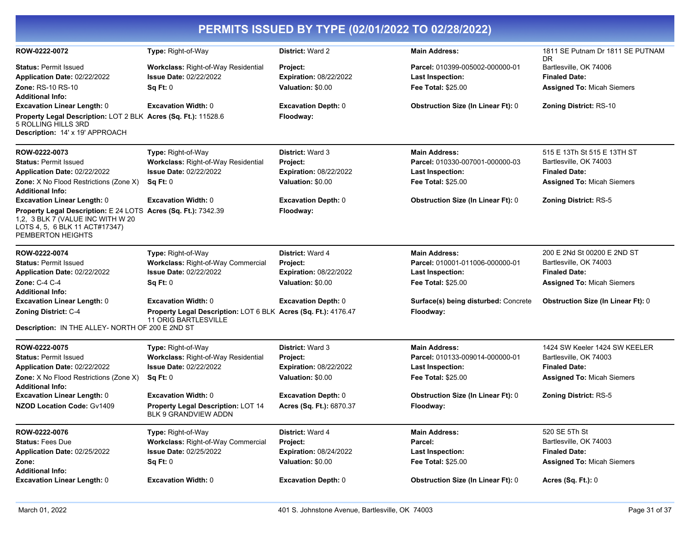| PERMITS ISSUED BY TYPE (02/01/2022 TO 02/28/2022)                                                                                                          |                                                                                        |                                                  |                                                            |                                                |  |
|------------------------------------------------------------------------------------------------------------------------------------------------------------|----------------------------------------------------------------------------------------|--------------------------------------------------|------------------------------------------------------------|------------------------------------------------|--|
| ROW-0222-0072                                                                                                                                              | Type: Right-of-Way                                                                     | <b>District: Ward 2</b>                          | <b>Main Address:</b>                                       | 1811 SE Putnam Dr 1811 SE PUTNAM<br>DR         |  |
| <b>Status: Permit Issued</b><br>Application Date: 02/22/2022                                                                                               | Workclass: Right-of-Way Residential<br><b>Issue Date: 02/22/2022</b>                   | <b>Project:</b><br><b>Expiration: 08/22/2022</b> | Parcel: 010399-005002-000000-01<br><b>Last Inspection:</b> | Bartlesville, OK 74006<br><b>Finaled Date:</b> |  |
| <b>Zone: RS-10 RS-10</b><br><b>Additional Info:</b>                                                                                                        | Sq Ft: 0                                                                               | Valuation: \$0.00                                | <b>Fee Total: \$25.00</b>                                  | <b>Assigned To: Micah Siemers</b>              |  |
| <b>Excavation Linear Length: 0</b>                                                                                                                         | <b>Excavation Width: 0</b>                                                             | <b>Excavation Depth: 0</b>                       | <b>Obstruction Size (In Linear Ft): 0</b>                  | <b>Zoning District: RS-10</b>                  |  |
| Property Legal Description: LOT 2 BLK Acres (Sq. Ft.): 11528.6<br>5 ROLLING HILLS 3RD<br><b>Description: 14' x 19' APPROACH</b>                            |                                                                                        | Floodway:                                        |                                                            |                                                |  |
| ROW-0222-0073                                                                                                                                              | Type: Right-of-Way                                                                     | <b>District: Ward 3</b>                          | <b>Main Address:</b>                                       | 515 E 13Th St 515 E 13TH ST                    |  |
| <b>Status: Permit Issued</b>                                                                                                                               | Workclass: Right-of-Way Residential                                                    | Project:                                         | Parcel: 010330-007001-000000-03                            | Bartlesville, OK 74003                         |  |
| Application Date: 02/22/2022                                                                                                                               | <b>Issue Date: 02/22/2022</b>                                                          | <b>Expiration: 08/22/2022</b>                    | <b>Last Inspection:</b>                                    | <b>Finaled Date:</b>                           |  |
| <b>Zone:</b> X No Flood Restrictions (Zone X)<br><b>Additional Info:</b>                                                                                   | Sq Ft: 0                                                                               | Valuation: \$0.00                                | <b>Fee Total: \$25.00</b>                                  | <b>Assigned To: Micah Siemers</b>              |  |
| <b>Excavation Linear Length: 0</b>                                                                                                                         | <b>Excavation Width: 0</b>                                                             | <b>Excavation Depth: 0</b>                       | <b>Obstruction Size (In Linear Ft): 0</b>                  | Zoning District: RS-5                          |  |
| Property Legal Description: E 24 LOTS Acres (Sq. Ft.): 7342.39<br>1,2, 3 BLK 7 (VALUE INC WITH W 20<br>LOTS 4, 5, 6 BLK 11 ACT#17347)<br>PEMBERTON HEIGHTS |                                                                                        | Floodway:                                        |                                                            |                                                |  |
| ROW-0222-0074                                                                                                                                              | Type: Right-of-Way                                                                     | <b>District: Ward 4</b>                          | <b>Main Address:</b>                                       | 200 E 2Nd St 00200 E 2ND ST                    |  |
| <b>Status: Permit Issued</b>                                                                                                                               | Workclass: Right-of-Way Commercial                                                     | Project:                                         | Parcel: 010001-011006-000000-01                            | Bartlesville, OK 74003                         |  |
| Application Date: 02/22/2022                                                                                                                               | <b>Issue Date: 02/22/2022</b>                                                          | <b>Expiration: 08/22/2022</b>                    | Last Inspection:                                           | <b>Finaled Date:</b>                           |  |
| Zone: C-4 C-4<br><b>Additional Info:</b>                                                                                                                   | Sq Ft: 0                                                                               | Valuation: \$0.00                                | <b>Fee Total: \$25.00</b>                                  | <b>Assigned To: Micah Siemers</b>              |  |
| <b>Excavation Linear Length: 0</b>                                                                                                                         | <b>Excavation Width: 0</b>                                                             | <b>Excavation Depth: 0</b>                       | Surface(s) being disturbed: Concrete                       | <b>Obstruction Size (In Linear Ft): 0</b>      |  |
| Zoning District: C-4                                                                                                                                       | Property Legal Description: LOT 6 BLK Acres (Sq. Ft.): 4176.47<br>11 ORIG BARTLESVILLE |                                                  | Floodway:                                                  |                                                |  |
| Description: IN THE ALLEY- NORTH OF 200 E 2ND ST                                                                                                           |                                                                                        |                                                  |                                                            |                                                |  |
| ROW-0222-0075                                                                                                                                              | Type: Right-of-Way                                                                     | <b>District: Ward 3</b>                          | <b>Main Address:</b>                                       | 1424 SW Keeler 1424 SW KEELER                  |  |
| <b>Status: Permit Issued</b>                                                                                                                               | Workclass: Right-of-Way Residential                                                    | Project:                                         | Parcel: 010133-009014-000000-01                            | Bartlesville, OK 74003                         |  |
| Application Date: 02/22/2022                                                                                                                               | <b>Issue Date: 02/22/2022</b>                                                          | <b>Expiration: 08/22/2022</b>                    | <b>Last Inspection:</b>                                    | <b>Finaled Date:</b>                           |  |
| Zone: X No Flood Restrictions (Zone X)<br><b>Additional Info:</b>                                                                                          | Sq Ft: 0                                                                               | Valuation: \$0.00                                | <b>Fee Total: \$25.00</b>                                  | <b>Assigned To: Micah Siemers</b>              |  |
| <b>Excavation Linear Length: 0</b>                                                                                                                         | <b>Excavation Width: 0</b>                                                             | <b>Excavation Depth: 0</b>                       | <b>Obstruction Size (In Linear Ft): 0</b>                  | Zoning District: RS-5                          |  |
| <b>NZOD Location Code: Gv1409</b>                                                                                                                          | Property Legal Description: LOT 14<br>BLK 9 GRANDVIEW ADDN                             | Acres (Sq. Ft.): 6870.37                         | Floodway:                                                  |                                                |  |
| ROW-0222-0076                                                                                                                                              | Type: Right-of-Way                                                                     | District: Ward 4                                 | <b>Main Address:</b>                                       | 520 SE 5Th St                                  |  |
| <b>Status: Fees Due</b>                                                                                                                                    | Workclass: Right-of-Way Commercial                                                     | Project:                                         | Parcel:                                                    | Bartlesville, OK 74003                         |  |
| Application Date: 02/25/2022                                                                                                                               | <b>Issue Date: 02/25/2022</b>                                                          | Expiration: 08/24/2022                           | <b>Last Inspection:</b>                                    | <b>Finaled Date:</b>                           |  |
| Zone:                                                                                                                                                      | Sq Ft: 0                                                                               | Valuation: \$0.00                                | Fee Total: \$25.00                                         | <b>Assigned To: Micah Siemers</b>              |  |
| <b>Additional Info:</b><br><b>Excavation Linear Length: 0</b>                                                                                              | <b>Excavation Width: 0</b>                                                             | <b>Excavation Depth: 0</b>                       | <b>Obstruction Size (In Linear Ft): 0</b>                  | Acres (Sq. Ft.): 0                             |  |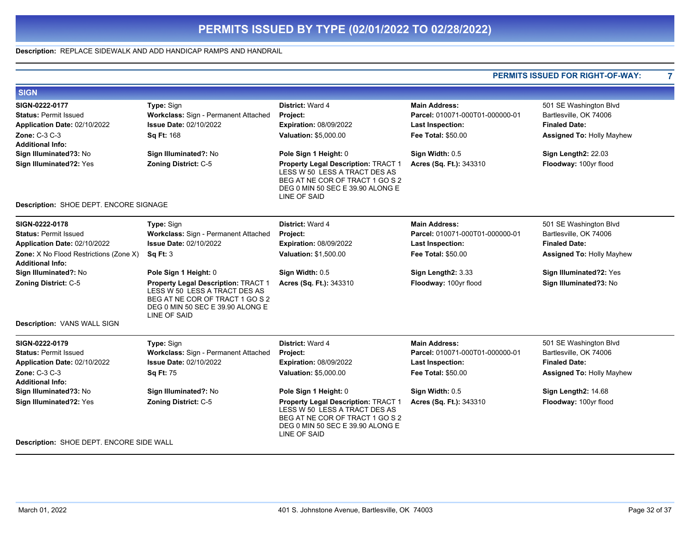### **Description:** REPLACE SIDEWALK AND ADD HANDICAP RAMPS AND HANDRAIL

|                                                                   |                                                                                                                                                             |                                                                                                                                                                    |                                 | <b>PERMITS ISSUED FOR RIGHT-OF-WAY:</b> |  |
|-------------------------------------------------------------------|-------------------------------------------------------------------------------------------------------------------------------------------------------------|--------------------------------------------------------------------------------------------------------------------------------------------------------------------|---------------------------------|-----------------------------------------|--|
| <b>SIGN</b>                                                       |                                                                                                                                                             |                                                                                                                                                                    |                                 |                                         |  |
| SIGN-0222-0177                                                    | Type: Sign                                                                                                                                                  | District: Ward 4                                                                                                                                                   | <b>Main Address:</b>            | 501 SE Washington Blvd                  |  |
| <b>Status: Permit Issued</b>                                      | Workclass: Sign - Permanent Attached                                                                                                                        | Project:                                                                                                                                                           | Parcel: 010071-000T01-000000-01 | Bartlesville, OK 74006                  |  |
| Application Date: 02/10/2022                                      | <b>Issue Date: 02/10/2022</b>                                                                                                                               | <b>Expiration: 08/09/2022</b>                                                                                                                                      | <b>Last Inspection:</b>         | <b>Finaled Date:</b>                    |  |
| <b>Zone: C-3 C-3</b>                                              | Sq Ft: 168                                                                                                                                                  | Valuation: \$5,000.00                                                                                                                                              | Fee Total: \$50.00              | <b>Assigned To: Holly Mayhew</b>        |  |
| <b>Additional Info:</b>                                           |                                                                                                                                                             |                                                                                                                                                                    |                                 |                                         |  |
| Sign Illuminated?3: No                                            | Sign Illuminated?: No                                                                                                                                       | Pole Sign 1 Height: 0                                                                                                                                              | Sign Width: 0.5                 | Sign Length2: 22.03                     |  |
| Sign Illuminated?2: Yes                                           | Zoning District: C-5                                                                                                                                        | Property Legal Description: TRACT 1<br>LESS W 50 LESS A TRACT DES AS<br>BEG AT NE COR OF TRACT 1 GO S 2<br>DEG 0 MIN 50 SEC E 39.90 ALONG E<br>LINE OF SAID        | Acres (Sq. Ft.): 343310         | Floodway: 100yr flood                   |  |
| Description: SHOE DEPT. ENCORE SIGNAGE                            |                                                                                                                                                             |                                                                                                                                                                    |                                 |                                         |  |
| SIGN-0222-0178                                                    | Type: Sign                                                                                                                                                  | District: Ward 4                                                                                                                                                   | <b>Main Address:</b>            | 501 SE Washington Blvd                  |  |
| <b>Status: Permit Issued</b>                                      | Workclass: Sign - Permanent Attached                                                                                                                        | Project:                                                                                                                                                           | Parcel: 010071-000T01-000000-01 | Bartlesville, OK 74006                  |  |
| Application Date: 02/10/2022                                      | <b>Issue Date: 02/10/2022</b>                                                                                                                               | <b>Expiration: 08/09/2022</b>                                                                                                                                      | <b>Last Inspection:</b>         | <b>Finaled Date:</b>                    |  |
| Zone: X No Flood Restrictions (Zone X)<br><b>Additional Info:</b> | <b>Sq Ft: 3</b>                                                                                                                                             | Valuation: \$1,500.00                                                                                                                                              | <b>Fee Total: \$50.00</b>       | <b>Assigned To: Holly Mayhew</b>        |  |
| Sign Illuminated?: No                                             | Pole Sign 1 Height: 0                                                                                                                                       | Sign Width: 0.5                                                                                                                                                    | Sign Length2: 3.33              | Sign Illuminated?2: Yes                 |  |
| Zoning District: C-5                                              | Property Legal Description: TRACT 1<br>LESS W 50 LESS A TRACT DES AS<br>BEG AT NE COR OF TRACT 1 GO S 2<br>DEG 0 MIN 50 SEC E 39.90 ALONG E<br>LINE OF SAID | Acres (Sq. Ft.): 343310                                                                                                                                            | Floodway: 100yr flood           | Sign Illuminated?3: No                  |  |
| Description: VANS WALL SIGN                                       |                                                                                                                                                             |                                                                                                                                                                    |                                 |                                         |  |
| SIGN-0222-0179                                                    | Type: Sign                                                                                                                                                  | District: Ward 4                                                                                                                                                   | <b>Main Address:</b>            | 501 SE Washington Blvd                  |  |
| <b>Status: Permit Issued</b>                                      | Workclass: Sign - Permanent Attached                                                                                                                        | Project:                                                                                                                                                           | Parcel: 010071-000T01-000000-01 | Bartlesville, OK 74006                  |  |
| Application Date: 02/10/2022                                      | <b>Issue Date: 02/10/2022</b>                                                                                                                               | <b>Expiration: 08/09/2022</b>                                                                                                                                      | <b>Last Inspection:</b>         | <b>Finaled Date:</b>                    |  |
| <b>Zone: C-3 C-3</b>                                              | <b>Sq Ft: 75</b>                                                                                                                                            | Valuation: \$5,000.00                                                                                                                                              | <b>Fee Total: \$50.00</b>       | <b>Assigned To: Holly Mayhew</b>        |  |
| <b>Additional Info:</b>                                           |                                                                                                                                                             |                                                                                                                                                                    |                                 |                                         |  |
| Sign Illuminated?3: No                                            | Sign Illuminated?: No                                                                                                                                       | Pole Sign 1 Height: 0                                                                                                                                              | Sign Width: 0.5                 | Sign Length2: 14.68                     |  |
| Sign Illuminated?2: Yes                                           | <b>Zoning District: C-5</b>                                                                                                                                 | Property Legal Description: TRACT 1<br>LESS W 50 LESS A TRACT DES AS<br>BEG AT NE COR OF TRACT 1 GO S 2<br>DEG 0 MIN 50 SEC E 39.90 ALONG E<br><b>LINE OF SAID</b> | Acres (Sq. Ft.): 343310         | Floodway: 100yr flood                   |  |
| Description: SHOE DEPT. ENCORE SIDE WALL                          |                                                                                                                                                             |                                                                                                                                                                    |                                 |                                         |  |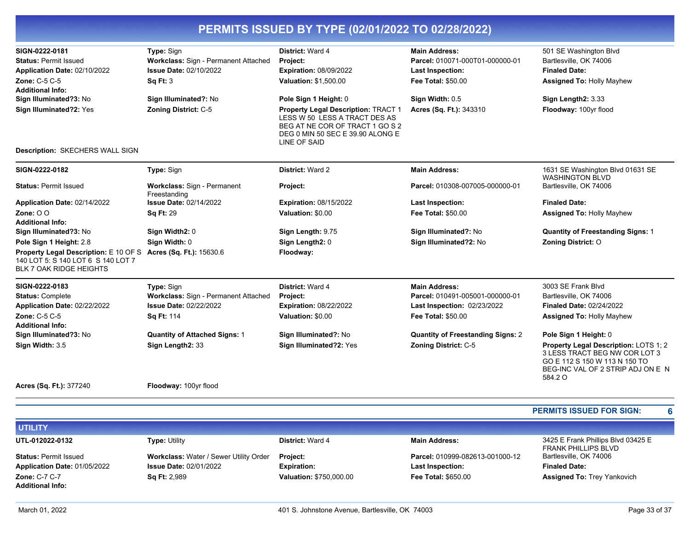| SIGN-0222-0181                                                                                                                         | Type: Sign                                  | District: Ward 4                                                                                                                                            | <b>Main Address:</b>                     | 501 SE Washington Blvd                                                                                                                                  |
|----------------------------------------------------------------------------------------------------------------------------------------|---------------------------------------------|-------------------------------------------------------------------------------------------------------------------------------------------------------------|------------------------------------------|---------------------------------------------------------------------------------------------------------------------------------------------------------|
| <b>Status: Permit Issued</b>                                                                                                           | Workclass: Sign - Permanent Attached        | Project:                                                                                                                                                    | Parcel: 010071-000T01-000000-01          | Bartlesville, OK 74006                                                                                                                                  |
| Application Date: 02/10/2022                                                                                                           | <b>Issue Date: 02/10/2022</b>               | Expiration: 08/09/2022                                                                                                                                      | <b>Last Inspection:</b>                  | <b>Finaled Date:</b>                                                                                                                                    |
| <b>Zone: C-5 C-5</b>                                                                                                                   | Sq Ft: 3                                    | <b>Valuation: \$1,500.00</b>                                                                                                                                | <b>Fee Total: \$50.00</b>                | Assigned To: Holly Mayhew                                                                                                                               |
| <b>Additional Info:</b>                                                                                                                |                                             |                                                                                                                                                             |                                          |                                                                                                                                                         |
| Sign Illuminated?3: No                                                                                                                 | Sign Illuminated?: No                       | Pole Sign 1 Height: 0                                                                                                                                       | Sign Width: 0.5                          | Sign Length2: 3.33                                                                                                                                      |
| Sign Illuminated?2: Yes                                                                                                                | Zoning District: C-5                        | Property Legal Description: TRACT 1<br>LESS W 50 LESS A TRACT DES AS<br>BEG AT NE COR OF TRACT 1 GO S 2<br>DEG 0 MIN 50 SEC E 39.90 ALONG E<br>LINE OF SAID | Acres (Sq. Ft.): 343310                  | Floodway: 100yr flood                                                                                                                                   |
| Description: SKECHERS WALL SIGN                                                                                                        |                                             |                                                                                                                                                             |                                          |                                                                                                                                                         |
| SIGN-0222-0182                                                                                                                         | Type: Sign                                  | <b>District: Ward 2</b>                                                                                                                                     | <b>Main Address:</b>                     | 1631 SE Washington Blvd 01631 SE<br><b>WASHINGTON BLVD</b>                                                                                              |
| <b>Status: Permit Issued</b>                                                                                                           | Workclass: Sign - Permanent<br>Freestanding | Project:                                                                                                                                                    | Parcel: 010308-007005-000000-01          | Bartlesville, OK 74006                                                                                                                                  |
| Application Date: 02/14/2022                                                                                                           | <b>Issue Date: 02/14/2022</b>               | <b>Expiration: 08/15/2022</b>                                                                                                                               | Last Inspection:                         | <b>Finaled Date:</b>                                                                                                                                    |
| Zone: $00$                                                                                                                             | <b>Sq Ft: 29</b>                            | Valuation: \$0.00                                                                                                                                           | <b>Fee Total: \$50.00</b>                | Assigned To: Holly Mayhew                                                                                                                               |
| <b>Additional Info:</b>                                                                                                                |                                             |                                                                                                                                                             |                                          |                                                                                                                                                         |
| Sign Illuminated?3: No                                                                                                                 | Sign Width2: 0                              | Sign Length: 9.75                                                                                                                                           | Sign Illuminated?: No                    | <b>Quantity of Freestanding Signs: 1</b>                                                                                                                |
| Pole Sign 1 Height: 2.8                                                                                                                | Sign Width: 0                               | Sign Length2: 0                                                                                                                                             | Sign Illuminated?2: No                   | <b>Zoning District: O</b>                                                                                                                               |
| Property Legal Description: E 10 OF S Acres (Sq. Ft.): 15630.6<br>140 LOT 5: S 140 LOT 6 S 140 LOT 7<br><b>BLK 7 OAK RIDGE HEIGHTS</b> |                                             | Floodway:                                                                                                                                                   |                                          |                                                                                                                                                         |
| SIGN-0222-0183                                                                                                                         | <b>Type: Sign</b>                           | District: Ward 4                                                                                                                                            | <b>Main Address:</b>                     | 3003 SE Frank Blvd                                                                                                                                      |
| <b>Status: Complete</b>                                                                                                                | Workclass: Sign - Permanent Attached        | Project:                                                                                                                                                    | Parcel: 010491-005001-000000-01          | Bartlesville, OK 74006                                                                                                                                  |
| Application Date: 02/22/2022                                                                                                           | <b>Issue Date: 02/22/2022</b>               | <b>Expiration: 08/22/2022</b>                                                                                                                               | Last Inspection: 02/23/2022              | Finaled Date: 02/24/2022                                                                                                                                |
| <b>Zone: C-5 C-5</b>                                                                                                                   | Sq Ft: 114                                  | Valuation: \$0.00                                                                                                                                           | <b>Fee Total: \$50.00</b>                | <b>Assigned To: Holly Mayhew</b>                                                                                                                        |
| <b>Additional Info:</b>                                                                                                                |                                             |                                                                                                                                                             |                                          |                                                                                                                                                         |
| Sign Illuminated?3: No                                                                                                                 | <b>Quantity of Attached Signs: 1</b>        | Sign Illuminated?: No                                                                                                                                       | <b>Quantity of Freestanding Signs: 2</b> | Pole Sign 1 Height: 0                                                                                                                                   |
| Sign Width: 3.5                                                                                                                        | Sign Length2: 33                            | Sign Illuminated?2: Yes                                                                                                                                     | Zoning District: C-5                     | Property Legal Description: LOTS 1; 2<br>3 LESS TRACT BEG NW COR LOT 3<br>GO E 112 S 150 W 113 N 150 TO<br>BEG-INC VAL OF 2 STRIP ADJ ON E N<br>584.2 O |
| Acres (Sq. Ft.): 377240                                                                                                                | Floodway: 100yr flood                       |                                                                                                                                                             |                                          |                                                                                                                                                         |
|                                                                                                                                        |                                             |                                                                                                                                                             |                                          | <b>PERMITS ISSUED FOR SIGN:</b><br>6                                                                                                                    |
| <b>UTILITY</b>                                                                                                                         |                                             |                                                                                                                                                             |                                          |                                                                                                                                                         |
|                                                                                                                                        |                                             | ----------                                                                                                                                                  | .                                        | $0.10557 \times 10^{10}$                                                                                                                                |

| UTL-012022-0132              | <b>Type: Utility</b>                          | <b>District: Ward 4</b>        | <b>Main Address:</b>            | 3425 E Frank Phillips Blvd 03425 E<br>FRANK PHILLIPS BLVD |
|------------------------------|-----------------------------------------------|--------------------------------|---------------------------------|-----------------------------------------------------------|
| <b>Status: Permit Issued</b> | <b>Workclass: Water / Sewer Utility Order</b> | <b>Project:</b>                | Parcel: 010999-082613-001000-12 | Bartlesville, OK 74006                                    |
| Application Date: 01/05/2022 | <b>Issue Date: 02/01/2022</b>                 | <b>Expiration:</b>             | Last Inspection:                | <b>Finaled Date:</b>                                      |
| <b>Zone: C-7 C-7</b>         | <b>Sq Ft: 2,989</b>                           | <b>Valuation: \$750,000.00</b> | <b>Fee Total: \$650.00</b>      | <b>Assigned To: Trey Yankovich</b>                        |
| <b>Additional Info:</b>      |                                               |                                |                                 |                                                           |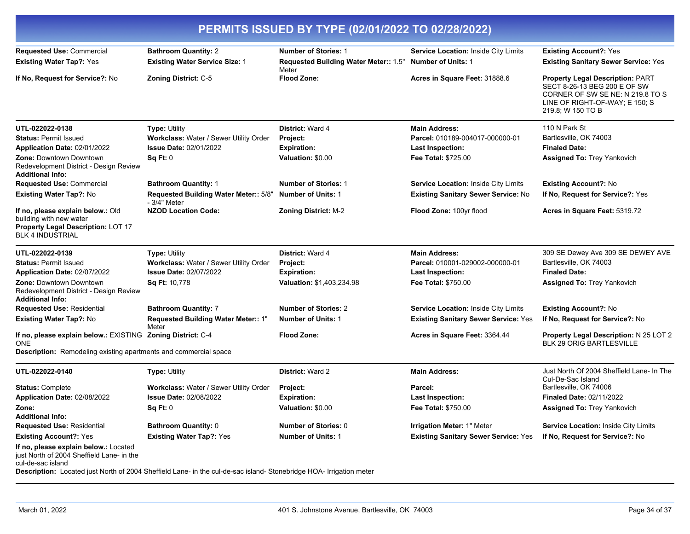| PERMITS ISSUED BY TYPE (02/01/2022 TO 02/28/2022)                                                                             |                                                                      |                                                                      |                                                                   |                                                                                                                                                                    |  |
|-------------------------------------------------------------------------------------------------------------------------------|----------------------------------------------------------------------|----------------------------------------------------------------------|-------------------------------------------------------------------|--------------------------------------------------------------------------------------------------------------------------------------------------------------------|--|
| Requested Use: Commercial<br><b>Existing Water Tap?: Yes</b>                                                                  | <b>Bathroom Quantity: 2</b><br><b>Existing Water Service Size: 1</b> | <b>Number of Stories: 1</b><br>Requested Building Water Meter:: 1.5" | Service Location: Inside City Limits<br><b>Number of Units: 1</b> | <b>Existing Account?: Yes</b><br><b>Existing Sanitary Sewer Service: Yes</b>                                                                                       |  |
| If No, Request for Service?: No                                                                                               | <b>Zoning District: C-5</b>                                          | Meter<br><b>Flood Zone:</b>                                          | Acres in Square Feet: 31888.6                                     | <b>Property Legal Description: PART</b><br>SECT 8-26-13 BEG 200 E OF SW<br>CORNER OF SW SE NE: N 219.8 TO S<br>LINE OF RIGHT-OF-WAY; E 150; S<br>219.8; W 150 TO B |  |
| UTL-022022-0138                                                                                                               | <b>Type: Utility</b>                                                 | District: Ward 4                                                     | <b>Main Address:</b>                                              | 110 N Park St                                                                                                                                                      |  |
| <b>Status: Permit Issued</b>                                                                                                  | Workclass: Water / Sewer Utility Order                               | Project:                                                             | Parcel: 010189-004017-000000-01                                   | Bartlesville, OK 74003                                                                                                                                             |  |
| Application Date: 02/01/2022                                                                                                  | <b>Issue Date: 02/01/2022</b>                                        | <b>Expiration:</b>                                                   | <b>Last Inspection:</b>                                           | <b>Finaled Date:</b>                                                                                                                                               |  |
| <b>Zone: Downtown Downtown</b><br>Redevelopment District - Design Review<br><b>Additional Info:</b>                           | Sq Ft: 0                                                             | Valuation: \$0.00                                                    | <b>Fee Total: \$725.00</b>                                        | <b>Assigned To: Trey Yankovich</b>                                                                                                                                 |  |
| <b>Requested Use: Commercial</b>                                                                                              | <b>Bathroom Quantity: 1</b>                                          | <b>Number of Stories: 1</b>                                          | Service Location: Inside City Limits                              | <b>Existing Account?: No</b>                                                                                                                                       |  |
| <b>Existing Water Tap?: No</b>                                                                                                | Requested Building Water Meter:: 5/8"<br>- 3/4" Meter                | <b>Number of Units: 1</b>                                            | <b>Existing Sanitary Sewer Service: No</b>                        | If No, Request for Service?: Yes                                                                                                                                   |  |
| If no, please explain below.: Old<br>building with new water<br>Property Legal Description: LOT 17<br><b>BLK 4 INDUSTRIAL</b> | <b>NZOD Location Code:</b>                                           | <b>Zoning District: M-2</b>                                          | Flood Zone: 100yr flood                                           | Acres in Square Feet: 5319.72                                                                                                                                      |  |
| UTL-022022-0139                                                                                                               | <b>Type: Utility</b>                                                 | District: Ward 4                                                     | <b>Main Address:</b>                                              | 309 SE Dewey Ave 309 SE DEWEY AVE                                                                                                                                  |  |
| <b>Status: Permit Issued</b>                                                                                                  | Workclass: Water / Sewer Utility Order                               | Project:                                                             | Parcel: 010001-029002-000000-01                                   | Bartlesville, OK 74003                                                                                                                                             |  |
| Application Date: 02/07/2022                                                                                                  | <b>Issue Date: 02/07/2022</b>                                        | <b>Expiration:</b>                                                   | Last Inspection:                                                  | <b>Finaled Date:</b>                                                                                                                                               |  |
| <b>Zone: Downtown Downtown</b><br>Redevelopment District - Design Review<br><b>Additional Info:</b>                           | Sq Ft: 10,778                                                        | Valuation: \$1,403,234.98                                            | <b>Fee Total: \$750.00</b>                                        | <b>Assigned To: Trey Yankovich</b>                                                                                                                                 |  |
| Requested Use: Residential                                                                                                    | <b>Bathroom Quantity: 7</b>                                          | <b>Number of Stories: 2</b>                                          | Service Location: Inside City Limits                              | <b>Existing Account?: No</b>                                                                                                                                       |  |
| Existing Water Tap?: No                                                                                                       | Requested Building Water Meter:: 1"<br>Meter                         | <b>Number of Units: 1</b>                                            | <b>Existing Sanitary Sewer Service: Yes</b>                       | If No, Request for Service?: No                                                                                                                                    |  |
| If no, please explain below.: EXISTING Zoning District: C-4<br><b>ONE</b>                                                     |                                                                      | <b>Flood Zone:</b>                                                   | Acres in Square Feet: 3364.44                                     | Property Legal Description: N 25 LOT 2<br>BLK 29 ORIG BARTLESVILLE                                                                                                 |  |
| <b>Description:</b> Remodeling existing apartments and commercial space                                                       |                                                                      |                                                                      |                                                                   |                                                                                                                                                                    |  |
| UTL-022022-0140                                                                                                               | <b>Type: Utility</b>                                                 | <b>District: Ward 2</b>                                              | <b>Main Address:</b>                                              | Just North Of 2004 Sheffield Lane- In The<br>Cul-De-Sac Island                                                                                                     |  |
| <b>Status: Complete</b>                                                                                                       | Workclass: Water / Sewer Utility Order                               | Project:                                                             | Parcel:                                                           | Bartlesville, OK 74006                                                                                                                                             |  |
| Application Date: 02/08/2022                                                                                                  | <b>Issue Date: 02/08/2022</b>                                        | <b>Expiration:</b>                                                   | Last Inspection:                                                  | <b>Finaled Date: 02/11/2022</b>                                                                                                                                    |  |
| Zone:                                                                                                                         | Sq Ft: 0                                                             | Valuation: \$0.00                                                    | Fee Total: \$750.00                                               | <b>Assigned To: Trey Yankovich</b>                                                                                                                                 |  |
| <b>Additional Info:</b>                                                                                                       |                                                                      |                                                                      |                                                                   |                                                                                                                                                                    |  |
| <b>Requested Use: Residential</b>                                                                                             | <b>Bathroom Quantity: 0</b>                                          | <b>Number of Stories: 0</b>                                          | <b>Irrigation Meter: 1" Meter</b>                                 | <b>Service Location: Inside City Limits</b>                                                                                                                        |  |
| <b>Existing Account?: Yes</b>                                                                                                 | <b>Existing Water Tap?: Yes</b>                                      | <b>Number of Units: 1</b>                                            | <b>Existing Sanitary Sewer Service: Yes</b>                       | If No, Request for Service?: No                                                                                                                                    |  |
| If no, please explain below.: Located<br>just North of 2004 Sheffield Lane- in the<br>cul-de-sac island                       |                                                                      |                                                                      |                                                                   |                                                                                                                                                                    |  |

**Description:** Located just North of 2004 Sheffield Lane- in the cul-de-sac island- Stonebridge HOA- Irrigation meter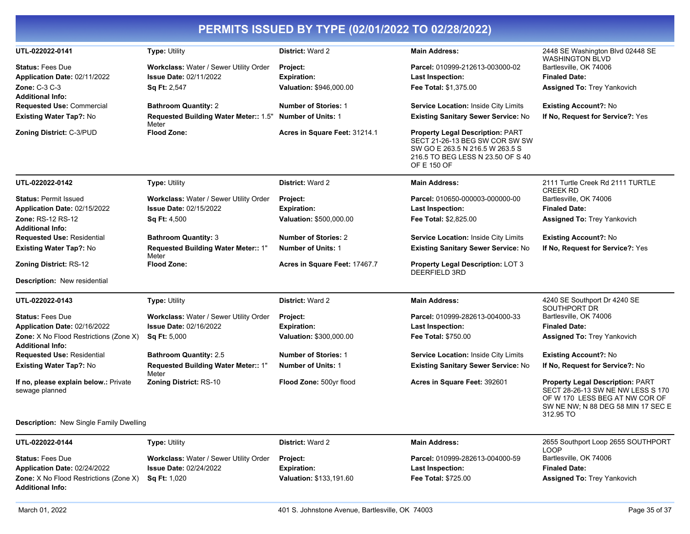| UTL-022022-0141                                                          | <b>Type: Utility</b>                                                                           | <b>District: Ward 2</b>                                   | <b>Main Address:</b>                                                                                                                                             | 2448 SE Washington Blvd 02448 SE<br><b>WASHINGTON BLVD</b>                                                                                                        |
|--------------------------------------------------------------------------|------------------------------------------------------------------------------------------------|-----------------------------------------------------------|------------------------------------------------------------------------------------------------------------------------------------------------------------------|-------------------------------------------------------------------------------------------------------------------------------------------------------------------|
| <b>Status: Fees Due</b><br>Application Date: 02/11/2022<br>Zone: C-3 C-3 | Workclass: Water / Sewer Utility Order<br><b>Issue Date: 02/11/2022</b><br><b>Sq Ft: 2,547</b> | Project:<br><b>Expiration:</b><br>Valuation: \$946,000.00 | Parcel: 010999-212613-003000-02<br><b>Last Inspection:</b><br>Fee Total: \$1,375.00                                                                              | Bartlesville, OK 74006<br><b>Finaled Date:</b><br><b>Assigned To: Trey Yankovich</b>                                                                              |
| <b>Additional Info:</b>                                                  |                                                                                                |                                                           |                                                                                                                                                                  |                                                                                                                                                                   |
| <b>Requested Use: Commercial</b>                                         | <b>Bathroom Quantity: 2</b>                                                                    | <b>Number of Stories: 1</b><br><b>Number of Units: 1</b>  | Service Location: Inside City Limits                                                                                                                             | <b>Existing Account?: No</b>                                                                                                                                      |
| <b>Existing Water Tap?: No</b>                                           | Requested Building Water Meter:: 1.5"<br>Meter                                                 |                                                           | <b>Existing Sanitary Sewer Service: No</b>                                                                                                                       | If No, Request for Service?: Yes                                                                                                                                  |
| <b>Zoning District: C-3/PUD</b>                                          | <b>Flood Zone:</b>                                                                             | Acres in Square Feet: 31214.1                             | <b>Property Legal Description: PART</b><br>SECT 21-26-13 BEG SW COR SW SW<br>SW GO E 263.5 N 216.5 W 263.5 S<br>216.5 TO BEG LESS N 23.50 OF S 40<br>OF E 150 OF |                                                                                                                                                                   |
| UTL-022022-0142                                                          | Type: Utility                                                                                  | <b>District: Ward 2</b>                                   | <b>Main Address:</b>                                                                                                                                             | 2111 Turtle Creek Rd 2111 TURTLE<br><b>CREEK RD</b>                                                                                                               |
| <b>Status: Permit Issued</b>                                             | Workclass: Water / Sewer Utility Order                                                         | <b>Project:</b>                                           | Parcel: 010650-000003-000000-00                                                                                                                                  | Bartlesville, OK 74006                                                                                                                                            |
| Application Date: 02/15/2022                                             | <b>Issue Date: 02/15/2022</b>                                                                  | <b>Expiration:</b>                                        | Last Inspection:                                                                                                                                                 | <b>Finaled Date:</b>                                                                                                                                              |
| Zone: RS-12 RS-12<br><b>Additional Info:</b>                             | <b>Sq Ft: 4,500</b>                                                                            | Valuation: \$500,000.00                                   | Fee Total: \$2,825.00                                                                                                                                            | <b>Assigned To: Trey Yankovich</b>                                                                                                                                |
| <b>Requested Use: Residential</b>                                        | <b>Bathroom Quantity: 3</b>                                                                    | <b>Number of Stories: 2</b>                               | <b>Service Location: Inside City Limits</b>                                                                                                                      | <b>Existing Account?: No</b>                                                                                                                                      |
| <b>Existing Water Tap?: No</b>                                           | Requested Building Water Meter:: 1"<br>Meter                                                   | <b>Number of Units: 1</b>                                 | <b>Existing Sanitary Sewer Service: No</b>                                                                                                                       | If No, Request for Service?: Yes                                                                                                                                  |
| <b>Zoning District: RS-12</b>                                            | <b>Flood Zone:</b>                                                                             | Acres in Square Feet: 17467.7                             | <b>Property Legal Description: LOT 3</b><br><b>DEERFIELD 3RD</b>                                                                                                 |                                                                                                                                                                   |
| <b>Description: New residential</b>                                      |                                                                                                |                                                           |                                                                                                                                                                  |                                                                                                                                                                   |
| UTL-022022-0143                                                          | <b>Type: Utility</b>                                                                           | <b>District: Ward 2</b>                                   | <b>Main Address:</b>                                                                                                                                             | 4240 SE Southport Dr 4240 SE<br>SOUTHPORT DR                                                                                                                      |
| <b>Status: Fees Due</b>                                                  | Workclass: Water / Sewer Utility Order                                                         | Project:                                                  | Parcel: 010999-282613-004000-33                                                                                                                                  | Bartlesville, OK 74006                                                                                                                                            |
| Application Date: 02/16/2022                                             | <b>Issue Date: 02/16/2022</b>                                                                  | <b>Expiration:</b>                                        | <b>Last Inspection:</b>                                                                                                                                          | <b>Finaled Date:</b>                                                                                                                                              |
| Zone: X No Flood Restrictions (Zone X)<br><b>Additional Info:</b>        | <b>Sq Ft: 5,000</b>                                                                            | Valuation: \$300,000.00                                   | Fee Total: \$750.00                                                                                                                                              | <b>Assigned To: Trey Yankovich</b>                                                                                                                                |
| <b>Requested Use: Residential</b>                                        | <b>Bathroom Quantity: 2.5</b>                                                                  | <b>Number of Stories: 1</b>                               | Service Location: Inside City Limits                                                                                                                             | <b>Existing Account?: No</b>                                                                                                                                      |
| <b>Existing Water Tap?: No</b>                                           | Requested Building Water Meter:: 1"<br>Meter                                                   | <b>Number of Units: 1</b>                                 | <b>Existing Sanitary Sewer Service: No</b>                                                                                                                       | If No, Request for Service?: No                                                                                                                                   |
| If no, please explain below.: Private<br>sewage planned                  | <b>Zoning District: RS-10</b>                                                                  | Flood Zone: 500yr flood                                   | Acres in Square Feet: 392601                                                                                                                                     | <b>Property Legal Description: PART</b><br>SECT 28-26-13 SW NE NW LESS S 170<br>OF W 170 LESS BEG AT NW COR OF<br>SW NE NW; N 88 DEG 58 MIN 17 SEC E<br>312.95 TO |
| <b>Description:</b> New Single Family Dwelling                           |                                                                                                |                                                           |                                                                                                                                                                  |                                                                                                                                                                   |
| UTL-022022-0144                                                          | <b>Type: Utility</b>                                                                           | <b>District: Ward 2</b>                                   | <b>Main Address:</b>                                                                                                                                             | 2655 Southport Loop 2655 SOUTHPORT<br><b>LOOP</b>                                                                                                                 |
| <b>Status: Fees Due</b>                                                  | Workclass: Water / Sewer Utility Order                                                         | Project:                                                  | Parcel: 010999-282613-004000-59                                                                                                                                  | Bartlesville, OK 74006                                                                                                                                            |
| Application Date: 02/24/2022                                             | <b>Issue Date: 02/24/2022</b>                                                                  | <b>Expiration:</b>                                        | Last Inspection:                                                                                                                                                 | <b>Finaled Date:</b>                                                                                                                                              |
| <b>Zone:</b> X No Flood Restrictions (Zone X)<br><b>Additional Info:</b> | Sq Ft: 1,020                                                                                   | Valuation: \$133,191.60                                   | Fee Total: \$725.00                                                                                                                                              | <b>Assigned To: Trey Yankovich</b>                                                                                                                                |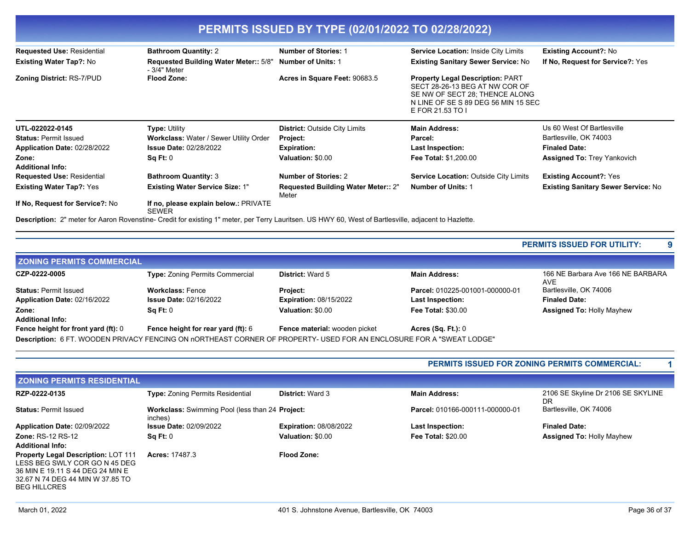| PERMITS ISSUED BY TYPE (02/01/2022 TO 02/28/2022) |                                                                                                                                                       |                                                     |                                                                                                                                                                        |                                            |  |
|---------------------------------------------------|-------------------------------------------------------------------------------------------------------------------------------------------------------|-----------------------------------------------------|------------------------------------------------------------------------------------------------------------------------------------------------------------------------|--------------------------------------------|--|
| <b>Requested Use: Residential</b>                 | <b>Bathroom Quantity: 2</b>                                                                                                                           | <b>Number of Stories: 1</b>                         | Service Location: Inside City Limits                                                                                                                                   | <b>Existing Account?: No</b>               |  |
| <b>Existing Water Tap?: No</b>                    | <b>Requested Building Water Meter:: 5/8"</b><br>- 3/4" Meter                                                                                          | <b>Number of Units: 1</b>                           | <b>Existing Sanitary Sewer Service: No</b>                                                                                                                             | If No, Request for Service?: Yes           |  |
| <b>Zoning District: RS-7/PUD</b>                  | <b>Flood Zone:</b>                                                                                                                                    | Acres in Square Feet: 90683.5                       | <b>Property Legal Description: PART</b><br>SECT 28-26-13 BEG AT NW COR OF<br>SE NW OF SECT 28: THENCE ALONG<br>N LINE OF SE S 89 DEG 56 MIN 15 SEC<br>E FOR 21.53 TO I |                                            |  |
| UTL-022022-0145                                   | <b>Type: Utility</b>                                                                                                                                  | <b>District: Outside City Limits</b>                | <b>Main Address:</b>                                                                                                                                                   | Us 60 West Of Bartlesville                 |  |
| <b>Status: Permit Issued</b>                      | Workclass: Water / Sewer Utility Order                                                                                                                | Project:                                            | Parcel:                                                                                                                                                                | Bartlesville, OK 74003                     |  |
| Application Date: 02/28/2022                      | <b>Issue Date: 02/28/2022</b>                                                                                                                         | <b>Expiration:</b>                                  | <b>Last Inspection:</b>                                                                                                                                                | <b>Finaled Date:</b>                       |  |
| Zone:<br><b>Additional Info:</b>                  | Sq Ft: 0                                                                                                                                              | Valuation: \$0.00                                   | <b>Fee Total: \$1,200.00</b>                                                                                                                                           | <b>Assigned To: Trey Yankovich</b>         |  |
| <b>Requested Use: Residential</b>                 | <b>Bathroom Quantity: 3</b>                                                                                                                           | <b>Number of Stories: 2</b>                         | <b>Service Location: Outside City Limits</b>                                                                                                                           | <b>Existing Account?: Yes</b>              |  |
| <b>Existing Water Tap?: Yes</b>                   | <b>Existing Water Service Size: 1"</b>                                                                                                                | <b>Requested Building Water Meter:: 2"</b><br>Meter | <b>Number of Units: 1</b>                                                                                                                                              | <b>Existing Sanitary Sewer Service: No</b> |  |
| If No, Request for Service?: No                   | If no, please explain below.: PRIVATE<br><b>SEWER</b>                                                                                                 |                                                     |                                                                                                                                                                        |                                            |  |
|                                                   | Description: 2" meter for Aaron Rovenstine- Credit for existing 1" meter, per Terry Lauritsen. US HWY 60, West of Bartlesville, adjacent to Hazlette. |                                                     |                                                                                                                                                                        |                                            |  |

|  |  | <b>PERMITS ISSUED FOR UTILITY:</b> |  |
|--|--|------------------------------------|--|
|--|--|------------------------------------|--|

| <b>ZONING PERMITS COMMERCIAL</b>    |                                                                                                                      |                               |                                 |                                                 |
|-------------------------------------|----------------------------------------------------------------------------------------------------------------------|-------------------------------|---------------------------------|-------------------------------------------------|
| CZP-0222-0005                       | <b>Type: Zoning Permits Commercial</b>                                                                               | <b>District: Ward 5</b>       | <b>Main Address:</b>            | 166 NE Barbara Ave 166 NE BARBARA<br><b>AVE</b> |
| <b>Status: Permit Issued</b>        | <b>Workclass: Fence</b>                                                                                              | <b>Project:</b>               | Parcel: 010225-001001-000000-01 | Bartlesville, OK 74006                          |
| Application Date: 02/16/2022        | <b>Issue Date: 02/16/2022</b>                                                                                        | <b>Expiration: 08/15/2022</b> | <b>Last Inspection:</b>         | <b>Finaled Date:</b>                            |
| Zone:                               | SqFt:0                                                                                                               | Valuation: \$0.00             | <b>Fee Total: \$30.00</b>       | <b>Assigned To: Holly Mayhew</b>                |
| <b>Additional Info:</b>             |                                                                                                                      |                               |                                 |                                                 |
| Fence height for front yard (ft): 0 | Fence height for rear yard (ft): 6                                                                                   | Fence material: wooden picket | Acres $(Sq. Ft.): 0$            |                                                 |
|                                     | Description: 6 FT. WOODEN PRIVACY FENCING ON nORTHEAST CORNER OF PROPERTY- USED FOR AN ENCLOSURE FOR A "SWEAT LODGE" |                               |                                 |                                                 |

| <b>PERMITS ISSUED FOR ZONING PERMITS COMMERCIAL:</b> |  |
|------------------------------------------------------|--|
|------------------------------------------------------|--|

| <b>ZONING PERMITS RESIDENTIAL</b>                                                                                                                                          |                                                            |                               |                                 |                                          |
|----------------------------------------------------------------------------------------------------------------------------------------------------------------------------|------------------------------------------------------------|-------------------------------|---------------------------------|------------------------------------------|
| RZP-0222-0135                                                                                                                                                              | <b>Type: Zoning Permits Residential</b>                    | <b>District: Ward 3</b>       | <b>Main Address:</b>            | 2106 SE Skyline Dr 2106 SE SKYLINE<br>DR |
| <b>Status: Permit Issued</b>                                                                                                                                               | Workclass: Swimming Pool (less than 24 Project:<br>inches) |                               | Parcel: 010166-000111-000000-01 | Bartlesville, OK 74006                   |
| Application Date: 02/09/2022                                                                                                                                               | <b>Issue Date: 02/09/2022</b>                              | <b>Expiration: 08/08/2022</b> | <b>Last Inspection:</b>         | <b>Finaled Date:</b>                     |
| <b>Zone: RS-12 RS-12</b><br><b>Additional Info:</b>                                                                                                                        | Sq Ft: 0                                                   | Valuation: \$0.00             | <b>Fee Total: \$20.00</b>       | <b>Assigned To: Holly Mayhew</b>         |
| <b>Property Legal Description: LOT 111</b><br>LESS BEG SWLY COR GO N 45 DEG<br>36 MIN E 19.11 S 44 DEG 24 MIN E<br>32.67 N 74 DEG 44 MIN W 37.85 TO<br><b>BEG HILLCRES</b> | <b>Acres: 17487.3</b>                                      | <b>Flood Zone:</b>            |                                 |                                          |